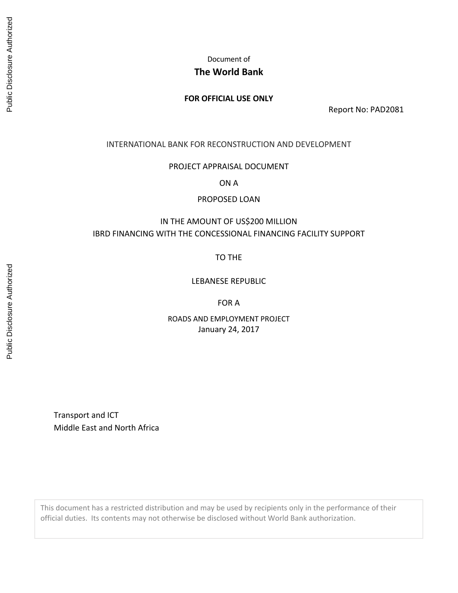Document of

# **The World Bank**

## **FOR OFFICIAL USE ONLY**

Report No: PAD2081

INTERNATIONAL BANK FOR RECONSTRUCTION AND DEVELOPMENT

PROJECT APPRAISAL DOCUMENT

ON A

PROPOSED LOAN

# IN THE AMOUNT OF US\$200 MILLION IBRD FINANCING WITH THE CONCESSIONAL FINANCING FACILITY SUPPORT

TO THE

LEBANESE REPUBLIC

FOR A

ROADS AND EMPLOYMENT PROJECT January 24, 2017

Transport and ICT Middle East and North Africa

This document has a restricted distribution and may be used by recipients only in the performance of their official duties. Its contents may not otherwise be disclosed without World Bank authorization.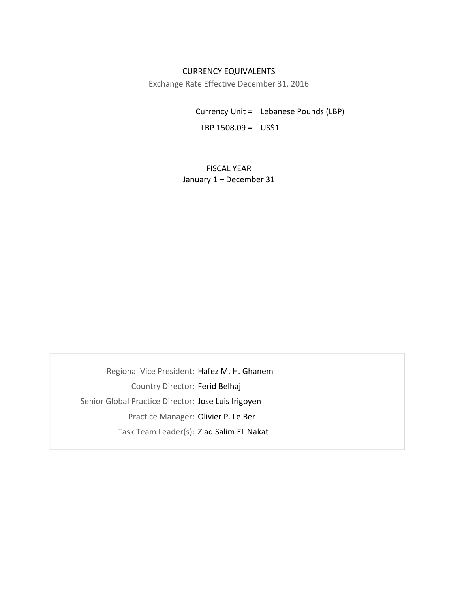## CURRENCY EQUIVALENTS

Exchange Rate Effective December 31, 2016

Currency Unit = Lebanese Pounds (LBP) LBP  $1508.09 = US51$ 

FISCAL YEAR January 1 – December 31

Regional Vice President: Hafez M. H. Ghanem Country Director: Ferid Belhaj Senior Global Practice Director: Jose Luis Irigoyen Practice Manager: Olivier P. Le Ber Task Team Leader(s): Ziad Salim EL Nakat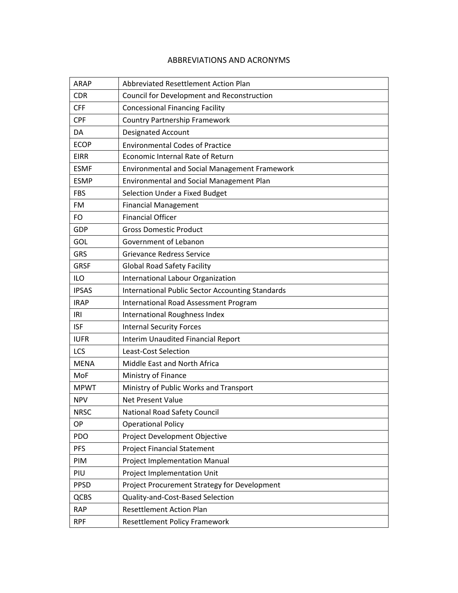## ABBREVIATIONS AND ACRONYMS

| <b>ARAP</b>  | Abbreviated Resettlement Action Plan                    |
|--------------|---------------------------------------------------------|
| <b>CDR</b>   | Council for Development and Reconstruction              |
| <b>CFF</b>   | <b>Concessional Financing Facility</b>                  |
| <b>CPF</b>   | <b>Country Partnership Framework</b>                    |
| DA           | Designated Account                                      |
| <b>ECOP</b>  | <b>Environmental Codes of Practice</b>                  |
| <b>EIRR</b>  | Economic Internal Rate of Return                        |
| <b>ESMF</b>  | Environmental and Social Management Framework           |
| <b>ESMP</b>  | <b>Environmental and Social Management Plan</b>         |
| <b>FBS</b>   | Selection Under a Fixed Budget                          |
| FM           | <b>Financial Management</b>                             |
| FO           | <b>Financial Officer</b>                                |
| GDP          | <b>Gross Domestic Product</b>                           |
| GOL          | Government of Lebanon                                   |
| <b>GRS</b>   | <b>Grievance Redress Service</b>                        |
| <b>GRSF</b>  | <b>Global Road Safety Facility</b>                      |
| <b>ILO</b>   | International Labour Organization                       |
| <b>IPSAS</b> | <b>International Public Sector Accounting Standards</b> |
| <b>IRAP</b>  | International Road Assessment Program                   |
| IRI          | International Roughness Index                           |
| <b>ISF</b>   | <b>Internal Security Forces</b>                         |
| <b>IUFR</b>  | <b>Interim Unaudited Financial Report</b>               |
| LCS          | <b>Least-Cost Selection</b>                             |
| <b>MENA</b>  | Middle East and North Africa                            |
| MoF          | Ministry of Finance                                     |
| <b>MPWT</b>  | Ministry of Public Works and Transport                  |
| <b>NPV</b>   | Net Present Value                                       |
| <b>NRSC</b>  | National Road Safety Council                            |
| ОP           | <b>Operational Policy</b>                               |
| PDO          | Project Development Objective                           |
| <b>PFS</b>   | <b>Project Financial Statement</b>                      |
| PIM          | Project Implementation Manual                           |
| PIU          | Project Implementation Unit                             |
| <b>PPSD</b>  | Project Procurement Strategy for Development            |
| QCBS         | Quality-and-Cost-Based Selection                        |
| <b>RAP</b>   | <b>Resettlement Action Plan</b>                         |
| <b>RPF</b>   | <b>Resettlement Policy Framework</b>                    |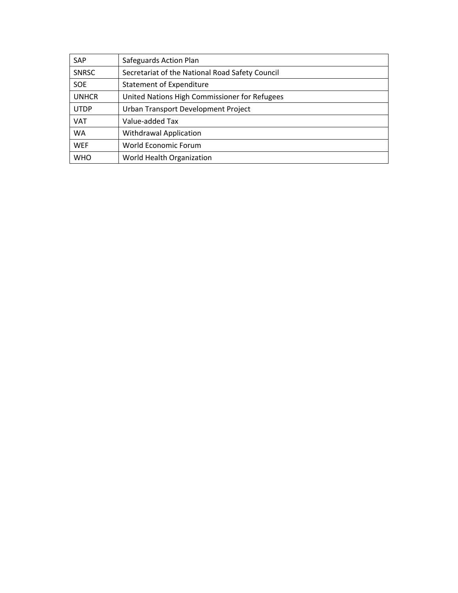| <b>SAP</b>   | Safeguards Action Plan                          |
|--------------|-------------------------------------------------|
| <b>SNRSC</b> | Secretariat of the National Road Safety Council |
| <b>SOE</b>   | Statement of Expenditure                        |
| <b>UNHCR</b> | United Nations High Commissioner for Refugees   |
| <b>UTDP</b>  | Urban Transport Development Project             |
| <b>VAT</b>   | Value-added Tax                                 |
| <b>WA</b>    | <b>Withdrawal Application</b>                   |
| <b>WEF</b>   | World Economic Forum                            |
| <b>WHO</b>   | World Health Organization                       |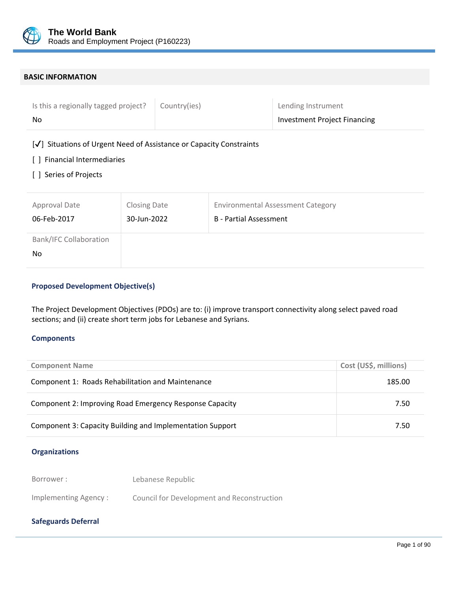

#### **BASIC INFORMATION**

| Is this a regionally tagged project? | Country(ies) | Lending Instrument           |
|--------------------------------------|--------------|------------------------------|
| No                                   |              | Investment Project Financing |

## [✔] Situations of Urgent Need of Assistance or Capacity Constraints

## [ ] Financial Intermediaries

[ ] Series of Projects

| Approval Date                        | <b>Closing Date</b> | <b>Environmental Assessment Category</b> |
|--------------------------------------|---------------------|------------------------------------------|
| 06-Feb-2017                          | 30-Jun-2022         | <b>B</b> - Partial Assessment            |
| <b>Bank/IFC Collaboration</b><br>No. |                     |                                          |

## **Proposed Development Objective(s)**

The Project Development Objectives (PDOs) are to: (i) improve transport connectivity along select paved road sections; and (ii) create short term jobs for Lebanese and Syrians.

#### **Components**

| <b>Component Name</b>                                     | Cost (US\$, millions) |
|-----------------------------------------------------------|-----------------------|
| Component 1: Roads Rehabilitation and Maintenance         | 185.00                |
| Component 2: Improving Road Emergency Response Capacity   | 7.50                  |
| Component 3: Capacity Building and Implementation Support | 7.50                  |

 $\overline{a}$ 

#### **Organizations**

Borrower : Lebanese Republic

Implementing Agency : Council for Development and Reconstruction

## **Safeguards Deferral**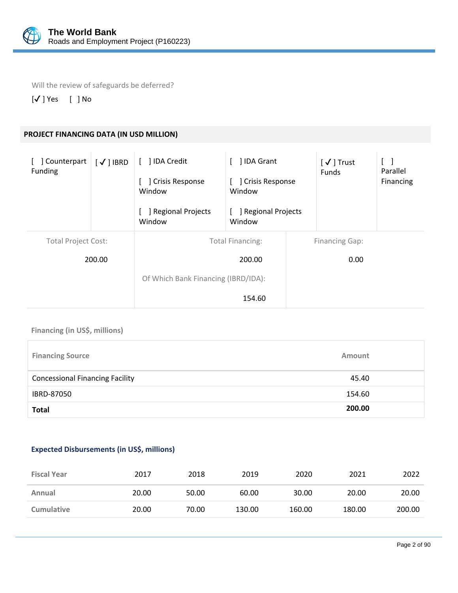

Will the review of safeguards be deferred?

[✔ ] Yes [ ] No

# **PROJECT FINANCING DATA (IN USD MILLION)**

| ] Counterpart<br>Funding   | $\lceil \checkmark \rceil$ IBRD | 1 IDA Credit<br><b>Crisis Response</b><br>$\overline{\phantom{a}}$<br>Window | ] IDA Grant<br>] Crisis Response<br>Window |  | $\mathsf{[}\bigtriangledown\mathsf{]}$ Trust<br><b>Funds</b> | Parallel<br>Financing |
|----------------------------|---------------------------------|------------------------------------------------------------------------------|--------------------------------------------|--|--------------------------------------------------------------|-----------------------|
|                            |                                 | Regional Projects<br>Window                                                  | Regional Projects<br>Window                |  |                                                              |                       |
| <b>Total Project Cost:</b> |                                 |                                                                              | <b>Total Financing:</b>                    |  | <b>Financing Gap:</b>                                        |                       |
| 200.00                     |                                 |                                                                              | 200.00                                     |  | 0.00                                                         |                       |
|                            |                                 | Of Which Bank Financing (IBRD/IDA):                                          |                                            |  |                                                              |                       |
|                            |                                 |                                                                              | 154.60                                     |  |                                                              |                       |

## **Financing (in US\$, millions)**

| <b>Financing Source</b>                | Amount |
|----------------------------------------|--------|
| <b>Concessional Financing Facility</b> | 45.40  |
| IBRD-87050                             | 154.60 |
| <b>Total</b>                           | 200.00 |

## **Expected Disbursements (in US\$, millions)**

| <b>Fiscal Year</b> | 2017  | 2018  | 2019   | 2020   | 2021   | 2022   |
|--------------------|-------|-------|--------|--------|--------|--------|
| Annual             | 20.00 | 50.00 | 60.00  | 30.00  | 20.00  | 20.00  |
| <b>Cumulative</b>  | 20.00 | 70.00 | 130.00 | 160.00 | 180.00 | 200.00 |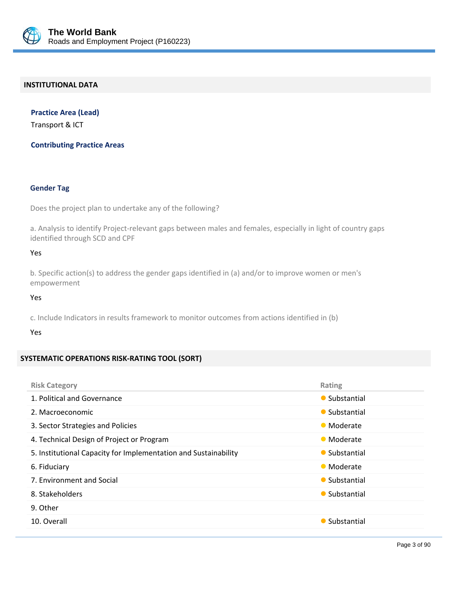

#### **INSTITUTIONAL DATA**

**Practice Area (Lead)** Transport & ICT

**Contributing Practice Areas**

#### **Gender Tag**

Does the project plan to undertake any of the following?

a. Analysis to identify Project-relevant gaps between males and females, especially in light of country gaps identified through SCD and CPF

#### Yes

b. Specific action(s) to address the gender gaps identified in (a) and/or to improve women or men's empowerment

Yes

c. Include Indicators in results framework to monitor outcomes from actions identified in (b)

#### Yes

#### **SYSTEMATIC OPERATIONS RISK‐RATING TOOL (SORT)**

| <b>Risk Category</b>                                            | Rating        |
|-----------------------------------------------------------------|---------------|
| 1. Political and Governance                                     | • Substantial |
| 2. Macroeconomic                                                | • Substantial |
| 3. Sector Strategies and Policies                               | • Moderate    |
| 4. Technical Design of Project or Program                       | • Moderate    |
| 5. Institutional Capacity for Implementation and Sustainability | • Substantial |
| 6. Fiduciary                                                    | • Moderate    |
| 7. Environment and Social                                       | • Substantial |
| 8. Stakeholders                                                 | • Substantial |
| 9. Other                                                        |               |
| 10. Overall                                                     | • Substantial |
|                                                                 |               |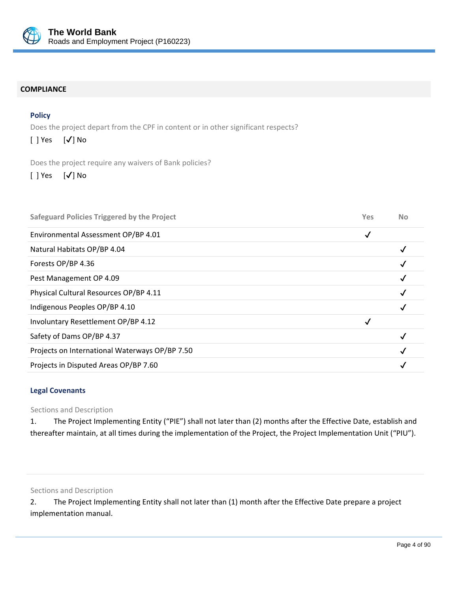

#### **COMPLIANCE**

## **Policy**

Does the project depart from the CPF in content or in other significant respects?

| $[\sqrt]$ No<br>$[ ]$ Yes |  |
|---------------------------|--|
|---------------------------|--|

Does the project require any waivers of Bank policies?

[ ] Yes [✔] No

| <b>Safeguard Policies Triggered by the Project</b> | Yes | <b>No</b> |
|----------------------------------------------------|-----|-----------|
| Environmental Assessment OP/BP 4.01                | ✓   |           |
| Natural Habitats OP/BP 4.04                        |     |           |
| Forests OP/BP 4.36                                 |     |           |
| Pest Management OP 4.09                            |     |           |
| Physical Cultural Resources OP/BP 4.11             |     |           |
| Indigenous Peoples OP/BP 4.10                      |     |           |
| Involuntary Resettlement OP/BP 4.12                |     |           |
| Safety of Dams OP/BP 4.37                          |     |           |
| Projects on International Waterways OP/BP 7.50     |     |           |
| Projects in Disputed Areas OP/BP 7.60              |     |           |
|                                                    |     |           |

## **Legal Covenants**

Sections and Description

1. The Project Implementing Entity ("PIE") shall not later than (2) months after the Effective Date, establish and thereafter maintain, at all times during the implementation of the Project, the Project Implementation Unit ("PIU").

Sections and Description

2. The Project Implementing Entity shall not later than (1) month after the Effective Date prepare a project implementation manual.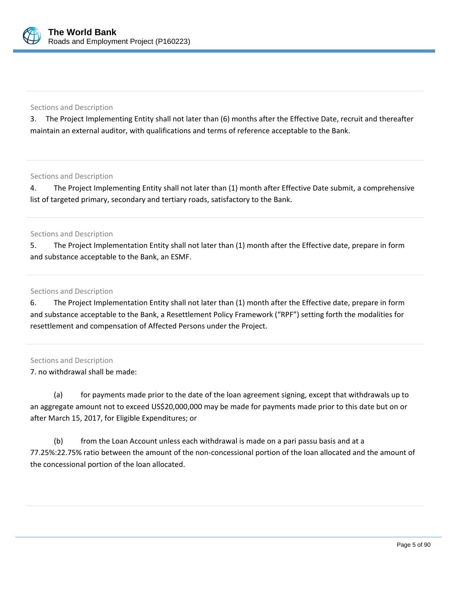

#### Sections and Description

3. The Project Implementing Entity shall not later than (6) months after the Effective Date, recruit and thereafter maintain an external auditor, with qualifications and terms of reference acceptable to the Bank.

Sections and Description

4. The Project Implementing Entity shall not later than (1) month after Effective Date submit, a comprehensive list of targeted primary, secondary and tertiary roads, satisfactory to the Bank.

#### Sections and Description

5. The Project Implementation Entity shall not later than (1) month after the Effective date, prepare in form and substance acceptable to the Bank, an ESMF.

Sections and Description

6. The Project Implementation Entity shall not later than (1) month after the Effective date, prepare in form and substance acceptable to the Bank, a Resettlement Policy Framework ("RPF") setting forth the modalities for resettlement and compensation of Affected Persons under the Project.

## Sections and Description

7. no withdrawal shall be made:

 (a) for payments made prior to the date of the loan agreement signing, except that withdrawals up to an aggregate amount not to exceed US\$20,000,000 may be made for payments made prior to this date but on or after March 15, 2017, for Eligible Expenditures; or

(b) from the Loan Account unless each withdrawal is made on a pari passu basis and at a 77.25%:22.75% ratio between the amount of the non‐concessional portion of the loan allocated and the amount of the concessional portion of the loan allocated.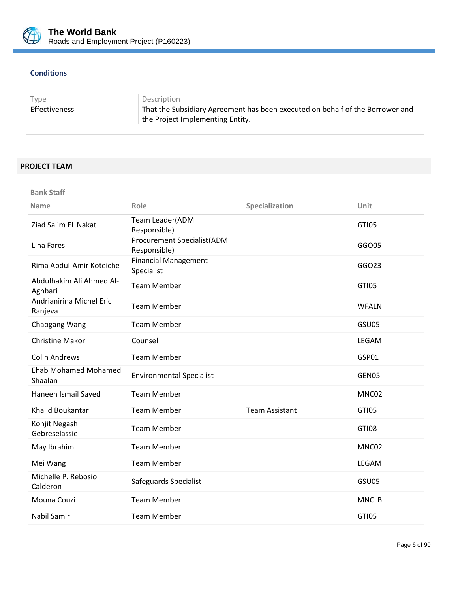

## **Conditions**

Type Description

Effectiveness That the Subsidiary Agreement has been executed on behalf of the Borrower and the Project Implementing Entity.

# **PROJECT TEAM**

**Bank Staff**

| <b>Name</b>                            | Role                                              | Specialization        | Unit         |
|----------------------------------------|---------------------------------------------------|-----------------------|--------------|
| Ziad Salim EL Nakat                    | Team Leader(ADM<br>Responsible)                   |                       | <b>GTI05</b> |
| Lina Fares                             | <b>Procurement Specialist(ADM</b><br>Responsible) |                       | GGO05        |
| Rima Abdul-Amir Koteiche               | <b>Financial Management</b><br>Specialist         |                       | GGO23        |
| Abdulhakim Ali Ahmed Al-<br>Aghbari    | <b>Team Member</b>                                |                       | <b>GTI05</b> |
| Andrianirina Michel Eric<br>Ranjeva    | <b>Team Member</b>                                |                       | <b>WFALN</b> |
| Chaogang Wang                          | <b>Team Member</b>                                |                       | GSU05        |
| Christine Makori                       | Counsel                                           |                       | LEGAM        |
| <b>Colin Andrews</b>                   | <b>Team Member</b>                                |                       | GSP01        |
| <b>Ehab Mohamed Mohamed</b><br>Shaalan | <b>Environmental Specialist</b>                   |                       | GEN05        |
| Haneen Ismail Sayed                    | <b>Team Member</b>                                |                       | MNC02        |
| <b>Khalid Boukantar</b>                | <b>Team Member</b>                                | <b>Team Assistant</b> | <b>GTI05</b> |
| Konjit Negash<br>Gebreselassie         | <b>Team Member</b>                                |                       | <b>GTI08</b> |
| May Ibrahim                            | <b>Team Member</b>                                |                       | MNC02        |
| Mei Wang                               | <b>Team Member</b>                                |                       | LEGAM        |
| Michelle P. Rebosio<br>Calderon        | Safeguards Specialist                             |                       | GSU05        |
| Mouna Couzi                            | <b>Team Member</b>                                |                       | <b>MNCLB</b> |
| Nabil Samir                            | <b>Team Member</b>                                |                       | <b>GTI05</b> |
|                                        |                                                   |                       |              |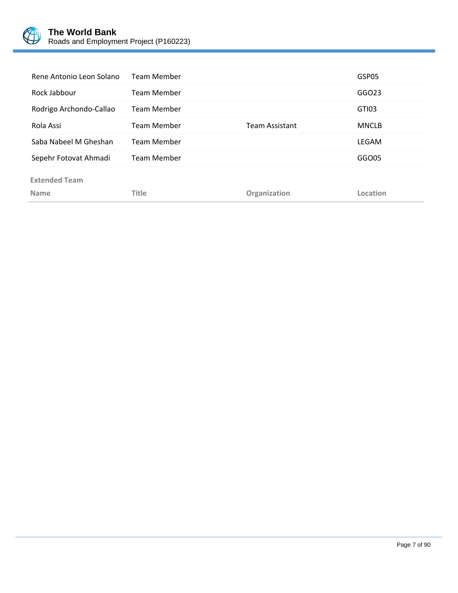

| Rene Antonio Leon Solano | <b>Team Member</b> |                | GSP05        |
|--------------------------|--------------------|----------------|--------------|
| Rock Jabbour             | <b>Team Member</b> |                | GGO23        |
| Rodrigo Archondo-Callao  | <b>Team Member</b> |                | GTI03        |
| Rola Assi                | <b>Team Member</b> | Team Assistant | <b>MNCLB</b> |
| Saba Nabeel M Gheshan    | <b>Team Member</b> |                | LEGAM        |
| Sepehr Fotovat Ahmadi    | <b>Team Member</b> |                | GGO05        |
| <b>Extended Team</b>     |                    |                |              |
| <b>Name</b>              | Title              | Organization   | Location     |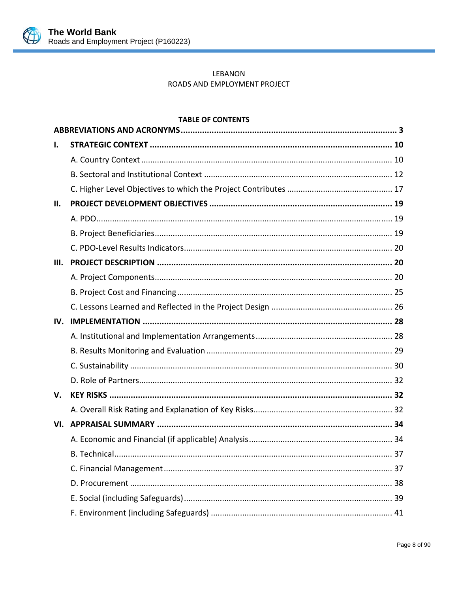

## LEBANON ROADS AND EMPLOYMENT PROJECT

## **TABLE OF CONTENTS**

| ı.   |  |
|------|--|
|      |  |
|      |  |
|      |  |
| Н.   |  |
|      |  |
|      |  |
|      |  |
| III. |  |
|      |  |
|      |  |
|      |  |
| IV.  |  |
|      |  |
|      |  |
|      |  |
|      |  |
| V.   |  |
|      |  |
| VI.  |  |
|      |  |
|      |  |
|      |  |
|      |  |
|      |  |
|      |  |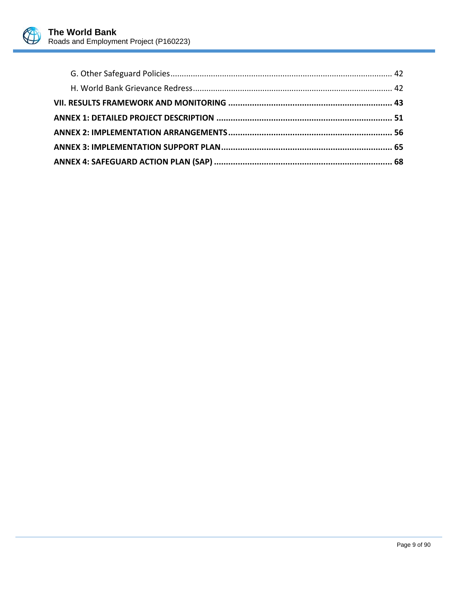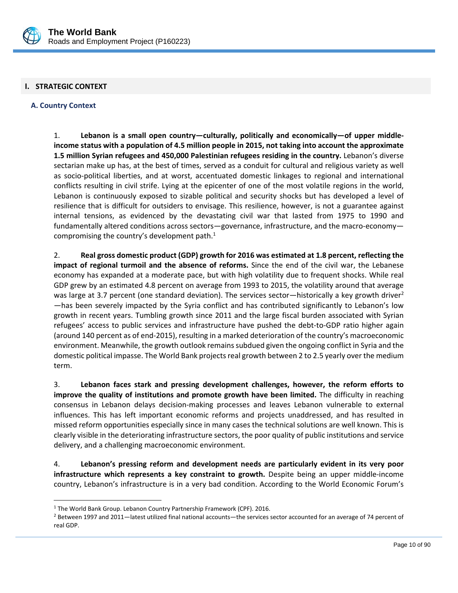

## **I. STRATEGIC CONTEXT**

## **A. Country Context**

 $\overline{a}$ 

1. **Lebanon is a small open country—culturally, politically and economically—of upper middle‐ income status with a population of 4.5 million people in 2015, not taking into account the approximate 1.5 million Syrian refugees and 450,000 Palestinian refugees residing in the country.** Lebanon's diverse sectarian make up has, at the best of times, served as a conduit for cultural and religious variety as well as socio‐political liberties, and at worst, accentuated domestic linkages to regional and international conflicts resulting in civil strife. Lying at the epicenter of one of the most volatile regions in the world, Lebanon is continuously exposed to sizable political and security shocks but has developed a level of resilience that is difficult for outsiders to envisage. This resilience, however, is not a guarantee against internal tensions, as evidenced by the devastating civil war that lasted from 1975 to 1990 and fundamentally altered conditions across sectors—governance, infrastructure, and the macro‐economy compromising the country's development path.<sup>1</sup>

2. **Real gross domestic product (GDP) growth for 2016 was estimated at 1.8 percent, reflecting the impact of regional turmoil and the absence of reforms.** Since the end of the civil war, the Lebanese economy has expanded at a moderate pace, but with high volatility due to frequent shocks. While real GDP grew by an estimated 4.8 percent on average from 1993 to 2015, the volatility around that average was large at 3.7 percent (one standard deviation). The services sector—historically a key growth driver<sup>2</sup> —has been severely impacted by the Syria conflict and has contributed significantly to Lebanon's low growth in recent years. Tumbling growth since 2011 and the large fiscal burden associated with Syrian refugees' access to public services and infrastructure have pushed the debt-to-GDP ratio higher again (around 140 percent as of end‐2015), resulting in a marked deterioration of the country's macroeconomic environment. Meanwhile, the growth outlook remains subdued given the ongoing conflict in Syria and the domestic political impasse. The World Bank projects real growth between 2 to 2.5 yearly over the medium term.

3. **Lebanon faces stark and pressing development challenges, however, the reform efforts to improve the quality of institutions and promote growth have been limited.** The difficulty in reaching consensus in Lebanon delays decision‐making processes and leaves Lebanon vulnerable to external influences. This has left important economic reforms and projects unaddressed, and has resulted in missed reform opportunities especially since in many cases the technical solutions are well known. This is clearly visible in the deteriorating infrastructure sectors, the poor quality of public institutions and service delivery, and a challenging macroeconomic environment.

4. **Lebanon's pressing reform and development needs are particularly evident in its very poor infrastructure which represents a key constraint to growth.** Despite being an upper middle‐income country, Lebanon's infrastructure is in a very bad condition. According to the World Economic Forum's

<sup>&</sup>lt;sup>1</sup> The World Bank Group. Lebanon Country Partnership Framework (CPF). 2016.

 $\overline{a}$ <sup>2</sup> Between 1997 and 2011—latest utilized final national accounts—the services sector accounted for an average of 74 percent of real GDP.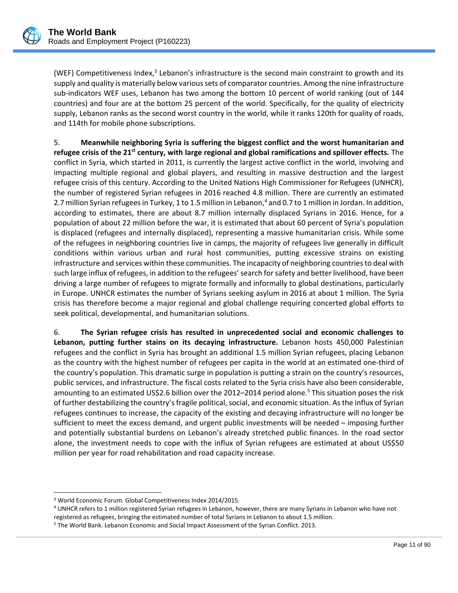(WEF) Competitiveness Index, $3$  Lebanon's infrastructure is the second main constraint to growth and its supply and quality is materially below various sets of comparator countries. Among the nine infrastructure sub-indicators WEF uses, Lebanon has two among the bottom 10 percent of world ranking (out of 144 countries) and four are at the bottom 25 percent of the world. Specifically, for the quality of electricity supply, Lebanon ranks as the second worst country in the world, while it ranks 120th for quality of roads, and 114th for mobile phone subscriptions.

5. **Meanwhile neighboring Syria is suffering the biggest conflict and the worst humanitarian and refugee crisis of the 21st century, with large regional and global ramifications and spillover effects.** The conflict in Syria, which started in 2011, is currently the largest active conflict in the world, involving and impacting multiple regional and global players, and resulting in massive destruction and the largest refugee crisis of this century. According to the United Nations High Commissioner for Refugees (UNHCR), the number of registered Syrian refugees in 2016 reached 4.8 million. There are currently an estimated 2.7 million Syrian refugees in Turkey, 1 to 1.5 million in Lebanon,<sup>4</sup> and 0.7 to 1 million in Jordan. In addition, according to estimates, there are about 8.7 million internally displaced Syrians in 2016. Hence, for a population of about 22 million before the war, it is estimated that about 60 percent of Syria's population is displaced (refugees and internally displaced), representing a massive humanitarian crisis. While some of the refugees in neighboring countries live in camps, the majority of refugees live generally in difficult conditions within various urban and rural host communities, putting excessive strains on existing infrastructure and services within these communities. The incapacity of neighboring countriesto deal with such large influx of refugees, in addition to the refugees'search forsafety and better livelihood, have been driving a large number of refugees to migrate formally and informally to global destinations, particularly in Europe. UNHCR estimates the number of Syrians seeking asylum in 2016 at about 1 million. The Syria crisis has therefore become a major regional and global challenge requiring concerted global efforts to seek political, developmental, and humanitarian solutions.

6. **The Syrian refugee crisis has resulted in unprecedented social and economic challenges to Lebanon, putting further stains on its decaying infrastructure.** Lebanon hosts 450,000 Palestinian refugees and the conflict in Syria has brought an additional 1.5 million Syrian refugees, placing Lebanon as the country with the highest number of refugees per capita in the world at an estimated one‐third of the country's population. This dramatic surge in population is putting a strain on the country's resources, public services, and infrastructure. The fiscal costs related to the Syria crisis have also been considerable, amounting to an estimated US\$2.6 billion over the 2012–2014 period alone.<sup>5</sup> This situation poses the risk of further destabilizing the country's fragile political, social, and economic situation. As the influx of Syrian refugees continues to increase, the capacity of the existing and decaying infrastructure will no longer be sufficient to meet the excess demand, and urgent public investments will be needed – imposing further and potentially substantial burdens on Lebanon's already stretched public finances. In the road sector alone, the investment needs to cope with the influx of Syrian refugees are estimated at about US\$50 million per year for road rehabilitation and road capacity increase.

 $\overline{a}$ 

<sup>3</sup> World Economic Forum. Global Competitiveness Index 2014/2015.

<sup>4</sup> UNHCR refers to 1 million registered Syrian refugees in Lebanon, however, there are many Syrians in Lebanon who have not registered as refugees, bringing the estimated number of total Syrians in Lebanon to about 1.5 million.

<sup>5</sup> The World Bank. Lebanon Economic and Social Impact Assessment of the Syrian Conflict. 2013.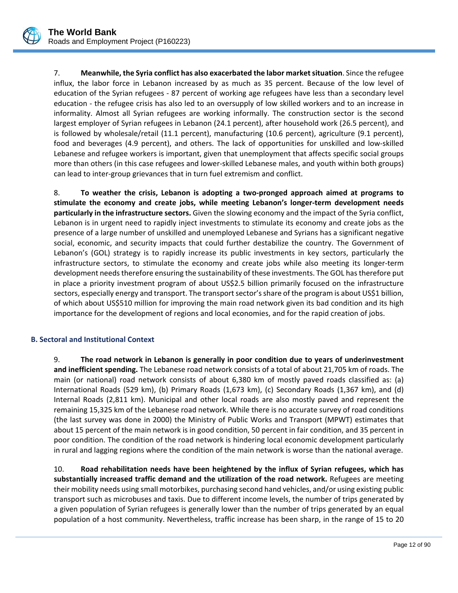

7. **Meanwhile, the Syria conflict has also exacerbated the labor marketsituation**. Since the refugee influx, the labor force in Lebanon increased by as much as 35 percent. Because of the low level of education of the Syrian refugees ‐ 87 percent of working age refugees have less than a secondary level education ‐ the refugee crisis has also led to an oversupply of low skilled workers and to an increase in informality. Almost all Syrian refugees are working informally. The construction sector is the second largest employer of Syrian refugees in Lebanon (24.1 percent), after household work (26.5 percent), and is followed by wholesale/retail (11.1 percent), manufacturing (10.6 percent), agriculture (9.1 percent), food and beverages (4.9 percent), and others. The lack of opportunities for unskilled and low-skilled Lebanese and refugee workers is important, given that unemployment that affects specific social groups more than others (in this case refugees and lower-skilled Lebanese males, and youth within both groups) can lead to inter‐group grievances that in turn fuel extremism and conflict.

8. **To weather the crisis, Lebanon is adopting a two‐pronged approach aimed at programs to stimulate the economy and create jobs, while meeting Lebanon's longer‐term development needs particularly in the infrastructure sectors.** Given the slowing economy and the impact of the Syria conflict, Lebanon is in urgent need to rapidly inject investments to stimulate its economy and create jobs as the presence of a large number of unskilled and unemployed Lebanese and Syrians has a significant negative social, economic, and security impacts that could further destabilize the country. The Government of Lebanon's (GOL) strategy is to rapidly increase its public investments in key sectors, particularly the infrastructure sectors, to stimulate the economy and create jobs while also meeting its longer‐term development needs therefore ensuring the sustainability of these investments. The GOL has therefore put in place a priority investment program of about US\$2.5 billion primarily focused on the infrastructure sectors, especially energy and transport. The transport sector's share of the program is about US\$1 billion, of which about US\$510 million for improving the main road network given its bad condition and its high importance for the development of regions and local economies, and for the rapid creation of jobs.

## **B. Sectoral and Institutional Context**

9. **The road network in Lebanon is generally in poor condition due to years of underinvestment and inefficient spending.** The Lebanese road network consists of a total of about 21,705 km of roads. The main (or national) road network consists of about 6,380 km of mostly paved roads classified as: (a) International Roads (529 km), (b) Primary Roads (1,673 km), (c) Secondary Roads (1,367 km), and (d) Internal Roads (2,811 km). Municipal and other local roads are also mostly paved and represent the remaining 15,325 km of the Lebanese road network. While there is no accurate survey of road conditions (the last survey was done in 2000) the Ministry of Public Works and Transport (MPWT) estimates that about 15 percent of the main network is in good condition, 50 percent in fair condition, and 35 percent in poor condition. The condition of the road network is hindering local economic development particularly in rural and lagging regions where the condition of the main network is worse than the national average.

10. **Road rehabilitation needs have been heightened by the influx of Syrian refugees, which has substantially increased traffic demand and the utilization of the road network.** Refugees are meeting their mobility needs using small motorbikes, purchasing second hand vehicles, and/or using existing public transport such as microbuses and taxis. Due to different income levels, the number of trips generated by a given population of Syrian refugees is generally lower than the number of trips generated by an equal population of a host community. Nevertheless, traffic increase has been sharp, in the range of 15 to 20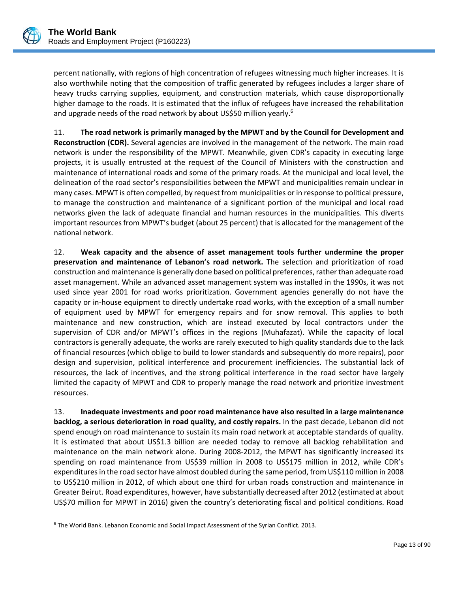$\overline{a}$ 

percent nationally, with regions of high concentration of refugees witnessing much higher increases. It is also worthwhile noting that the composition of traffic generated by refugees includes a larger share of heavy trucks carrying supplies, equipment, and construction materials, which cause disproportionally higher damage to the roads. It is estimated that the influx of refugees have increased the rehabilitation and upgrade needs of the road network by about US\$50 million yearly.<sup>6</sup>

11. **The road network is primarily managed by the MPWT and by the Council for Development and Reconstruction (CDR).** Several agencies are involved in the management of the network. The main road network is under the responsibility of the MPWT. Meanwhile, given CDR's capacity in executing large projects, it is usually entrusted at the request of the Council of Ministers with the construction and maintenance of international roads and some of the primary roads. At the municipal and local level, the delineation of the road sector's responsibilities between the MPWT and municipalities remain unclear in many cases. MPWT is often compelled, by request from municipalities or in response to political pressure, to manage the construction and maintenance of a significant portion of the municipal and local road networks given the lack of adequate financial and human resources in the municipalities. This diverts important resourcesfrom MPWT's budget (about 25 percent) that is allocated for the management of the national network.

12. **Weak capacity and the absence of asset management tools further undermine the proper preservation and maintenance of Lebanon's road network.** The selection and prioritization of road construction and maintenance is generally done based on political preferences, rather than adequate road asset management. While an advanced asset management system was installed in the 1990s, it was not used since year 2001 for road works prioritization. Government agencies generally do not have the capacity or in‐house equipment to directly undertake road works, with the exception of a small number of equipment used by MPWT for emergency repairs and for snow removal. This applies to both maintenance and new construction, which are instead executed by local contractors under the supervision of CDR and/or MPWT's offices in the regions (Muhafazat). While the capacity of local contractors is generally adequate, the works are rarely executed to high quality standards due to the lack of financial resources (which oblige to build to lower standards and subsequently do more repairs), poor design and supervision, political interference and procurement inefficiencies. The substantial lack of resources, the lack of incentives, and the strong political interference in the road sector have largely limited the capacity of MPWT and CDR to properly manage the road network and prioritize investment resources.

13. **Inadequate investments and poor road maintenance have also resulted in a large maintenance backlog, a serious deterioration in road quality, and costly repairs.** In the past decade, Lebanon did not spend enough on road maintenance to sustain its main road network at acceptable standards of quality. It is estimated that about US\$1.3 billion are needed today to remove all backlog rehabilitation and maintenance on the main network alone. During 2008‐2012, the MPWT has significantly increased its spending on road maintenance from US\$39 million in 2008 to US\$175 million in 2012, while CDR's expendituresin the road sector have almost doubled during the same period, from US\$110 million in 2008 to US\$210 million in 2012, of which about one third for urban roads construction and maintenance in Greater Beirut. Road expenditures, however, have substantially decreased after 2012 (estimated at about US\$70 million for MPWT in 2016) given the country's deteriorating fiscal and political conditions. Road

<sup>6</sup> The World Bank. Lebanon Economic and Social Impact Assessment of the Syrian Conflict. 2013.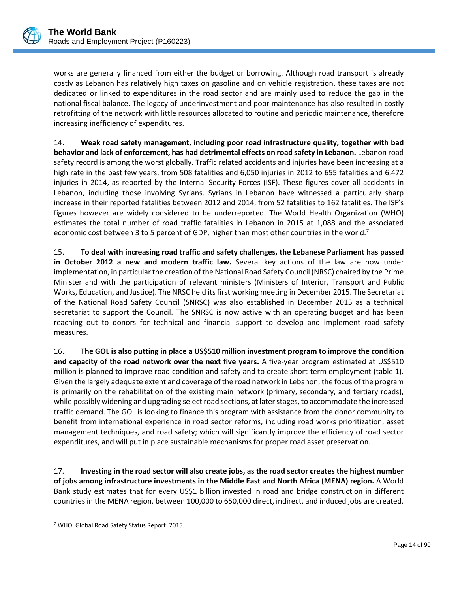works are generally financed from either the budget or borrowing. Although road transport is already costly as Lebanon has relatively high taxes on gasoline and on vehicle registration, these taxes are not dedicated or linked to expenditures in the road sector and are mainly used to reduce the gap in the national fiscal balance. The legacy of underinvestment and poor maintenance has also resulted in costly retrofitting of the network with little resources allocated to routine and periodic maintenance, therefore increasing inefficiency of expenditures.

14. **Weak road safety management, including poor road infrastructure quality, together with bad behavior and lack of enforcement, has had detrimental effects on road safety in Lebanon.** Lebanon road safety record is among the worst globally. Traffic related accidents and injuries have been increasing at a high rate in the past few years, from 508 fatalities and 6,050 injuries in 2012 to 655 fatalities and 6,472 injuries in 2014, as reported by the Internal Security Forces (ISF). These figures cover all accidents in Lebanon, including those involving Syrians. Syrians in Lebanon have witnessed a particularly sharp increase in their reported fatalities between 2012 and 2014, from 52 fatalities to 162 fatalities. The ISF's figures however are widely considered to be underreported. The World Health Organization (WHO) estimates the total number of road traffic fatalities in Lebanon in 2015 at 1,088 and the associated economic cost between 3 to 5 percent of GDP, higher than most other countries in the world.<sup>7</sup>

15. **To deal with increasing road traffic and safety challenges, the Lebanese Parliament has passed in October 2012 a new and modern traffic law.** Several key actions of the law are now under implementation, in particular the creation of the National Road Safety Council (NRSC) chaired by the Prime Minister and with the participation of relevant ministers (Ministers of Interior, Transport and Public Works, Education, and Justice). The NRSC held its first working meeting in December 2015. The Secretariat of the National Road Safety Council (SNRSC) was also established in December 2015 as a technical secretariat to support the Council. The SNRSC is now active with an operating budget and has been reaching out to donors for technical and financial support to develop and implement road safety measures.

16. **The GOL is also putting in place a US\$510 million investment program to improve the condition and capacity of the road network over the next five years.** A five‐year program estimated at US\$510 million is planned to improve road condition and safety and to create short‐term employment (table 1). Given the largely adequate extent and coverage of the road network in Lebanon, the focus of the program is primarily on the rehabilitation of the existing main network (primary, secondary, and tertiary roads), while possibly widening and upgrading select road sections, at later stages, to accommodate the increased traffic demand. The GOL is looking to finance this program with assistance from the donor community to benefit from international experience in road sector reforms, including road works prioritization, asset management techniques, and road safety; which will significantly improve the efficiency of road sector expenditures, and will put in place sustainable mechanisms for proper road asset preservation.

17. **Investing in the road sector will also create jobs, as the road sector creates the highest number of jobs among infrastructure investments in the Middle East and North Africa (MENA) region.** A World Bank study estimates that for every US\$1 billion invested in road and bridge construction in different countries in the MENA region, between 100,000 to 650,000 direct, indirect, and induced jobs are created.

 $\overline{a}$ 

<sup>7</sup> WHO. Global Road Safety Status Report. 2015.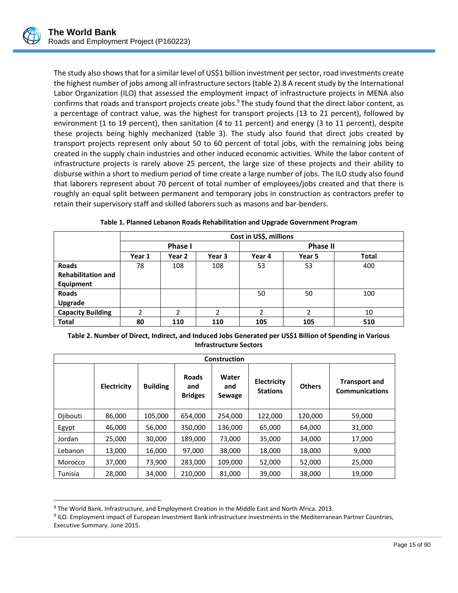$\overline{a}$ 

The study also shows that for a similar level of US\$1 billion investment per sector, road investments create the highest number of jobs among all infrastructure sectors (table 2).8 A recent study by the International Labor Organization (ILO) that assessed the employment impact of infrastructure projects in MENA also confirms that roads and transport projects create jobs.<sup>9</sup> The study found that the direct labor content, as a percentage of contract value, was the highest for transport projects (13 to 21 percent), followed by environment (1 to 19 percent), then sanitation (4 to 11 percent) and energy (3 to 11 percent), despite these projects being highly mechanized (table 3). The study also found that direct jobs created by transport projects represent only about 50 to 60 percent of total jobs, with the remaining jobs being created in the supply chain industries and other induced economic activities. While the labor content of infrastructure projects is rarely above 25 percent, the large size of these projects and their ability to disburse within a short to medium period of time create a large number of jobs. The ILO study also found that laborers represent about 70 percent of total number of employees/jobs created and that there is roughly an equal split between permanent and temporary jobs in construction as contractors prefer to retain their supervisory staff and skilled laborers such as masons and bar‐benders.

|                           |        | Cost in US\$, millions |                |                 |                        |     |  |  |
|---------------------------|--------|------------------------|----------------|-----------------|------------------------|-----|--|--|
|                           |        | <b>Phase I</b>         |                | <b>Phase II</b> |                        |     |  |  |
|                           | Year 1 | Year 2                 | Year 3         | Year 4          | <b>Total</b><br>Year 5 |     |  |  |
| <b>Roads</b>              | 78     | 108                    | 108            | 53              | 53                     | 400 |  |  |
| <b>Rehabilitation and</b> |        |                        |                |                 |                        |     |  |  |
| Equipment                 |        |                        |                |                 |                        |     |  |  |
| <b>Roads</b>              |        |                        |                | 50              | 50                     | 100 |  |  |
| <b>Upgrade</b>            |        |                        |                |                 |                        |     |  |  |
| <b>Capacity Building</b>  | 2      | 2                      | $\mathfrak{p}$ | 2               | 2                      | 10  |  |  |
| <b>Total</b>              | 80     | 110                    | 110            | 105             | 105                    | 510 |  |  |

|  |  |  |  |  | Table 1. Planned Lebanon Roads Rehabilitation and Upgrade Government Program |
|--|--|--|--|--|------------------------------------------------------------------------------|
|--|--|--|--|--|------------------------------------------------------------------------------|

| Table 2. Number of Direct, Indirect, and Induced Jobs Generated per US\$1 Billion of Spending in Various |
|----------------------------------------------------------------------------------------------------------|
| <b>Infrastructure Sectors</b>                                                                            |

| <b>Construction</b> |                    |                 |                                       |                        |                                |               |                                               |
|---------------------|--------------------|-----------------|---------------------------------------|------------------------|--------------------------------|---------------|-----------------------------------------------|
|                     | <b>Electricity</b> | <b>Building</b> | <b>Roads</b><br>and<br><b>Bridges</b> | Water<br>and<br>Sewage | Electricity<br><b>Stations</b> | <b>Others</b> | <b>Transport and</b><br><b>Communications</b> |
| Diibouti            | 86,000             | 105,000         | 654,000                               | 254,000                | 122,000                        | 120,000       | 59,000                                        |
| Egypt               | 46,000             | 56,000          | 350,000                               | 136,000                | 65,000                         | 64,000        | 31,000                                        |
| Jordan              | 25,000             | 30,000          | 189,000                               | 73,000                 | 35,000                         | 34,000        | 17,000                                        |
| Lebanon             | 13,000             | 16,000          | 97,000                                | 38,000                 | 18,000                         | 18,000        | 9,000                                         |
| Morocco             | 37,000             | 73,900          | 283,000                               | 109,000                | 52,000                         | 52,000        | 25,000                                        |
| Tunisia             | 28,000             | 34,000          | 210,000                               | 81,000                 | 39,000                         | 38,000        | 19,000                                        |

<sup>8</sup> The World Bank. Infrastructure, and Employment Creation in the Middle East and North Africa. 2013.

9 ILO. Employment impact of European Investment Bank infrastructure investments in the Mediterranean Partner Countries, Executive Summary. June 2015.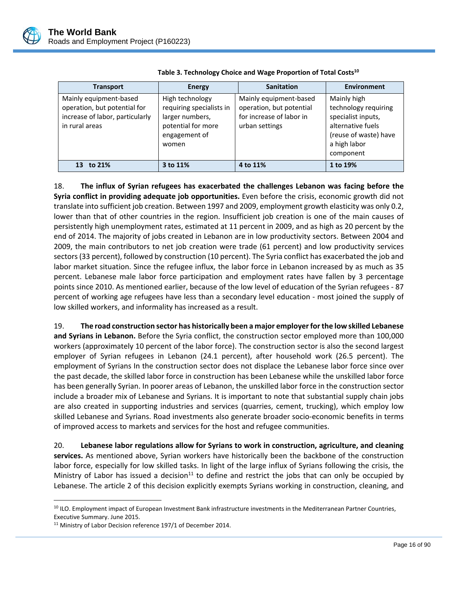

| <b>Transport</b>                                                                                            | <b>Energy</b>                                                                                                  | <b>Sanitation</b>                                                                                | <b>Environment</b>                                                                                                                   |
|-------------------------------------------------------------------------------------------------------------|----------------------------------------------------------------------------------------------------------------|--------------------------------------------------------------------------------------------------|--------------------------------------------------------------------------------------------------------------------------------------|
| Mainly equipment-based<br>operation, but potential for<br>increase of labor, particularly<br>in rural areas | High technology<br>requiring specialists in<br>larger numbers,<br>potential for more<br>engagement of<br>women | Mainly equipment-based<br>operation, but potential<br>for increase of labor in<br>urban settings | Mainly high<br>technology requiring<br>specialist inputs,<br>alternative fuels<br>(reuse of waste) have<br>a high labor<br>component |
| 13 to 21%                                                                                                   | 3 to 11%                                                                                                       | 4 to 11%                                                                                         | 1 to 19%                                                                                                                             |

| Table 3. Technology Choice and Wage Proportion of Total Costs <sup>10</sup> |  |
|-----------------------------------------------------------------------------|--|
|-----------------------------------------------------------------------------|--|

18. **The influx of Syrian refugees has exacerbated the challenges Lebanon was facing before the Syria conflict in providing adequate job opportunities.** Even before the crisis, economic growth did not translate into sufficient job creation. Between 1997 and 2009, employment growth elasticity was only 0.2, lower than that of other countries in the region. Insufficient job creation is one of the main causes of persistently high unemployment rates, estimated at 11 percent in 2009, and as high as 20 percent by the end of 2014. The majority of jobs created in Lebanon are in low productivity sectors. Between 2004 and 2009, the main contributors to net job creation were trade (61 percent) and low productivity services sectors(33 percent), followed by construction (10 percent). The Syria conflict has exacerbated the job and labor market situation. Since the refugee influx, the labor force in Lebanon increased by as much as 35 percent. Lebanese male labor force participation and employment rates have fallen by 3 percentage points since 2010. As mentioned earlier, because of the low level of education of the Syrian refugees ‐ 87 percent of working age refugees have less than a secondary level education ‐ most joined the supply of low skilled workers, and informality has increased as a result.

19. **The road construction sector has historically been a major employerforthe low skilled Lebanese and Syrians in Lebanon.** Before the Syria conflict, the construction sector employed more than 100,000 workers (approximately 10 percent of the labor force). The construction sector is also the second largest employer of Syrian refugees in Lebanon (24.1 percent), after household work (26.5 percent). The employment of Syrians In the construction sector does not displace the Lebanese labor force since over the past decade, the skilled labor force in construction has been Lebanese while the unskilled labor force has been generally Syrian. In poorer areas of Lebanon, the unskilled labor force in the construction sector include a broader mix of Lebanese and Syrians. It is important to note that substantial supply chain jobs are also created in supporting industries and services (quarries, cement, trucking), which employ low skilled Lebanese and Syrians. Road investments also generate broader socio‐economic benefits in terms of improved access to markets and services for the host and refugee communities.

20. **Lebanese labor regulations allow for Syrians to work in construction, agriculture, and cleaning services.** As mentioned above, Syrian workers have historically been the backbone of the construction labor force, especially for low skilled tasks. In light of the large influx of Syrians following the crisis, the Ministry of Labor has issued a decision<sup>11</sup> to define and restrict the jobs that can only be occupied by Lebanese. The article 2 of this decision explicitly exempts Syrians working in construction, cleaning, and

 $\overline{a}$ 

<sup>&</sup>lt;sup>10</sup> ILO. Employment impact of European Investment Bank infrastructure investments in the Mediterranean Partner Countries, Executive Summary. June 2015.

<sup>&</sup>lt;sup>11</sup> Ministry of Labor Decision reference 197/1 of December 2014.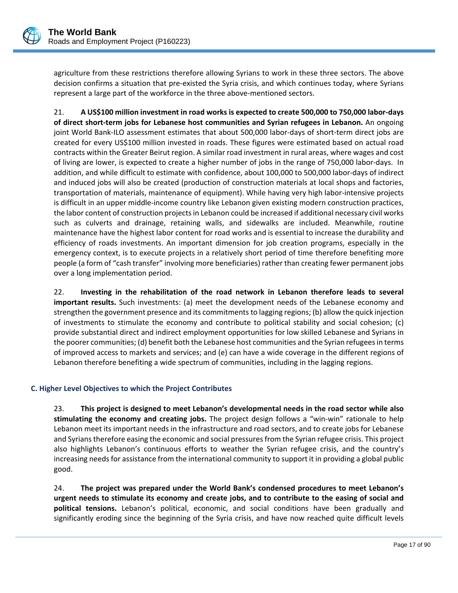

agriculture from these restrictions therefore allowing Syrians to work in these three sectors. The above decision confirms a situation that pre‐existed the Syria crisis, and which continues today, where Syrians represent a large part of the workforce in the three above‐mentioned sectors.

21. **A US\$100 million investment in road works is expected to create 500,000 to 750,000 labor‐days of direct short‐term jobs for Lebanese host communities and Syrian refugees in Lebanon.** An ongoing joint World Bank-ILO assessment estimates that about 500,000 labor-days of short-term direct jobs are created for every US\$100 million invested in roads. These figures were estimated based on actual road contracts within the Greater Beirut region. A similar road investment in rural areas, where wages and cost of living are lower, is expected to create a higher number of jobs in the range of 750,000 labor‐days. In addition, and while difficult to estimate with confidence, about 100,000 to 500,000 labor‐days of indirect and induced jobs will also be created (production of construction materials at local shops and factories, transportation of materials, maintenance of equipment). While having very high labor-intensive projects is difficult in an upper middle‐income country like Lebanon given existing modern construction practices, the labor content of construction projectsin Lebanon could be increased if additional necessary civil works such as culverts and drainage, retaining walls, and sidewalks are included. Meanwhile, routine maintenance have the highest labor content for road works and is essential to increase the durability and efficiency of roads investments. An important dimension for job creation programs, especially in the emergency context, is to execute projects in a relatively short period of time therefore benefiting more people (a form of "cash transfer" involving more beneficiaries) rather than creating fewer permanent jobs over a long implementation period.

22. **Investing in the rehabilitation of the road network in Lebanon therefore leads to several important results.** Such investments: (a) meet the development needs of the Lebanese economy and strengthen the government presence and its commitments to lagging regions; (b) allow the quick injection of investments to stimulate the economy and contribute to political stability and social cohesion; (c) provide substantial direct and indirect employment opportunities for low skilled Lebanese and Syrians in the poorer communities; (d) benefit both the Lebanese host communities and the Syrian refugees in terms of improved access to markets and services; and (e) can have a wide coverage in the different regions of Lebanon therefore benefiting a wide spectrum of communities, including in the lagging regions.

## **C. Higher Level Objectives to which the Project Contributes**

23. **This project is designed to meet Lebanon's developmental needs in the road sector while also stimulating the economy and creating jobs.** The project design follows a "win‐win" rationale to help Lebanon meet its important needs in the infrastructure and road sectors, and to create jobs for Lebanese and Syrians therefore easing the economic and social pressures from the Syrian refugee crisis. This project also highlights Lebanon's continuous efforts to weather the Syrian refugee crisis, and the country's increasing needs for assistance from the international community to support it in providing a global public good.

24. **The project was prepared under the World Bank's condensed procedures to meet Lebanon's** urgent needs to stimulate its economy and create jobs, and to contribute to the easing of social and **political tensions.** Lebanon's political, economic, and social conditions have been gradually and significantly eroding since the beginning of the Syria crisis, and have now reached quite difficult levels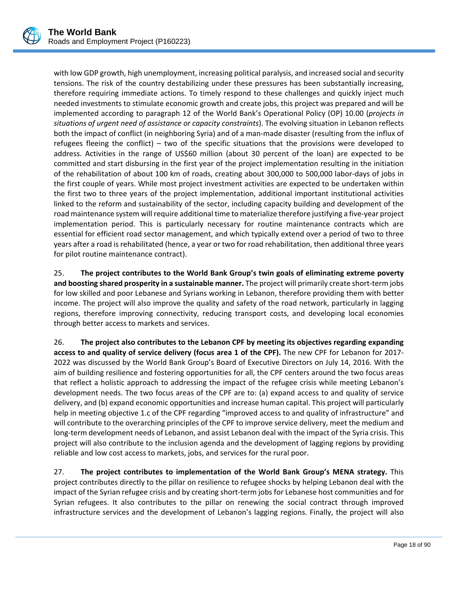

with low GDP growth, high unemployment, increasing political paralysis, and increased social and security tensions. The risk of the country destabilizing under these pressures has been substantially increasing, therefore requiring immediate actions. To timely respond to these challenges and quickly inject much needed investments to stimulate economic growth and create jobs, this project was prepared and will be implemented according to paragraph 12 of the World Bank's Operational Policy (OP) 10.00 (*projects in situations of urgent need of assistance or capacity constraints*). The evolving situation in Lebanon reflects both the impact of conflict (in neighboring Syria) and of a man‐made disaster (resulting from the influx of refugees fleeing the conflict) – two of the specific situations that the provisions were developed to address. Activities in the range of US\$60 million (about 30 percent of the loan) are expected to be committed and start disbursing in the first year of the project implementation resulting in the initiation of the rehabilitation of about 100 km of roads, creating about 300,000 to 500,000 labor‐days of jobs in the first couple of years. While most project investment activities are expected to be undertaken within the first two to three years of the project implementation, additional important institutional activities linked to the reform and sustainability of the sector, including capacity building and development of the road maintenance system will require additional time to materialize therefore justifying a five-year project implementation period. This is particularly necessary for routine maintenance contracts which are essential for efficient road sector management, and which typically extend over a period of two to three years after a road isrehabilitated (hence, a year or two for road rehabilitation, then additional three years for pilot routine maintenance contract).

25. **The project contributes to the World Bank Group's twin goals of eliminating extreme poverty and boosting shared prosperity in a sustainable manner.** The project will primarily create short‐term jobs for low skilled and poor Lebanese and Syrians working in Lebanon, therefore providing them with better income. The project will also improve the quality and safety of the road network, particularly in lagging regions, therefore improving connectivity, reducing transport costs, and developing local economies through better access to markets and services.

26. **The project also contributes to the Lebanon CPF by meeting its objectives regarding expanding access to and quality of service delivery (focus area 1 of the CPF).** The new CPF for Lebanon for 2017‐ 2022 was discussed by the World Bank Group's Board of Executive Directors on July 14, 2016. With the aim of building resilience and fostering opportunities for all, the CPF centers around the two focus areas that reflect a holistic approach to addressing the impact of the refugee crisis while meeting Lebanon's development needs. The two focus areas of the CPF are to: (a) expand access to and quality of service delivery, and (b) expand economic opportunities and increase human capital. This project will particularly help in meeting objective 1.c of the CPF regarding "improved access to and quality of infrastructure" and will contribute to the overarching principles of the CPF to improve service delivery, meet the medium and long-term development needs of Lebanon, and assist Lebanon deal with the impact of the Syria crisis. This project will also contribute to the inclusion agenda and the development of lagging regions by providing reliable and low cost access to markets, jobs, and services for the rural poor.

27. **The project contributes to implementation of the World Bank Group's MENA strategy.** This project contributes directly to the pillar on resilience to refugee shocks by helping Lebanon deal with the impact of the Syrian refugee crisis and by creating short‐term jobs for Lebanese host communities and for Syrian refugees. It also contributes to the pillar on renewing the social contract through improved infrastructure services and the development of Lebanon's lagging regions. Finally, the project will also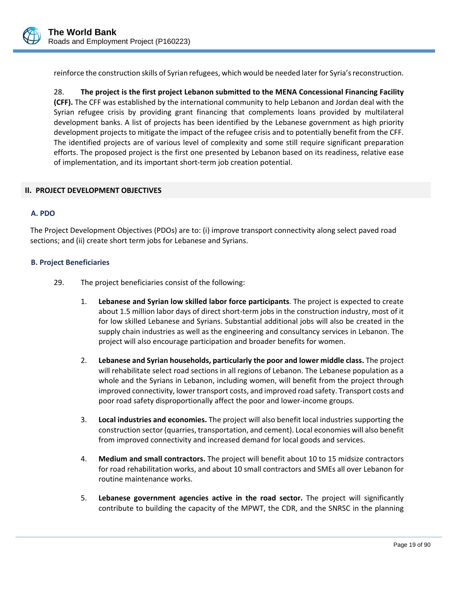

reinforce the construction skills of Syrian refugees, which would be needed later for Syria's reconstruction.

28. **The project is the first project Lebanon submitted to the MENA Concessional Financing Facility (CFF).** The CFF was established by the international community to help Lebanon and Jordan deal with the Syrian refugee crisis by providing grant financing that complements loans provided by multilateral development banks. A list of projects has been identified by the Lebanese government as high priority development projects to mitigate the impact of the refugee crisis and to potentially benefit from the CFF. The identified projects are of various level of complexity and some still require significant preparation efforts. The proposed project is the first one presented by Lebanon based on its readiness, relative ease of implementation, and its important short‐term job creation potential.

#### **II. PROJECT DEVELOPMENT OBJECTIVES**

#### **A. PDO**

The Project Development Objectives (PDOs) are to: (i) improve transport connectivity along select paved road sections; and (ii) create short term jobs for Lebanese and Syrians.

#### **B. Project Beneficiaries**

- 29. The project beneficiaries consist of the following:
	- 1. **Lebanese and Syrian low skilled labor force participants**. The project is expected to create about 1.5 million labor days of direct short-term jobs in the construction industry, most of it for low skilled Lebanese and Syrians. Substantial additional jobs will also be created in the supply chain industries as well as the engineering and consultancy services in Lebanon. The project will also encourage participation and broader benefits for women.
	- 2. **Lebanese and Syrian households, particularly the poor and lower middle class.** The project will rehabilitate select road sections in all regions of Lebanon. The Lebanese population as a whole and the Syrians in Lebanon, including women, will benefit from the project through improved connectivity, lower transport costs, and improved road safety. Transport costs and poor road safety disproportionally affect the poor and lower‐income groups.
	- 3. **Local industries and economies.** The project will also benefit local industries supporting the construction sector (quarries, transportation, and cement). Local economies will also benefit from improved connectivity and increased demand for local goods and services.
	- 4. **Medium and small contractors.** The project will benefit about 10 to 15 midsize contractors for road rehabilitation works, and about 10 small contractors and SMEs all over Lebanon for routine maintenance works.
	- 5. **Lebanese government agencies active in the road sector.** The project will significantly contribute to building the capacity of the MPWT, the CDR, and the SNRSC in the planning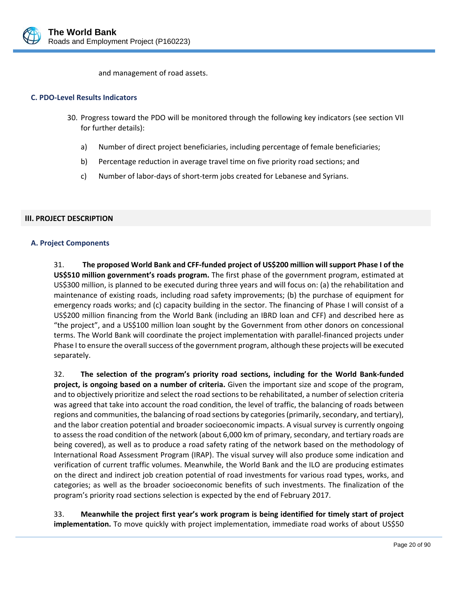

and management of road assets.

#### **C. PDO‐Level Results Indicators**

- 30. Progress toward the PDO will be monitored through the following key indicators (see section VII for further details):
	- a) Number of direct project beneficiaries, including percentage of female beneficiaries;
	- b) Percentage reduction in average travel time on five priority road sections; and
	- c) Number of labor‐days of short‐term jobs created for Lebanese and Syrians.

#### **III. PROJECT DESCRIPTION**

#### **A. Project Components**

31. **The proposed World Bank and CFF‐funded project of US\$200 million will support Phase I of the US\$510 million government's roads program.** The first phase of the government program, estimated at US\$300 million, is planned to be executed during three years and will focus on: (a) the rehabilitation and maintenance of existing roads, including road safety improvements; (b) the purchase of equipment for emergency roads works; and (c) capacity building in the sector. The financing of Phase I will consist of a US\$200 million financing from the World Bank (including an IBRD loan and CFF) and described here as "the project", and a US\$100 million loan sought by the Government from other donors on concessional terms. The World Bank will coordinate the project implementation with parallel‐financed projects under Phase I to ensure the overall success of the government program, although these projects will be executed separately.

32. **The selection of the program's priority road sections, including for the World Bank‐funded project, is ongoing based on a number of criteria.** Given the important size and scope of the program, and to objectively prioritize and select the road sections to be rehabilitated, a number of selection criteria was agreed that take into account the road condition, the level of traffic, the balancing of roads between regions and communities, the balancing of road sections by categories (primarily, secondary, and tertiary), and the labor creation potential and broader socioeconomic impacts. A visual survey is currently ongoing to assess the road condition of the network (about 6,000 km of primary, secondary, and tertiary roads are being covered), as well as to produce a road safety rating of the network based on the methodology of International Road Assessment Program (IRAP). The visual survey will also produce some indication and verification of current traffic volumes. Meanwhile, the World Bank and the ILO are producing estimates on the direct and indirect job creation potential of road investments for various road types, works, and categories; as well as the broader socioeconomic benefits of such investments. The finalization of the program's priority road sections selection is expected by the end of February 2017.

33. **Meanwhile the project first year's work program is being identified for timely start of project implementation.** To move quickly with project implementation, immediate road works of about US\$50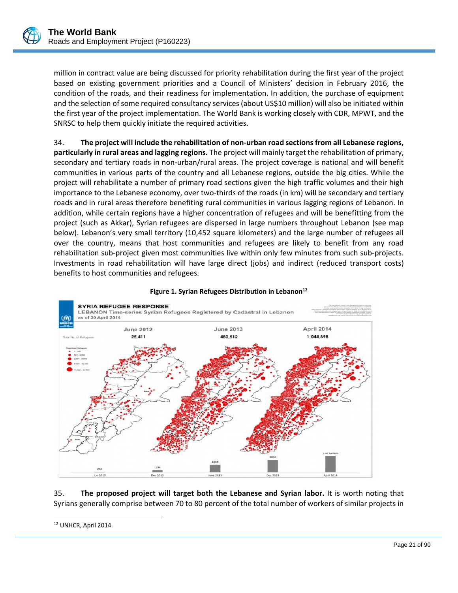

million in contract value are being discussed for priority rehabilitation during the first year of the project based on existing government priorities and a Council of Ministers' decision in February 2016, the condition of the roads, and their readiness for implementation. In addition, the purchase of equipment and the selection of some required consultancy services (about US\$10 million) will also be initiated within the first year of the project implementation. The World Bank is working closely with CDR, MPWT, and the SNRSC to help them quickly initiate the required activities.

34. **The project will include the rehabilitation of non‐urban road sectionsfrom all Lebanese regions, particularly in rural areas and lagging regions.** The project will mainly target the rehabilitation of primary, secondary and tertiary roads in non-urban/rural areas. The project coverage is national and will benefit communities in various parts of the country and all Lebanese regions, outside the big cities. While the project will rehabilitate a number of primary road sections given the high traffic volumes and their high importance to the Lebanese economy, over two-thirds of the roads (in km) will be secondary and tertiary roads and in rural areas therefore benefiting rural communities in various lagging regions of Lebanon. In addition, while certain regions have a higher concentration of refugees and will be benefitting from the project (such as Akkar), Syrian refugees are dispersed in large numbers throughout Lebanon (see map below). Lebanon's very small territory (10,452 square kilometers) and the large number of refugees all over the country, means that host communities and refugees are likely to benefit from any road rehabilitation sub‐project given most communities live within only few minutes from such sub‐projects. Investments in road rehabilitation will have large direct (jobs) and indirect (reduced transport costs) benefits to host communities and refugees.



#### **Figure 1. Syrian Refugees Distribution in Lebanon12**

35. **The proposed project will target both the Lebanese and Syrian labor.** It is worth noting that Syrians generally comprise between 70 to 80 percent of the total number of workers of similar projects in

 $\overline{a}$ <sup>12</sup> UNHCR, April 2014.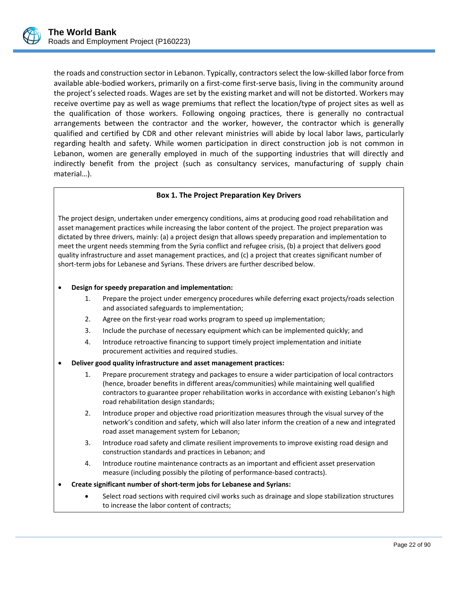

the roads and construction sector in Lebanon. Typically, contractorsselect the low‐skilled labor force from available able‐bodied workers, primarily on a first‐come first‐serve basis, living in the community around the project's selected roads. Wages are set by the existing market and will not be distorted. Workers may receive overtime pay as well as wage premiums that reflect the location/type of project sites as well as the qualification of those workers. Following ongoing practices, there is generally no contractual arrangements between the contractor and the worker, however, the contractor which is generally qualified and certified by CDR and other relevant ministries will abide by local labor laws, particularly regarding health and safety. While women participation in direct construction job is not common in Lebanon, women are generally employed in much of the supporting industries that will directly and indirectly benefit from the project (such as consultancy services, manufacturing of supply chain material…).

## **Box 1. The Project Preparation Key Drivers**

The project design, undertaken under emergency conditions, aims at producing good road rehabilitation and asset management practices while increasing the labor content of the project. The project preparation was dictated by three drivers, mainly: (a) a project design that allows speedy preparation and implementation to meet the urgent needs stemming from the Syria conflict and refugee crisis, (b) a project that delivers good quality infrastructure and asset management practices, and (c) a project that creates significant number of short-term jobs for Lebanese and Syrians. These drivers are further described below.

#### **Design for speedy preparation and implementation:**

- 1. Prepare the project under emergency procedures while deferring exact projects/roads selection and associated safeguards to implementation;
- 2. Agree on the first-year road works program to speed up implementation;
- 3. Include the purchase of necessary equipment which can be implemented quickly; and
- 4. Introduce retroactive financing to support timely project implementation and initiate procurement activities and required studies.

#### **Deliver good quality infrastructure and asset management practices:**

- 1. Prepare procurement strategy and packages to ensure a wider participation of local contractors (hence, broader benefits in different areas/communities) while maintaining well qualified contractors to guarantee proper rehabilitation works in accordance with existing Lebanon's high road rehabilitation design standards;
- 2. Introduce proper and objective road prioritization measures through the visual survey of the network's condition and safety, which will also later inform the creation of a new and integrated road asset management system for Lebanon;
- 3. Introduce road safety and climate resilient improvements to improve existing road design and construction standards and practices in Lebanon; and
- 4. Introduce routine maintenance contracts as an important and efficient asset preservation measure (including possibly the piloting of performance‐based contracts).

- **Create significant number of short‐term jobs for Lebanese and Syrians:**
	- Select road sections with required civil works such as drainage and slope stabilization structures to increase the labor content of contracts;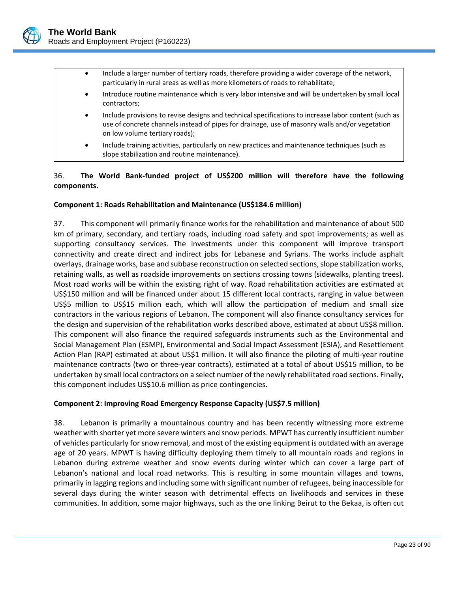

- Include a larger number of tertiary roads, therefore providing a wider coverage of the network, particularly in rural areas as well as more kilometers of roads to rehabilitate;
- Introduce routine maintenance which is very labor intensive and will be undertaken by small local contractors;
- Include provisions to revise designs and technical specifications to increase labor content (such as use of concrete channels instead of pipes for drainage, use of masonry walls and/or vegetation on low volume tertiary roads);
- Include training activities, particularly on new practices and maintenance techniques (such as slope stabilization and routine maintenance).

# 36. **The World Bank‐funded project of US\$200 million will therefore have the following components.**

## **Component 1: Roads Rehabilitation and Maintenance (US\$184.6 million)**

37. This component will primarily finance works for the rehabilitation and maintenance of about 500 km of primary, secondary, and tertiary roads, including road safety and spot improvements; as well as supporting consultancy services. The investments under this component will improve transport connectivity and create direct and indirect jobs for Lebanese and Syrians. The works include asphalt overlays, drainage works, base and subbase reconstruction on selected sections, slope stabilization works, retaining walls, as well as roadside improvements on sections crossing towns (sidewalks, planting trees). Most road works will be within the existing right of way. Road rehabilitation activities are estimated at US\$150 million and will be financed under about 15 different local contracts, ranging in value between US\$5 million to US\$15 million each, which will allow the participation of medium and small size contractors in the various regions of Lebanon. The component will also finance consultancy services for the design and supervision of the rehabilitation works described above, estimated at about US\$8 million. This component will also finance the required safeguards instruments such as the Environmental and Social Management Plan (ESMP), Environmental and Social Impact Assessment (ESIA), and Resettlement Action Plan (RAP) estimated at about US\$1 million. It will also finance the piloting of multi-year routine maintenance contracts (two or three‐year contracts), estimated at a total of about US\$15 million, to be undertaken by small local contractors on a select number of the newly rehabilitated road sections. Finally, this component includes US\$10.6 million as price contingencies.

## **Component 2: Improving Road Emergency Response Capacity (US\$7.5 million)**

38. Lebanon is primarily a mountainous country and has been recently witnessing more extreme weather with shorter yet more severe winters and snow periods. MPWT has currently insufficient number of vehicles particularly for snow removal, and most of the existing equipment is outdated with an average age of 20 years. MPWT is having difficulty deploying them timely to all mountain roads and regions in Lebanon during extreme weather and snow events during winter which can cover a large part of Lebanon's national and local road networks. This is resulting in some mountain villages and towns, primarily in lagging regions and including some with significant number of refugees, being inaccessible for several days during the winter season with detrimental effects on livelihoods and services in these communities. In addition, some major highways, such as the one linking Beirut to the Bekaa, is often cut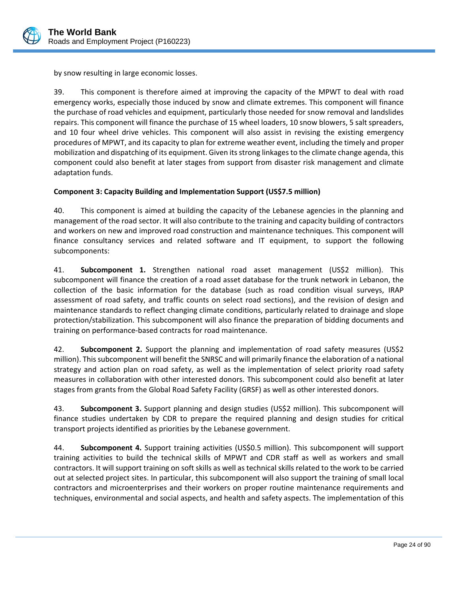

by snow resulting in large economic losses.

39. This component is therefore aimed at improving the capacity of the MPWT to deal with road emergency works, especially those induced by snow and climate extremes. This component will finance the purchase of road vehicles and equipment, particularly those needed for snow removal and landslides repairs. This component will finance the purchase of 15 wheel loaders, 10 snow blowers, 5 salt spreaders, and 10 four wheel drive vehicles. This component will also assist in revising the existing emergency procedures of MPWT, and its capacity to plan for extreme weather event, including the timely and proper mobilization and dispatching of its equipment. Given itsstrong linkagesto the climate change agenda, this component could also benefit at later stages from support from disaster risk management and climate adaptation funds.

## **Component 3: Capacity Building and Implementation Support (US\$7.5 million)**

40. This component is aimed at building the capacity of the Lebanese agencies in the planning and management of the road sector. It will also contribute to the training and capacity building of contractors and workers on new and improved road construction and maintenance techniques. This component will finance consultancy services and related software and IT equipment, to support the following subcomponents:

41. **Subcomponent 1.** Strengthen national road asset management (US\$2 million). This subcomponent will finance the creation of a road asset database for the trunk network in Lebanon, the collection of the basic information for the database (such as road condition visual surveys, IRAP assessment of road safety, and traffic counts on select road sections), and the revision of design and maintenance standards to reflect changing climate conditions, particularly related to drainage and slope protection/stabilization. This subcomponent will also finance the preparation of bidding documents and training on performance‐based contracts for road maintenance.

42. **Subcomponent 2.** Support the planning and implementation of road safety measures (US\$2 million). Thissubcomponent will benefit the SNRSC and will primarily finance the elaboration of a national strategy and action plan on road safety, as well as the implementation of select priority road safety measures in collaboration with other interested donors. This subcomponent could also benefit at later stages from grants from the Global Road Safety Facility (GRSF) as well as other interested donors.

43. **Subcomponent 3.** Support planning and design studies (US\$2 million). This subcomponent will finance studies undertaken by CDR to prepare the required planning and design studies for critical transport projects identified as priorities by the Lebanese government.

44. **Subcomponent 4.** Support training activities (US\$0.5 million). This subcomponent will support training activities to build the technical skills of MPWT and CDR staff as well as workers and small contractors. It will support training on soft skills as well as technical skills related to the work to be carried out at selected project sites. In particular, this subcomponent will also support the training of small local contractors and microenterprises and their workers on proper routine maintenance requirements and techniques, environmental and social aspects, and health and safety aspects. The implementation of this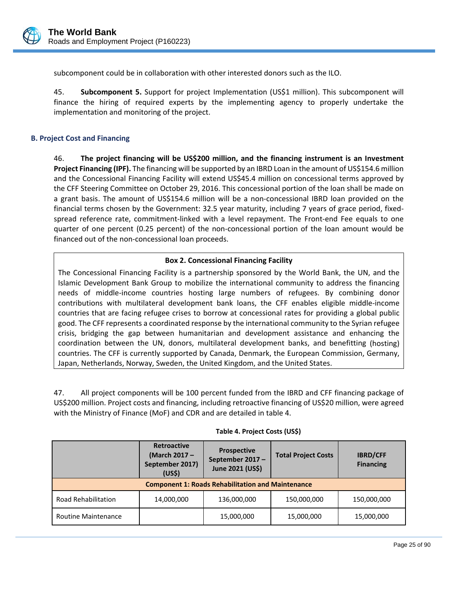

subcomponent could be in collaboration with other interested donors such as the ILO.

45. **Subcomponent 5.** Support for project Implementation (US\$1 million). This subcomponent will finance the hiring of required experts by the implementing agency to properly undertake the implementation and monitoring of the project.

## **B. Project Cost and Financing**

46. **The project financing will be US\$200 million, and the financing instrument is an Investment Project Financing (IPF).** The financing will be supported by an IBRD Loan in the amount of US\$154.6 million and the Concessional Financing Facility will extend US\$45.4 million on concessional terms approved by the CFF Steering Committee on October 29, 2016. This concessional portion of the loan shall be made on a grant basis. The amount of US\$154.6 million will be a non-concessional IBRD loan provided on the financial terms chosen by the Government: 32.5 year maturity, including 7 years of grace period, fixedspread reference rate, commitment-linked with a level repayment. The Front-end Fee equals to one quarter of one percent (0.25 percent) of the non-concessional portion of the loan amount would be financed out of the non‐concessional loan proceeds.

## **Box 2. Concessional Financing Facility**

The Concessional Financing Facility is a partnership sponsored by the World Bank, the UN, and the Islamic Development Bank Group to mobilize the international community to address the financing needs of middle‐income countries hosting large numbers of refugees. By combining donor contributions with multilateral development bank loans, the CFF enables eligible middle‐income countries that are facing refugee crises to borrow at concessional rates for providing a global public good. The CFF represents a coordinated response by the international community to the Syrian refugee crisis, bridging the gap between humanitarian and development assistance and enhancing the coordination between the UN, donors, multilateral development banks, and benefitting (hosting) countries. The CFF is currently supported by Canada, Denmark, the European Commission, Germany, Japan, Netherlands, Norway, Sweden, the United Kingdom, and the United States.

47. All project components will be 100 percent funded from the IBRD and CFF financing package of US\$200 million. Project costs and financing, including retroactive financing of US\$20 million, were agreed with the Ministry of Finance (MoF) and CDR and are detailed in table 4.

|                                                          | <b>Retroactive</b><br><b>Prospective</b><br>(March 2017 -<br>September 2017-<br>September 2017)<br>June 2021 (US\$)<br>(US <sub>5</sub> ) |             | <b>Total Project Costs</b> | <b>IBRD/CFF</b><br><b>Financing</b> |  |  |
|----------------------------------------------------------|-------------------------------------------------------------------------------------------------------------------------------------------|-------------|----------------------------|-------------------------------------|--|--|
| <b>Component 1: Roads Rehabilitation and Maintenance</b> |                                                                                                                                           |             |                            |                                     |  |  |
| Road Rehabilitation                                      | 14,000,000                                                                                                                                | 136,000,000 | 150,000,000                | 150,000,000                         |  |  |
| <b>Routine Maintenance</b>                               |                                                                                                                                           | 15,000,000  | 15,000,000                 | 15,000,000                          |  |  |

 $\overline{a}$ 

#### **Table 4. Project Costs (US\$)**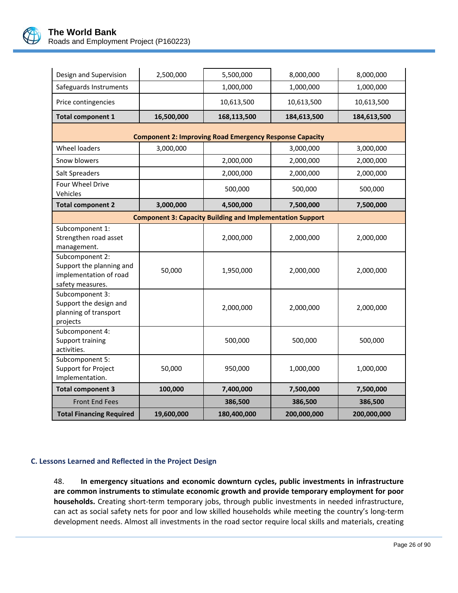

| Design and Supervision                                                                    | 2,500,000  | 5,500,000                                                        | 8,000,000   | 8,000,000   |
|-------------------------------------------------------------------------------------------|------------|------------------------------------------------------------------|-------------|-------------|
| Safeguards Instruments                                                                    |            | 1,000,000                                                        | 1,000,000   | 1,000,000   |
| Price contingencies                                                                       |            | 10,613,500                                                       | 10,613,500  | 10,613,500  |
| <b>Total component 1</b>                                                                  | 16,500,000 | 168,113,500                                                      | 184,613,500 | 184,613,500 |
|                                                                                           |            | <b>Component 2: Improving Road Emergency Response Capacity</b>   |             |             |
| <b>Wheel loaders</b>                                                                      | 3,000,000  |                                                                  | 3,000,000   | 3,000,000   |
| Snow blowers                                                                              |            | 2,000,000                                                        | 2,000,000   | 2,000,000   |
| Salt Spreaders                                                                            |            | 2,000,000                                                        | 2,000,000   | 2,000,000   |
| Four Wheel Drive<br>Vehicles                                                              |            | 500,000                                                          | 500,000     | 500,000     |
| <b>Total component 2</b>                                                                  | 3,000,000  | 4,500,000                                                        | 7,500,000   | 7,500,000   |
|                                                                                           |            | <b>Component 3: Capacity Building and Implementation Support</b> |             |             |
| Subcomponent 1:<br>Strengthen road asset<br>management.                                   |            | 2,000,000                                                        | 2,000,000   | 2,000,000   |
| Subcomponent 2:<br>Support the planning and<br>implementation of road<br>safety measures. | 50,000     | 1,950,000                                                        | 2,000,000   | 2,000,000   |
| Subcomponent 3:<br>Support the design and<br>planning of transport<br>projects            |            | 2,000,000                                                        | 2,000,000   | 2,000,000   |
| Subcomponent 4:<br>Support training<br>activities.                                        |            | 500,000                                                          | 500,000     | 500,000     |
| Subcomponent 5:<br>Support for Project<br>Implementation.                                 | 50,000     | 950,000                                                          | 1,000,000   | 1,000,000   |
| <b>Total component 3</b>                                                                  | 100,000    | 7,400,000                                                        | 7,500,000   | 7,500,000   |
| <b>Front End Fees</b>                                                                     |            | 386,500                                                          | 386,500     | 386,500     |
| <b>Total Financing Required</b>                                                           | 19,600,000 | 180,400,000                                                      | 200,000,000 | 200,000,000 |

# **C. Lessons Learned and Reflected in the Project Design**

48. **In emergency situations and economic downturn cycles, public investments in infrastructure are common instruments to stimulate economic growth and provide temporary employment for poor households.** Creating short‐term temporary jobs, through public investments in needed infrastructure, can act as social safety nets for poor and low skilled households while meeting the country's long‐term development needs. Almost all investments in the road sector require local skills and materials, creating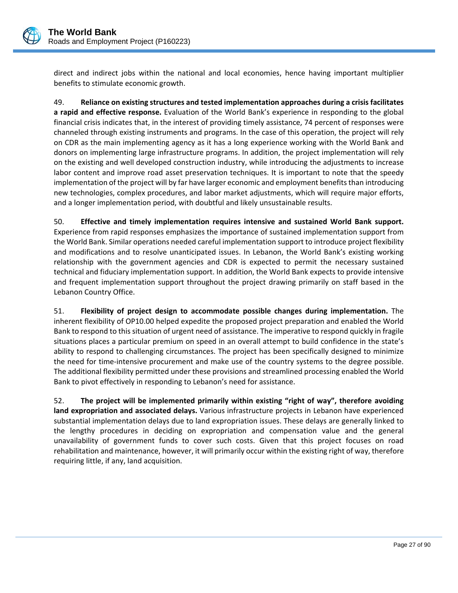

direct and indirect jobs within the national and local economies, hence having important multiplier benefits to stimulate economic growth.

49. **Reliance on existing structures and tested implementation approaches during a crisis facilitates a rapid and effective response.** Evaluation of the World Bank's experience in responding to the global financial crisis indicates that, in the interest of providing timely assistance, 74 percent of responses were channeled through existing instruments and programs. In the case of this operation, the project will rely on CDR as the main implementing agency as it has a long experience working with the World Bank and donors on implementing large infrastructure programs. In addition, the project implementation will rely on the existing and well developed construction industry, while introducing the adjustments to increase labor content and improve road asset preservation techniques. It is important to note that the speedy implementation of the project will by far have larger economic and employment benefits than introducing new technologies, complex procedures, and labor market adjustments, which will require major efforts, and a longer implementation period, with doubtful and likely unsustainable results.

50. **Effective and timely implementation requires intensive and sustained World Bank support.** Experience from rapid responses emphasizes the importance of sustained implementation support from the World Bank. Similar operations needed careful implementation support to introduce project flexibility and modifications and to resolve unanticipated issues. In Lebanon, the World Bank's existing working relationship with the government agencies and CDR is expected to permit the necessary sustained technical and fiduciary implementation support. In addition, the World Bank expects to provide intensive and frequent implementation support throughout the project drawing primarily on staff based in the Lebanon Country Office.

51. **Flexibility of project design to accommodate possible changes during implementation.** The inherent flexibility of OP10.00 helped expedite the proposed project preparation and enabled the World Bank to respond to this situation of urgent need of assistance. The imperative to respond quickly in fragile situations places a particular premium on speed in an overall attempt to build confidence in the state's ability to respond to challenging circumstances. The project has been specifically designed to minimize the need for time‐intensive procurement and make use of the country systems to the degree possible. The additional flexibility permitted under these provisions and streamlined processing enabled the World Bank to pivot effectively in responding to Lebanon's need for assistance.

52. **The project will be implemented primarily within existing "right of way", therefore avoiding land expropriation and associated delays.** Various infrastructure projects in Lebanon have experienced substantial implementation delays due to land expropriation issues. These delays are generally linked to the lengthy procedures in deciding on expropriation and compensation value and the general unavailability of government funds to cover such costs. Given that this project focuses on road rehabilitation and maintenance, however, it will primarily occur within the existing right of way, therefore requiring little, if any, land acquisition.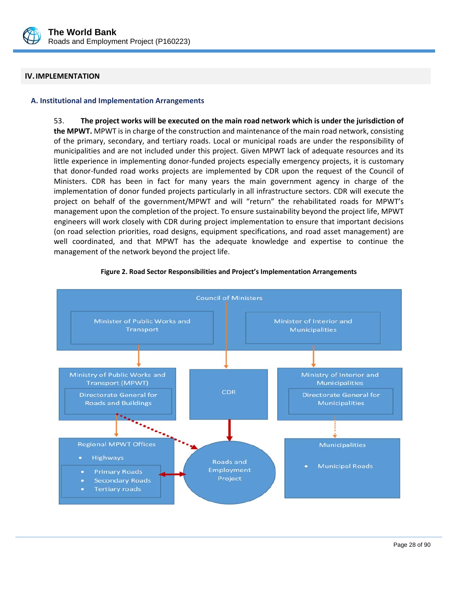

## **IV.IMPLEMENTATION**

#### **A. Institutional and Implementation Arrangements**

53. **The project works will be executed on the main road network which is under the jurisdiction of the MPWT.** MPWT is in charge of the construction and maintenance of the main road network, consisting of the primary, secondary, and tertiary roads. Local or municipal roads are under the responsibility of municipalities and are not included under this project. Given MPWT lack of adequate resources and its little experience in implementing donor-funded projects especially emergency projects, it is customary that donor‐funded road works projects are implemented by CDR upon the request of the Council of Ministers. CDR has been in fact for many years the main government agency in charge of the implementation of donor funded projects particularly in all infrastructure sectors. CDR will execute the project on behalf of the government/MPWT and will "return" the rehabilitated roads for MPWT's management upon the completion of the project. To ensure sustainability beyond the project life, MPWT engineers will work closely with CDR during project implementation to ensure that important decisions (on road selection priorities, road designs, equipment specifications, and road asset management) are well coordinated, and that MPWT has the adequate knowledge and expertise to continue the management of the network beyond the project life.



 $\overline{a}$ 

#### **Figure 2. Road Sector Responsibilities and Project's Implementation Arrangements**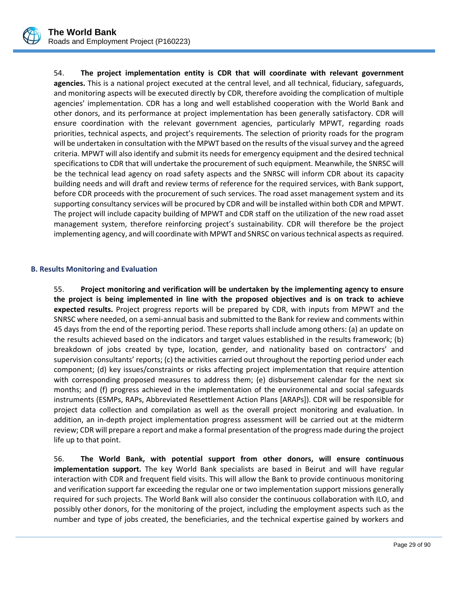

54. **The project implementation entity is CDR that will coordinate with relevant government agencies.** This is a national project executed at the central level, and all technical, fiduciary, safeguards, and monitoring aspects will be executed directly by CDR, therefore avoiding the complication of multiple agencies' implementation. CDR has a long and well established cooperation with the World Bank and other donors, and its performance at project implementation has been generally satisfactory. CDR will ensure coordination with the relevant government agencies, particularly MPWT, regarding roads priorities, technical aspects, and project's requirements. The selection of priority roads for the program will be undertaken in consultation with the MPWT based on the results of the visualsurvey and the agreed criteria. MPWT will also identify and submit its needs for emergency equipment and the desired technical specifications to CDR that will undertake the procurement of such equipment. Meanwhile, the SNRSC will be the technical lead agency on road safety aspects and the SNRSC will inform CDR about its capacity building needs and will draft and review terms of reference for the required services, with Bank support, before CDR proceeds with the procurement of such services. The road asset management system and its supporting consultancy services will be procured by CDR and will be installed within both CDR and MPWT. The project will include capacity building of MPWT and CDR staff on the utilization of the new road asset management system, therefore reinforcing project's sustainability. CDR will therefore be the project implementing agency, and will coordinate with MPWT and SNRSC on various technical aspects as required.

## **B. Results Monitoring and Evaluation**

55. **Project monitoring and verification will be undertaken by the implementing agency to ensure the project is being implemented in line with the proposed objectives and is on track to achieve expected results.** Project progress reports will be prepared by CDR, with inputs from MPWT and the SNRSC where needed, on a semi‐annual basis and submitted to the Bank for review and comments within 45 days from the end of the reporting period. These reports shall include among others: (a) an update on the results achieved based on the indicators and target values established in the results framework; (b) breakdown of jobs created by type, location, gender, and nationality based on contractors' and supervision consultants' reports; (c) the activities carried out throughout the reporting period under each component; (d) key issues/constraints or risks affecting project implementation that require attention with corresponding proposed measures to address them; (e) disbursement calendar for the next six months; and (f) progress achieved in the implementation of the environmental and social safeguards instruments (ESMPs, RAPs, Abbreviated Resettlement Action Plans [ARAPs]). CDR will be responsible for project data collection and compilation as well as the overall project monitoring and evaluation. In addition, an in‐depth project implementation progress assessment will be carried out at the midterm review; CDR will prepare a report and make a formal presentation of the progress made during the project life up to that point.

56. **The World Bank, with potential support from other donors, will ensure continuous implementation support.** The key World Bank specialists are based in Beirut and will have regular interaction with CDR and frequent field visits. This will allow the Bank to provide continuous monitoring and verification support far exceeding the regular one or two implementation support missions generally required for such projects. The World Bank will also consider the continuous collaboration with ILO, and possibly other donors, for the monitoring of the project, including the employment aspects such as the number and type of jobs created, the beneficiaries, and the technical expertise gained by workers and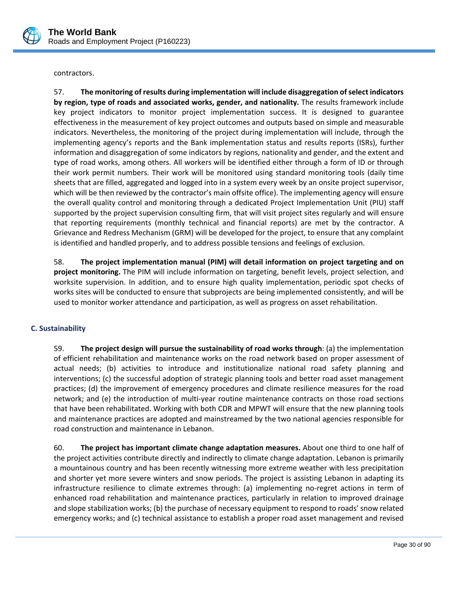

contractors.

57. **The monitoring of results during implementation will include disaggregation ofselect indicators by region, type of roads and associated works, gender, and nationality.** The results framework include key project indicators to monitor project implementation success. It is designed to guarantee effectiveness in the measurement of key project outcomes and outputs based on simple and measurable indicators. Nevertheless, the monitoring of the project during implementation will include, through the implementing agency's reports and the Bank implementation status and results reports (ISRs), further information and disaggregation of some indicators by regions, nationality and gender, and the extent and type of road works, among others. All workers will be identified either through a form of ID or through their work permit numbers. Their work will be monitored using standard monitoring tools (daily time sheets that are filled, aggregated and logged into in a system every week by an onsite project supervisor, which will be then reviewed by the contractor's main offsite office). The implementing agency will ensure the overall quality control and monitoring through a dedicated Project Implementation Unit (PIU) staff supported by the project supervision consulting firm, that will visit project sites regularly and will ensure that reporting requirements (monthly technical and financial reports) are met by the contractor. A Grievance and Redress Mechanism (GRM) will be developed for the project, to ensure that any complaint is identified and handled properly, and to address possible tensions and feelings of exclusion.

58. **The project implementation manual (PIM) will detail information on project targeting and on project monitoring.** The PIM will include information on targeting, benefit levels, project selection, and worksite supervision. In addition, and to ensure high quality implementation, periodic spot checks of works sites will be conducted to ensure that subprojects are being implemented consistently, and will be used to monitor worker attendance and participation, as well as progress on asset rehabilitation.

## **C. Sustainability**

59. **The project design will pursue the sustainability of road works through**: (a) the implementation of efficient rehabilitation and maintenance works on the road network based on proper assessment of actual needs; (b) activities to introduce and institutionalize national road safety planning and interventions; (c) the successful adoption of strategic planning tools and better road asset management practices; (d) the improvement of emergency procedures and climate resilience measures for the road network; and (e) the introduction of multi-year routine maintenance contracts on those road sections that have been rehabilitated. Working with both CDR and MPWT will ensure that the new planning tools and maintenance practices are adopted and mainstreamed by the two national agencies responsible for road construction and maintenance in Lebanon.

60. **The project has important climate change adaptation measures.** About one third to one half of the project activities contribute directly and indirectly to climate change adaptation. Lebanon is primarily a mountainous country and has been recently witnessing more extreme weather with less precipitation and shorter yet more severe winters and snow periods. The project is assisting Lebanon in adapting its infrastructure resilience to climate extremes through: (a) implementing no-regret actions in term of enhanced road rehabilitation and maintenance practices, particularly in relation to improved drainage and slope stabilization works; (b) the purchase of necessary equipment to respond to roads' snow related emergency works; and (c) technical assistance to establish a proper road asset management and revised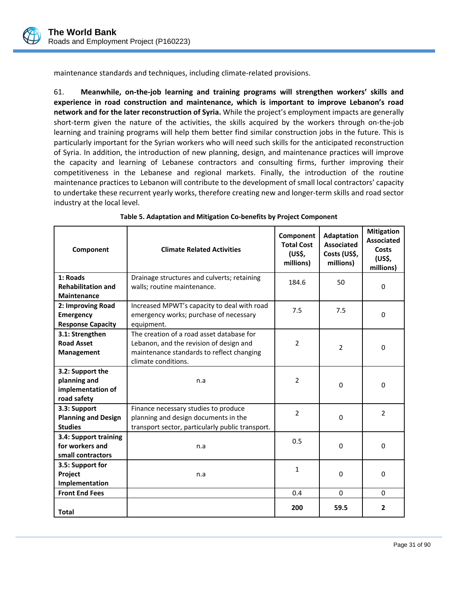

maintenance standards and techniques, including climate‐related provisions.

61. **Meanwhile, on‐the‐job learning and training programs will strengthen workers' skills and experience in road construction and maintenance, which is important to improve Lebanon's road network and for the later reconstruction of Syria.** While the project's employment impacts are generally short-term given the nature of the activities, the skills acquired by the workers through on-the-job learning and training programs will help them better find similar construction jobs in the future. This is particularly important for the Syrian workers who will need such skills for the anticipated reconstruction of Syria. In addition, the introduction of new planning, design, and maintenance practices will improve the capacity and learning of Lebanese contractors and consulting firms, further improving their competitiveness in the Lebanese and regional markets. Finally, the introduction of the routine maintenance practices to Lebanon will contribute to the development of small local contractors' capacity to undertake these recurrent yearly works, therefore creating new and longer‐term skills and road sector industry at the local level.

| Component                                                            | <b>Climate Related Activities</b>                                                                                                                        | Component<br><b>Total Cost</b><br>(US\$,<br>millions) | <b>Adaptation</b><br><b>Associated</b><br>Costs (US\$,<br>millions) | <b>Mitigation</b><br><b>Associated</b><br>Costs<br>(US\$,<br>millions) |
|----------------------------------------------------------------------|----------------------------------------------------------------------------------------------------------------------------------------------------------|-------------------------------------------------------|---------------------------------------------------------------------|------------------------------------------------------------------------|
| 1: Roads<br><b>Rehabilitation and</b><br><b>Maintenance</b>          | Drainage structures and culverts; retaining<br>walls; routine maintenance.                                                                               | 184.6                                                 | 50                                                                  | $\Omega$                                                               |
| 2: Improving Road<br><b>Emergency</b><br><b>Response Capacity</b>    | Increased MPWT's capacity to deal with road<br>emergency works; purchase of necessary<br>equipment.                                                      | 7.5                                                   | 7.5                                                                 | 0                                                                      |
| 3.1: Strengthen<br><b>Road Asset</b><br>Management                   | The creation of a road asset database for<br>Lebanon, and the revision of design and<br>maintenance standards to reflect changing<br>climate conditions. | $\overline{2}$                                        | $\overline{2}$                                                      | 0                                                                      |
| 3.2: Support the<br>planning and<br>implementation of<br>road safety | n.a                                                                                                                                                      | $\overline{2}$                                        | $\Omega$                                                            | 0                                                                      |
| 3.3: Support<br><b>Planning and Design</b><br><b>Studies</b>         | Finance necessary studies to produce<br>planning and design documents in the<br>transport sector, particularly public transport.                         | $\overline{2}$                                        | $\Omega$                                                            | 2                                                                      |
| 3.4: Support training<br>for workers and<br>small contractors        | n.a                                                                                                                                                      | 0.5                                                   | $\Omega$                                                            | $\Omega$                                                               |
| 3.5: Support for<br>Project<br>Implementation                        | n.a                                                                                                                                                      | $\mathbf{1}$                                          | $\Omega$                                                            | 0                                                                      |
| <b>Front End Fees</b>                                                |                                                                                                                                                          | 0.4                                                   | $\Omega$                                                            | $\Omega$                                                               |
| <b>Total</b>                                                         |                                                                                                                                                          | 200                                                   | 59.5                                                                | 2                                                                      |

 $\overline{a}$ 

#### **Table 5. Adaptation and Mitigation Co‐benefits by Project Component**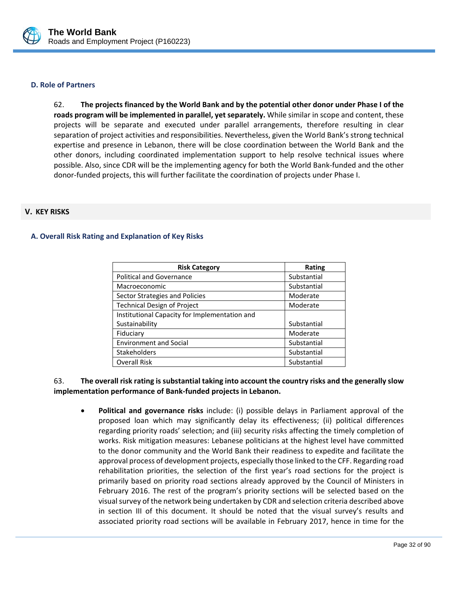

#### **D. Role of Partners**

62. **The projects financed by the World Bank and by the potential other donor under Phase I of the roads program will be implemented in parallel, yet separately.** While similar in scope and content, these projects will be separate and executed under parallel arrangements, therefore resulting in clear separation of project activities and responsibilities. Nevertheless, given the World Bank's strong technical expertise and presence in Lebanon, there will be close coordination between the World Bank and the other donors, including coordinated implementation support to help resolve technical issues where possible. Also, since CDR will be the implementing agency for both the World Bank‐funded and the other donor‐funded projects, this will further facilitate the coordination of projects under Phase I.

## **V. KEY RISKS**

## **A. Overall Risk Rating and Explanation of Key Risks**

| <b>Risk Category</b>                          | <b>Rating</b> |
|-----------------------------------------------|---------------|
| <b>Political and Governance</b>               | Substantial   |
| Macroeconomic                                 | Substantial   |
| Sector Strategies and Policies                | Moderate      |
| <b>Technical Design of Project</b>            | Moderate      |
| Institutional Capacity for Implementation and |               |
| Sustainability                                | Substantial   |
| Fiduciary                                     | Moderate      |
| <b>Environment and Social</b>                 | Substantial   |
| <b>Stakeholders</b>                           | Substantial   |
| <b>Overall Risk</b>                           | Substantial   |

## 63. **The overall risk rating is substantial taking into account the country risks and the generally slow implementation performance of Bank‐funded projects in Lebanon.**

 **Political and governance risks** include: (i) possible delays in Parliament approval of the proposed loan which may significantly delay its effectiveness; (ii) political differences regarding priority roads' selection; and (iii) security risks affecting the timely completion of works. Risk mitigation measures: Lebanese politicians at the highest level have committed to the donor community and the World Bank their readiness to expedite and facilitate the approval process of development projects, especially those linked to the CFF. Regarding road rehabilitation priorities, the selection of the first year's road sections for the project is primarily based on priority road sections already approved by the Council of Ministers in February 2016. The rest of the program's priority sections will be selected based on the visual survey of the network being undertaken by CDR and selection criteria described above in section III of this document. It should be noted that the visual survey's results and associated priority road sections will be available in February 2017, hence in time for the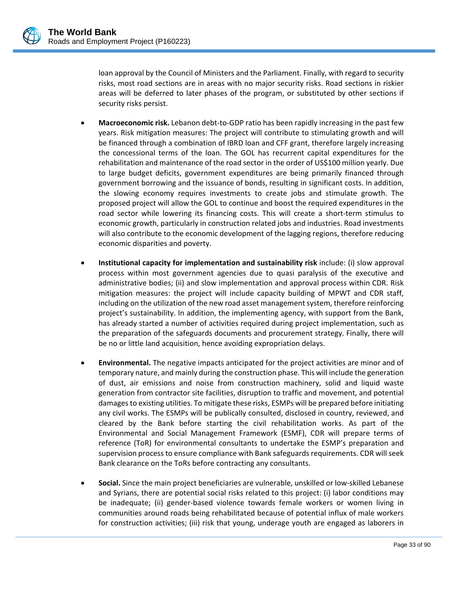

loan approval by the Council of Ministers and the Parliament. Finally, with regard to security risks, most road sections are in areas with no major security risks. Road sections in riskier areas will be deferred to later phases of the program, or substituted by other sections if security risks persist.

- **Macroeconomic risk.** Lebanon debt-to-GDP ratio has been rapidly increasing in the past few years. Risk mitigation measures: The project will contribute to stimulating growth and will be financed through a combination of IBRD loan and CFF grant, therefore largely increasing the concessional terms of the loan. The GOL has recurrent capital expenditures for the rehabilitation and maintenance of the road sector in the order of US\$100 million yearly. Due to large budget deficits, government expenditures are being primarily financed through government borrowing and the issuance of bonds, resulting in significant costs. In addition, the slowing economy requires investments to create jobs and stimulate growth. The proposed project will allow the GOL to continue and boost the required expenditures in the road sector while lowering its financing costs. This will create a short-term stimulus to economic growth, particularly in construction related jobs and industries. Road investments will also contribute to the economic development of the lagging regions, therefore reducing economic disparities and poverty.
- **Institutional capacity for implementation and sustainability risk** include: (i) slow approval process within most government agencies due to quasi paralysis of the executive and administrative bodies; (ii) and slow implementation and approval process within CDR. Risk mitigation measures: the project will include capacity building of MPWT and CDR staff, including on the utilization of the new road asset management system, therefore reinforcing project's sustainability. In addition, the implementing agency, with support from the Bank, has already started a number of activities required during project implementation, such as the preparation of the safeguards documents and procurement strategy. Finally, there will be no or little land acquisition, hence avoiding expropriation delays.
- **Environmental.** The negative impacts anticipated for the project activities are minor and of temporary nature, and mainly during the construction phase. This will include the generation of dust, air emissions and noise from construction machinery, solid and liquid waste generation from contractor site facilities, disruption to traffic and movement, and potential damages to existing utilities. To mitigate these risks, ESMPs will be prepared before initiating any civil works. The ESMPs will be publically consulted, disclosed in country, reviewed, and cleared by the Bank before starting the civil rehabilitation works. As part of the Environmental and Social Management Framework (ESMF), CDR will prepare terms of reference (ToR) for environmental consultants to undertake the ESMP's preparation and supervision process to ensure compliance with Bank safeguards requirements. CDR will seek Bank clearance on the ToRs before contracting any consultants.
- **Social.** Since the main project beneficiaries are vulnerable, unskilled or low‐skilled Lebanese and Syrians, there are potential social risks related to this project: (i) labor conditions may be inadequate; (ii) gender‐based violence towards female workers or women living in communities around roads being rehabilitated because of potential influx of male workers for construction activities; (iii) risk that young, underage youth are engaged as laborers in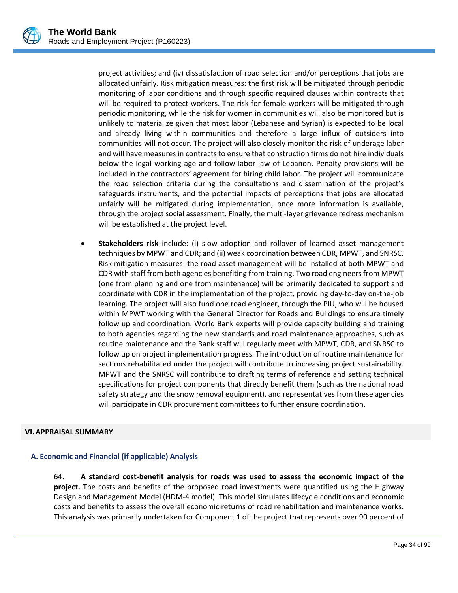project activities; and (iv) dissatisfaction of road selection and/or perceptions that jobs are allocated unfairly. Risk mitigation measures: the first risk will be mitigated through periodic monitoring of labor conditions and through specific required clauses within contracts that will be required to protect workers. The risk for female workers will be mitigated through periodic monitoring, while the risk for women in communities will also be monitored but is unlikely to materialize given that most labor (Lebanese and Syrian) is expected to be local and already living within communities and therefore a large influx of outsiders into communities will not occur. The project will also closely monitor the risk of underage labor and will have measures in contracts to ensure that construction firms do not hire individuals below the legal working age and follow labor law of Lebanon. Penalty provisions will be included in the contractors' agreement for hiring child labor. The project will communicate the road selection criteria during the consultations and dissemination of the project's safeguards instruments, and the potential impacts of perceptions that jobs are allocated unfairly will be mitigated during implementation, once more information is available, through the project social assessment. Finally, the multi‐layer grievance redress mechanism will be established at the project level.

 **Stakeholders risk** include: (i) slow adoption and rollover of learned asset management techniques by MPWT and CDR; and (ii) weak coordination between CDR, MPWT, and SNRSC. Risk mitigation measures: the road asset management will be installed at both MPWT and CDR with staff from both agencies benefiting from training. Two road engineers from MPWT (one from planning and one from maintenance) will be primarily dedicated to support and coordinate with CDR in the implementation of the project, providing day‐to‐day on‐the‐job learning. The project will also fund one road engineer, through the PIU, who will be housed within MPWT working with the General Director for Roads and Buildings to ensure timely follow up and coordination. World Bank experts will provide capacity building and training to both agencies regarding the new standards and road maintenance approaches, such as routine maintenance and the Bank staff will regularly meet with MPWT, CDR, and SNRSC to follow up on project implementation progress. The introduction of routine maintenance for sections rehabilitated under the project will contribute to increasing project sustainability. MPWT and the SNRSC will contribute to drafting terms of reference and setting technical specifications for project components that directly benefit them (such as the national road safety strategy and the snow removal equipment), and representatives from these agencies will participate in CDR procurement committees to further ensure coordination.

### **VI.APPRAISAL SUMMARY**

# **A. Economic and Financial (if applicable) Analysis**

64. **A standard cost‐benefit analysis for roads was used to assess the economic impact of the project.** The costs and benefits of the proposed road investments were quantified using the Highway Design and Management Model (HDM‐4 model). This model simulates lifecycle conditions and economic costs and benefits to assess the overall economic returns of road rehabilitation and maintenance works. This analysis was primarily undertaken for Component 1 of the project that represents over 90 percent of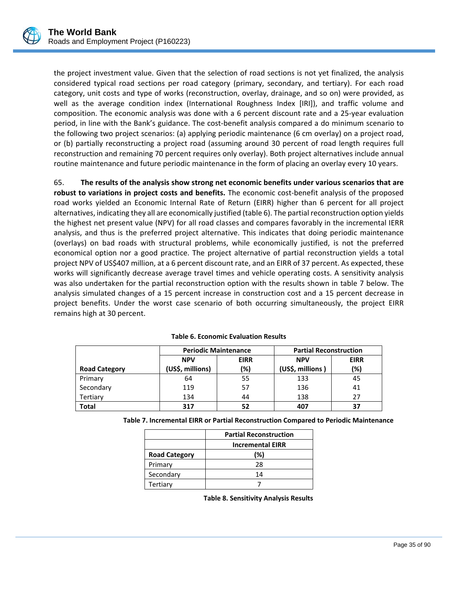

the project investment value. Given that the selection of road sections is not yet finalized, the analysis considered typical road sections per road category (primary, secondary, and tertiary). For each road category, unit costs and type of works (reconstruction, overlay, drainage, and so on) were provided, as well as the average condition index (International Roughness Index [IRI]), and traffic volume and composition. The economic analysis was done with a 6 percent discount rate and a 25‐year evaluation period, in line with the Bank's guidance. The cost-benefit analysis compared a do minimum scenario to the following two project scenarios: (a) applying periodic maintenance (6 cm overlay) on a project road, or (b) partially reconstructing a project road (assuming around 30 percent of road length requires full reconstruction and remaining 70 percent requires only overlay). Both project alternatives include annual routine maintenance and future periodic maintenance in the form of placing an overlay every 10 years.

65. **The results of the analysis show strong net economic benefits under various scenarios that are robust to variations in project costs and benefits.** The economic cost‐benefit analysis of the proposed road works yielded an Economic Internal Rate of Return (EIRR) higher than 6 percent for all project alternatives, indicating they all are economically justified (table 6). The partial reconstruction option yields the highest net present value (NPV) for all road classes and compares favorably in the incremental IERR analysis, and thus is the preferred project alternative. This indicates that doing periodic maintenance (overlays) on bad roads with structural problems, while economically justified, is not the preferred economical option nor a good practice. The project alternative of partial reconstruction yields a total project NPV of US\$407 million, at a 6 percent discount rate, and an EIRR of 37 percent. As expected, these works will significantly decrease average travel times and vehicle operating costs. A sensitivity analysis was also undertaken for the partial reconstruction option with the results shown in table 7 below. The analysis simulated changes of a 15 percent increase in construction cost and a 15 percent decrease in project benefits. Under the worst case scenario of both occurring simultaneously, the project EIRR remains high at 30 percent.

|                      |                  | <b>Periodic Maintenance</b> | <b>Partial Reconstruction</b> |             |  |  |
|----------------------|------------------|-----------------------------|-------------------------------|-------------|--|--|
|                      | <b>NPV</b>       | <b>EIRR</b>                 |                               | <b>EIRR</b> |  |  |
| <b>Road Category</b> | (US\$, millions) | (%)                         | (US\$, millions)              | (%)         |  |  |
| Primary              | 64               | 55                          | 133                           | 45          |  |  |
| Secondary            | 119              | 57                          | 136                           | 41          |  |  |
| Tertiary             | 134              | 44                          | 138                           | 27          |  |  |
| <b>Total</b>         | 317              | 52                          | 407                           | 37          |  |  |

| <b>Table 6. Economic Evaluation Results</b> |
|---------------------------------------------|
|---------------------------------------------|

|                      | <b>Partial Reconstruction</b> |
|----------------------|-------------------------------|
|                      | <b>Incremental EIRR</b>       |
| <b>Road Category</b> | (%)                           |
| Primary              | 28                            |
| Secondary            | 14                            |
| Tertiary             |                               |

 $\overline{a}$ 

**Table 8. Sensitivity Analysis Results**

**Table 7. Incremental EIRR or Partial Reconstruction Compared to Periodic Maintenance**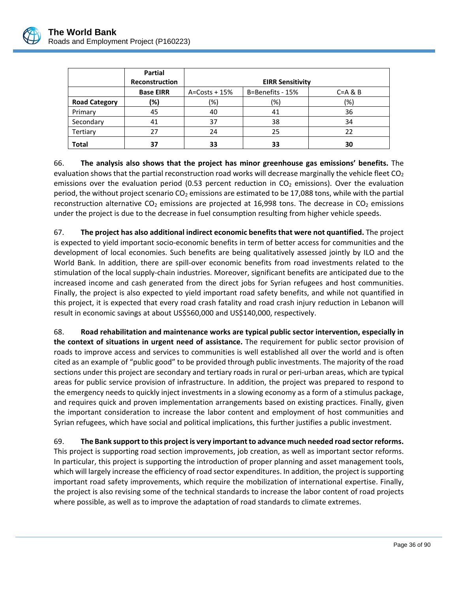

|                      | <b>Partial</b>   |                         |                  |              |  |  |  |  |
|----------------------|------------------|-------------------------|------------------|--------------|--|--|--|--|
|                      | Reconstruction   | <b>EIRR Sensitivity</b> |                  |              |  |  |  |  |
|                      | <b>Base EIRR</b> | $A = Costs + 15%$       | B=Benefits - 15% | $C = A \& B$ |  |  |  |  |
| <b>Road Category</b> | (%)              | (%)                     | (%)              | (%)          |  |  |  |  |
| Primary              | 45               | 40                      | 41               | 36           |  |  |  |  |
| Secondary            | 41               | 37                      | 38               | 34           |  |  |  |  |
| Tertiary             | 27               | 24                      | 25               | 22           |  |  |  |  |
| <b>Total</b>         | 37               | 33                      | 33               | 30           |  |  |  |  |

66. **The analysis also shows that the project has minor greenhouse gas emissions' benefits.** The evaluation shows that the partial reconstruction road works will decrease marginally the vehicle fleet  $CO<sub>2</sub>$ emissions over the evaluation period (0.53 percent reduction in  $CO<sub>2</sub>$  emissions). Over the evaluation period, the without project scenario  $CO<sub>2</sub>$  emissions are estimated to be 17,088 tons, while with the partial reconstruction alternative  $CO<sub>2</sub>$  emissions are projected at 16,998 tons. The decrease in  $CO<sub>2</sub>$  emissions under the project is due to the decrease in fuel consumption resulting from higher vehicle speeds.

67. **The project has also additional indirect economic benefits that were not quantified.** The project is expected to yield important socio‐economic benefits in term of better access for communities and the development of local economies. Such benefits are being qualitatively assessed jointly by ILO and the World Bank. In addition, there are spill‐over economic benefits from road investments related to the stimulation of the local supply‐chain industries. Moreover, significant benefits are anticipated due to the increased income and cash generated from the direct jobs for Syrian refugees and host communities. Finally, the project is also expected to yield important road safety benefits, and while not quantified in this project, it is expected that every road crash fatality and road crash injury reduction in Lebanon will result in economic savings at about US\$560,000 and US\$140,000, respectively.

68. **Road rehabilitation and maintenance works are typical public sector intervention, especially in the context of situations in urgent need of assistance.** The requirement for public sector provision of roads to improve access and services to communities is well established all over the world and is often cited as an example of "public good" to be provided through public investments. The majority of the road sections under this project are secondary and tertiary roads in rural or peri-urban areas, which are typical areas for public service provision of infrastructure. In addition, the project was prepared to respond to the emergency needs to quickly inject investments in a slowing economy as a form of a stimulus package, and requires quick and proven implementation arrangements based on existing practices. Finally, given the important consideration to increase the labor content and employment of host communities and Syrian refugees, which have social and political implications, this further justifies a public investment.

69. **The Bank supportto this projectis very importantto advance much needed road sectorreforms.** This project is supporting road section improvements, job creation, as well as important sector reforms. In particular, this project is supporting the introduction of proper planning and asset management tools, which will largely increase the efficiency of road sector expenditures. In addition, the project is supporting important road safety improvements, which require the mobilization of international expertise. Finally, the project is also revising some of the technical standards to increase the labor content of road projects where possible, as well as to improve the adaptation of road standards to climate extremes.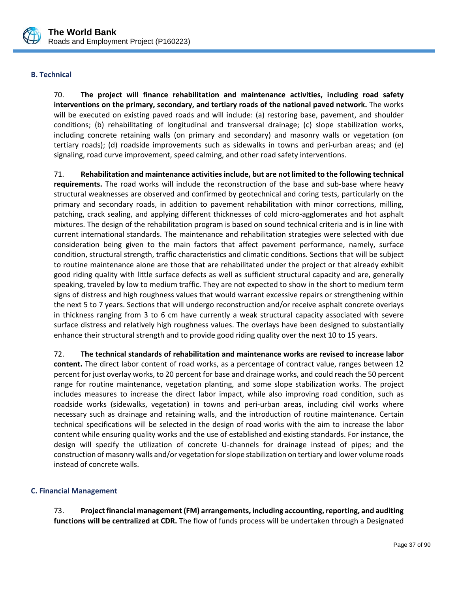

# **B. Technical**

70. **The project will finance rehabilitation and maintenance activities, including road safety interventions on the primary, secondary, and tertiary roads of the national paved network.** The works will be executed on existing paved roads and will include: (a) restoring base, pavement, and shoulder conditions; (b) rehabilitating of longitudinal and transversal drainage; (c) slope stabilization works, including concrete retaining walls (on primary and secondary) and masonry walls or vegetation (on tertiary roads); (d) roadside improvements such as sidewalks in towns and peri‐urban areas; and (e) signaling, road curve improvement, speed calming, and other road safety interventions.

71. **Rehabilitation and maintenance activitiesinclude, but are not limited to the following technical** requirements. The road works will include the reconstruction of the base and sub-base where heavy structural weaknesses are observed and confirmed by geotechnical and coring tests, particularly on the primary and secondary roads, in addition to pavement rehabilitation with minor corrections, milling, patching, crack sealing, and applying different thicknesses of cold micro‐agglomerates and hot asphalt mixtures. The design of the rehabilitation program is based on sound technical criteria and is in line with current international standards. The maintenance and rehabilitation strategies were selected with due consideration being given to the main factors that affect pavement performance, namely, surface condition, structural strength, traffic characteristics and climatic conditions. Sections that will be subject to routine maintenance alone are those that are rehabilitated under the project or that already exhibit good riding quality with little surface defects as well as sufficient structural capacity and are, generally speaking, traveled by low to medium traffic. They are not expected to show in the short to medium term signs of distress and high roughness values that would warrant excessive repairs or strengthening within the next 5 to 7 years. Sections that will undergo reconstruction and/or receive asphalt concrete overlays in thickness ranging from 3 to 6 cm have currently a weak structural capacity associated with severe surface distress and relatively high roughness values. The overlays have been designed to substantially enhance their structural strength and to provide good riding quality over the next 10 to 15 years.

72. **The technical standards of rehabilitation and maintenance works are revised to increase labor content.** The direct labor content of road works, as a percentage of contract value, ranges between 12 percent for just overlay works, to 20 percent for base and drainage works, and could reach the 50 percent range for routine maintenance, vegetation planting, and some slope stabilization works. The project includes measures to increase the direct labor impact, while also improving road condition, such as roadside works (sidewalks, vegetation) in towns and peri-urban areas, including civil works where necessary such as drainage and retaining walls, and the introduction of routine maintenance. Certain technical specifications will be selected in the design of road works with the aim to increase the labor content while ensuring quality works and the use of established and existing standards. For instance, the design will specify the utilization of concrete U‐channels for drainage instead of pipes; and the construction of masonry walls and/or vegetation forslope stabilization on tertiary and lower volume roads instead of concrete walls.

# **C. Financial Management**

73. **Projectfinancial management (FM) arrangements, including accounting,reporting, and auditing functions will be centralized at CDR.** The flow of funds process will be undertaken through a Designated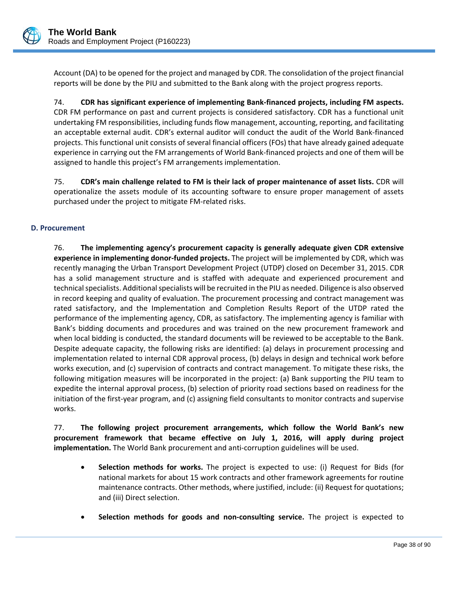

Account (DA) to be opened for the project and managed by CDR. The consolidation of the project financial reports will be done by the PIU and submitted to the Bank along with the project progress reports.

74. **CDR has significant experience of implementing Bank‐financed projects, including FM aspects.** CDR FM performance on past and current projects is considered satisfactory. CDR has a functional unit undertaking FM responsibilities, including funds flow management, accounting, reporting, and facilitating an acceptable external audit. CDR's external auditor will conduct the audit of the World Bank‐financed projects. This functional unit consists of several financial officers (FOs) that have already gained adequate experience in carrying out the FM arrangements of World Bank‐financed projects and one of them will be assigned to handle this project's FM arrangements implementation.

75. **CDR's main challenge related to FM is their lack of proper maintenance of asset lists.** CDR will operationalize the assets module of its accounting software to ensure proper management of assets purchased under the project to mitigate FM‐related risks.

# **D. Procurement**

76. **The implementing agency's procurement capacity is generally adequate given CDR extensive experience in implementing donor‐funded projects.** The project will be implemented by CDR, which was recently managing the Urban Transport Development Project (UTDP) closed on December 31, 2015. CDR has a solid management structure and is staffed with adequate and experienced procurement and technical specialists. Additional specialists will be recruited in the PIU as needed. Diligence is also observed in record keeping and quality of evaluation. The procurement processing and contract management was rated satisfactory, and the Implementation and Completion Results Report of the UTDP rated the performance of the implementing agency, CDR, as satisfactory. The implementing agency is familiar with Bank's bidding documents and procedures and was trained on the new procurement framework and when local bidding is conducted, the standard documents will be reviewed to be acceptable to the Bank. Despite adequate capacity, the following risks are identified: (a) delays in procurement processing and implementation related to internal CDR approval process, (b) delays in design and technical work before works execution, and (c) supervision of contracts and contract management. To mitigate these risks, the following mitigation measures will be incorporated in the project: (a) Bank supporting the PIU team to expedite the internal approval process, (b) selection of priority road sections based on readiness for the initiation of the first‐year program, and (c) assigning field consultants to monitor contracts and supervise works.

77. **The following project procurement arrangements, which follow the World Bank's new procurement framework that became effective on July 1, 2016, will apply during project implementation.** The World Bank procurement and anti-corruption guidelines will be used.

- **Selection methods for works.** The project is expected to use: (i) Request for Bids (for national markets for about 15 work contracts and other framework agreements for routine maintenance contracts. Other methods, where justified, include: (ii) Request for quotations; and (iii) Direct selection.
- **Selection methods for goods and non‐consulting service.** The project is expected to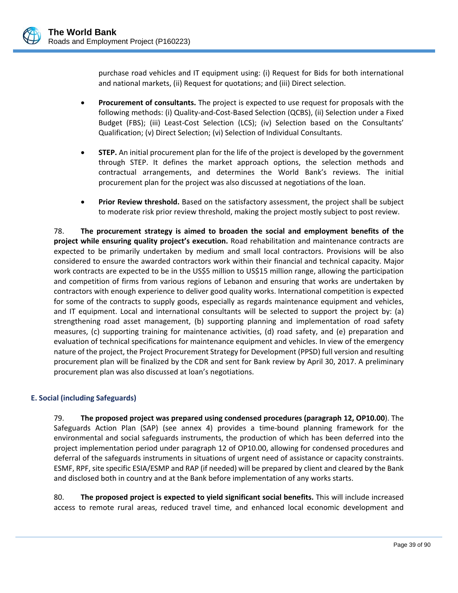purchase road vehicles and IT equipment using: (i) Request for Bids for both international and national markets, (ii) Request for quotations; and (iii) Direct selection.

- **Procurement of consultants.** The project is expected to use request for proposals with the following methods: (i) Quality‐and‐Cost‐Based Selection (QCBS), (ii) Selection under a Fixed Budget (FBS); (iii) Least-Cost Selection (LCS); (iv) Selection based on the Consultants' Qualification; (v) Direct Selection; (vi) Selection of Individual Consultants.
- **STEP.** An initial procurement plan for the life of the project is developed by the government through STEP. It defines the market approach options, the selection methods and contractual arrangements, and determines the World Bank's reviews. The initial procurement plan for the project was also discussed at negotiations of the loan.
- **Prior Review threshold.** Based on the satisfactory assessment, the project shall be subject to moderate risk prior review threshold, making the project mostly subject to post review.

78. **The procurement strategy is aimed to broaden the social and employment benefits of the project while ensuring quality project's execution.** Road rehabilitation and maintenance contracts are expected to be primarily undertaken by medium and small local contractors. Provisions will be also considered to ensure the awarded contractors work within their financial and technical capacity. Major work contracts are expected to be in the US\$5 million to US\$15 million range, allowing the participation and competition of firms from various regions of Lebanon and ensuring that works are undertaken by contractors with enough experience to deliver good quality works. International competition is expected for some of the contracts to supply goods, especially as regards maintenance equipment and vehicles, and IT equipment. Local and international consultants will be selected to support the project by: (a) strengthening road asset management, (b) supporting planning and implementation of road safety measures, (c) supporting training for maintenance activities, (d) road safety, and (e) preparation and evaluation of technical specifications for maintenance equipment and vehicles. In view of the emergency nature of the project, the Project Procurement Strategy for Development (PPSD) full version and resulting procurement plan will be finalized by the CDR and sent for Bank review by April 30, 2017. A preliminary procurement plan was also discussed at loan's negotiations.

# **E. Social (including Safeguards)**

79. **The proposed project was prepared using condensed procedures (paragraph 12, OP10.00**). The Safeguards Action Plan (SAP) (see annex 4) provides a time‐bound planning framework for the environmental and social safeguards instruments, the production of which has been deferred into the project implementation period under paragraph 12 of OP10.00, allowing for condensed procedures and deferral of the safeguards instruments in situations of urgent need of assistance or capacity constraints. ESMF, RPF, site specific ESIA/ESMP and RAP (if needed) will be prepared by client and cleared by the Bank and disclosed both in country and at the Bank before implementation of any works starts.

80. **The proposed project is expected to yield significant social benefits.** This will include increased access to remote rural areas, reduced travel time, and enhanced local economic development and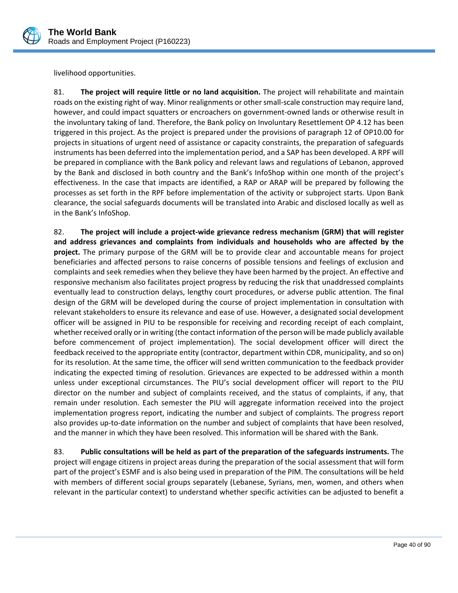

livelihood opportunities.

81. **The project will require little or no land acquisition.** The project will rehabilitate and maintain roads on the existing right of way. Minor realignments or other small-scale construction may require land, however, and could impact squatters or encroachers on government-owned lands or otherwise result in the involuntary taking of land. Therefore, the Bank policy on Involuntary Resettlement OP 4.12 has been triggered in this project. As the project is prepared under the provisions of paragraph 12 of OP10.00 for projects in situations of urgent need of assistance or capacity constraints, the preparation of safeguards instruments has been deferred into the implementation period, and a SAP has been developed. A RPF will be prepared in compliance with the Bank policy and relevant laws and regulations of Lebanon, approved by the Bank and disclosed in both country and the Bank's InfoShop within one month of the project's effectiveness. In the case that impacts are identified, a RAP or ARAP will be prepared by following the processes as set forth in the RPF before implementation of the activity or subproject starts. Upon Bank clearance, the social safeguards documents will be translated into Arabic and disclosed locally as well as in the Bank's InfoShop.

82. **The project will include a project‐wide grievance redress mechanism (GRM) that will register and address grievances and complaints from individuals and households who are affected by the project.** The primary purpose of the GRM will be to provide clear and accountable means for project beneficiaries and affected persons to raise concerns of possible tensions and feelings of exclusion and complaints and seek remedies when they believe they have been harmed by the project. An effective and responsive mechanism also facilitates project progress by reducing the risk that unaddressed complaints eventually lead to construction delays, lengthy court procedures, or adverse public attention. The final design of the GRM will be developed during the course of project implementation in consultation with relevant stakeholders to ensure its relevance and ease of use. However, a designated social development officer will be assigned in PIU to be responsible for receiving and recording receipt of each complaint, whether received orally or in writing (the contact information of the person will be made publicly available before commencement of project implementation). The social development officer will direct the feedback received to the appropriate entity (contractor, department within CDR, municipality, and so on) for its resolution. At the same time, the officer will send written communication to the feedback provider indicating the expected timing of resolution. Grievances are expected to be addressed within a month unless under exceptional circumstances. The PIU's social development officer will report to the PIU director on the number and subject of complaints received, and the status of complaints, if any, that remain under resolution. Each semester the PIU will aggregate information received into the project implementation progress report, indicating the number and subject of complaints. The progress report also provides up‐to‐date information on the number and subject of complaints that have been resolved, and the manner in which they have been resolved. This information will be shared with the Bank.

83. **Public consultations will be held as part of the preparation of the safeguards instruments.** The project will engage citizens in project areas during the preparation of the social assessment that will form part of the project's ESMF and is also being used in preparation of the PIM. The consultations will be held with members of different social groups separately (Lebanese, Syrians, men, women, and others when relevant in the particular context) to understand whether specific activities can be adjusted to benefit a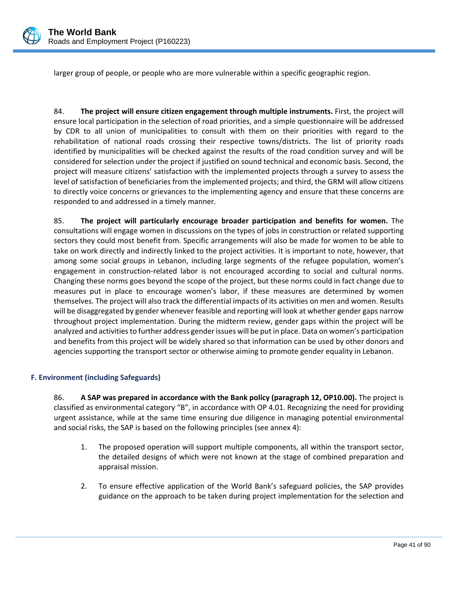

larger group of people, or people who are more vulnerable within a specific geographic region.

84. **The project will ensure citizen engagement through multiple instruments.** First, the project will ensure local participation in the selection of road priorities, and a simple questionnaire will be addressed by CDR to all union of municipalities to consult with them on their priorities with regard to the rehabilitation of national roads crossing their respective towns/districts. The list of priority roads identified by municipalities will be checked against the results of the road condition survey and will be considered for selection under the project if justified on sound technical and economic basis. Second, the project will measure citizens' satisfaction with the implemented projects through a survey to assess the level of satisfaction of beneficiaries from the implemented projects; and third, the GRM will allow citizens to directly voice concerns or grievances to the implementing agency and ensure that these concerns are responded to and addressed in a timely manner.

85. **The project will particularly encourage broader participation and benefits for women.** The consultations will engage women in discussions on the types of jobs in construction or related supporting sectors they could most benefit from. Specific arrangements will also be made for women to be able to take on work directly and indirectly linked to the project activities. It is important to note, however, that among some social groups in Lebanon, including large segments of the refugee population, women's engagement in construction-related labor is not encouraged according to social and cultural norms. Changing these norms goes beyond the scope of the project, but these norms could in fact change due to measures put in place to encourage women's labor, if these measures are determined by women themselves. The project will also track the differential impacts of its activities on men and women. Results will be disaggregated by gender whenever feasible and reporting will look at whether gender gaps narrow throughout project implementation. During the midterm review, gender gaps within the project will be analyzed and activities to further address gender issues will be put in place. Data on women's participation and benefits from this project will be widely shared so that information can be used by other donors and agencies supporting the transport sector or otherwise aiming to promote gender equality in Lebanon.

# **F. Environment (including Safeguards)**

86. **A SAP was prepared in accordance with the Bank policy (paragraph 12, OP10.00).** The project is classified as environmental category "B", in accordance with OP 4.01. Recognizing the need for providing urgent assistance, while at the same time ensuring due diligence in managing potential environmental and social risks, the SAP is based on the following principles (see annex 4):

- 1. The proposed operation will support multiple components, all within the transport sector, the detailed designs of which were not known at the stage of combined preparation and appraisal mission.
- 2. To ensure effective application of the World Bank's safeguard policies, the SAP provides guidance on the approach to be taken during project implementation for the selection and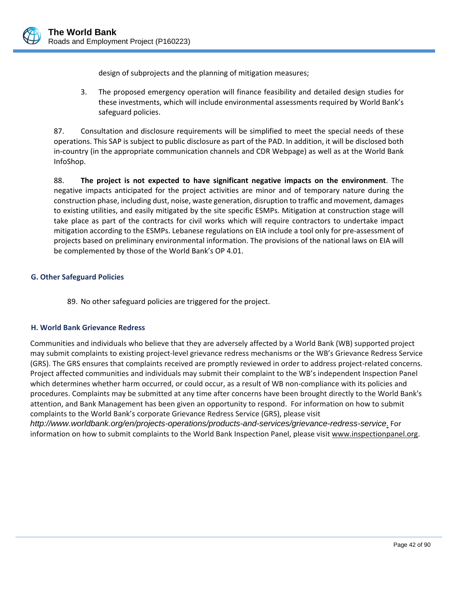

design of subprojects and the planning of mitigation measures;

3. The proposed emergency operation will finance feasibility and detailed design studies for these investments, which will include environmental assessments required by World Bank's safeguard policies.

87. Consultation and disclosure requirements will be simplified to meet the special needs of these operations. This SAP is subject to public disclosure as part of the PAD. In addition, it will be disclosed both in-country (in the appropriate communication channels and CDR Webpage) as well as at the World Bank InfoShop.

88. **The project is not expected to have significant negative impacts on the environment**. The negative impacts anticipated for the project activities are minor and of temporary nature during the construction phase, including dust, noise, waste generation, disruption to traffic and movement, damages to existing utilities, and easily mitigated by the site specific ESMPs. Mitigation at construction stage will take place as part of the contracts for civil works which will require contractors to undertake impact mitigation according to the ESMPs. Lebanese regulations on EIA include a tool only for pre‐assessment of projects based on preliminary environmental information. The provisions of the national laws on EIA will be complemented by those of the World Bank's OP 4.01.

# **G. Other Safeguard Policies**

89. No other safeguard policies are triggered for the project.

### **H. World Bank Grievance Redress**

Communities and individuals who believe that they are adversely affected by a World Bank (WB) supported project may submit complaints to existing project‐level grievance redress mechanisms or the WB's Grievance Redress Service (GRS). The GRS ensures that complaints received are promptly reviewed in order to address project‐related concerns. Project affected communities and individuals may submit their complaint to the WB's independent Inspection Panel which determines whether harm occurred, or could occur, as a result of WB non-compliance with its policies and procedures. Complaints may be submitted at any time after concerns have been brought directly to the World Bank's attention, and Bank Management has been given an opportunity to respond. For information on how to submit complaints to the World Bank's corporate Grievance Redress Service (GRS), please visit

*http://www.worldbank.org/en/projects-operations/products-and-services/grievance-redress-service*. For information on how to submit complaints to the World Bank Inspection Panel, please visit www.inspectionpanel.org.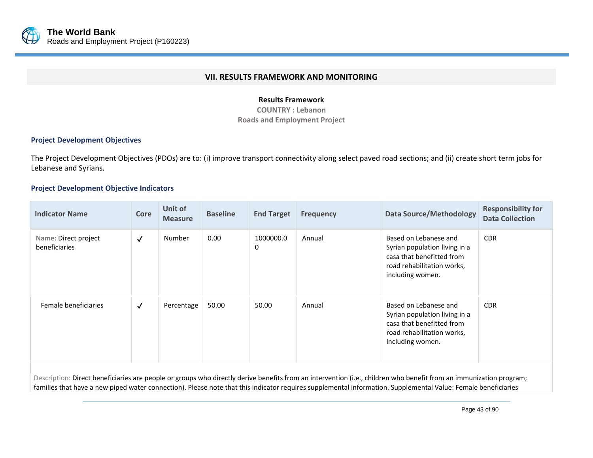

### **VII. RESULTS FRAMEWORK AND MONITORING**

### **Results Framework**

**COUNTRY : LebanonRoads and Employment Project**

# **Project Development Objectives**

The Project Development Objectives (PDOs) are to: (i) improve transport connectivity along select paved road sections; and (ii) create short term jobs for Lebanese and Syrians.

# **Project Development Objective Indicators**

| <b>Indicator Name</b>                 | <b>Core</b>  | Unit of<br><b>Measure</b> | <b>Baseline</b> | <b>End Target</b>             | <b>Frequency</b> | <b>Data Source/Methodology</b>                                                                                                        | <b>Responsibility for</b><br><b>Data Collection</b> |
|---------------------------------------|--------------|---------------------------|-----------------|-------------------------------|------------------|---------------------------------------------------------------------------------------------------------------------------------------|-----------------------------------------------------|
| Name: Direct project<br>beneficiaries | $\checkmark$ | Number                    | 0.00            | 1000000.0<br>$\boldsymbol{0}$ | Annual           | Based on Lebanese and<br>Syrian population living in a<br>casa that benefitted from<br>road rehabilitation works,<br>including women. | <b>CDR</b>                                          |
| Female beneficiaries                  | $\checkmark$ | Percentage                | 50.00           | 50.00                         | Annual           | Based on Lebanese and<br>Syrian population living in a<br>casa that benefitted from<br>road rehabilitation works,<br>including women. | <b>CDR</b>                                          |

Description: Direct beneficiaries are people or groups who directly derive benefits from an intervention (i.e., children who benefit from an immunization program; families that have a new piped water connection). Please note that this indicator requires supplemental information. Supplemental Value: Female beneficiaries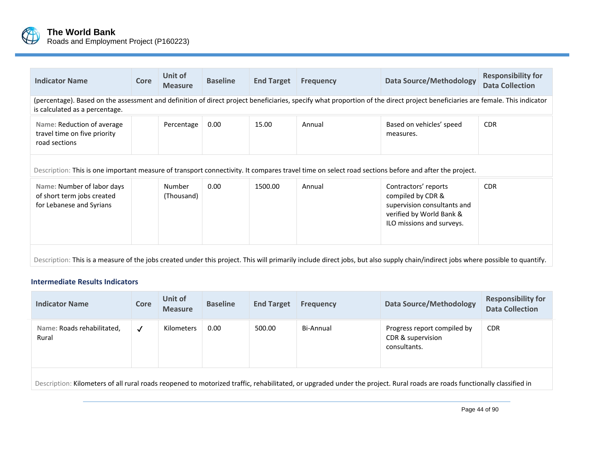

| <b>Indicator Name</b>                                                                                                                                                                                          | <b>Core</b> | Unit of<br><b>Measure</b>   | <b>Baseline</b> | <b>End Target</b> | <b>Frequency</b> | <b>Data Source/Methodology</b>                                                                                                    | <b>Responsibility for</b><br><b>Data Collection</b> |  |  |
|----------------------------------------------------------------------------------------------------------------------------------------------------------------------------------------------------------------|-------------|-----------------------------|-----------------|-------------------|------------------|-----------------------------------------------------------------------------------------------------------------------------------|-----------------------------------------------------|--|--|
| (percentage). Based on the assessment and definition of direct project beneficiaries, specify what proportion of the direct project beneficiaries are female. This indicator<br>is calculated as a percentage. |             |                             |                 |                   |                  |                                                                                                                                   |                                                     |  |  |
| Name: Reduction of average<br>travel time on five priority<br>road sections                                                                                                                                    |             | Percentage                  | 0.00            | 15.00             | Annual           | Based on vehicles' speed<br>measures.                                                                                             | <b>CDR</b>                                          |  |  |
| Description: This is one important measure of transport connectivity. It compares travel time on select road sections before and after the project.                                                            |             |                             |                 |                   |                  |                                                                                                                                   |                                                     |  |  |
| Name: Number of labor days<br>of short term jobs created<br>for Lebanese and Syrians                                                                                                                           |             | <b>Number</b><br>(Thousand) | 0.00            | 1500.00           | Annual           | Contractors' reports<br>compiled by CDR &<br>supervision consultants and<br>verified by World Bank &<br>ILO missions and surveys. | <b>CDR</b>                                          |  |  |
| Description: This is a measure of the jobs created under this project. This will primarily include direct jobs, but also supply chain/indirect jobs where possible to quantify.                                |             |                             |                 |                   |                  |                                                                                                                                   |                                                     |  |  |

#### **Intermediate Results Indicators**

| <b>Indicator Name</b>                                                                                                                                                    | Core         | Unit of<br><b>Measure</b> | <b>Baseline</b> | <b>End Target</b> | <b>Frequency</b> | <b>Data Source/Methodology</b>                                   | <b>Responsibility for</b><br><b>Data Collection</b> |  |  |
|--------------------------------------------------------------------------------------------------------------------------------------------------------------------------|--------------|---------------------------|-----------------|-------------------|------------------|------------------------------------------------------------------|-----------------------------------------------------|--|--|
| Name: Roads rehabilitated,<br>Rural                                                                                                                                      | $\checkmark$ | Kilometers                | 0.00            | 500.00            | Bi-Annual        | Progress report compiled by<br>CDR & supervision<br>consultants. | <b>CDR</b>                                          |  |  |
| Description: Kilometers of all rural roads reopened to motorized traffic, rehabilitated, or upgraded under the project. Rural roads are roads functionally classified in |              |                           |                 |                   |                  |                                                                  |                                                     |  |  |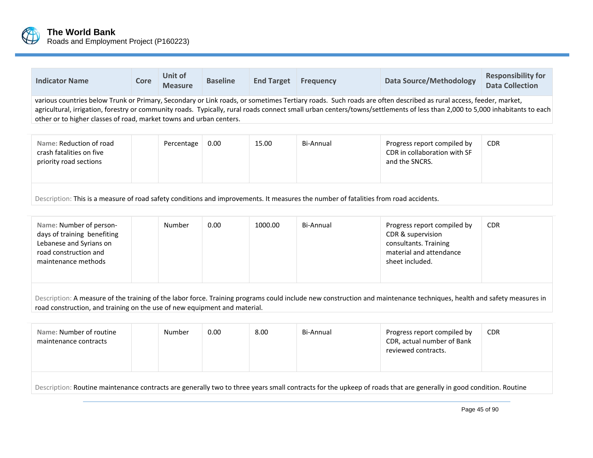

| <b>Indicator Name</b>                                                                                                                                                                                                                                                                                                                                                                                                 | Core | Unit of<br><b>Measure</b> | <b>Baseline</b> | <b>End Target</b> | <b>Frequency</b> | <b>Data Source/Methodology</b>                              | <b>Responsibility for</b><br><b>Data Collection</b> |  |
|-----------------------------------------------------------------------------------------------------------------------------------------------------------------------------------------------------------------------------------------------------------------------------------------------------------------------------------------------------------------------------------------------------------------------|------|---------------------------|-----------------|-------------------|------------------|-------------------------------------------------------------|-----------------------------------------------------|--|
| various countries below Trunk or Primary, Secondary or Link roads, or sometimes Tertiary roads. Such roads are often described as rural access, feeder, market,<br>agricultural, irrigation, forestry or community roads. Typically, rural roads connect small urban centers/towns/settlements of less than 2,000 to 5,000 inhabitants to each<br>other or to higher classes of road, market towns and urban centers. |      |                           |                 |                   |                  |                                                             |                                                     |  |
| Name: Reduction of road<br>crash fatalities on five                                                                                                                                                                                                                                                                                                                                                                   |      | Percentage                | 0.00            | 15.00             | Bi-Annual        | Progress report compiled by<br>CDR in collaboration with SF | <b>CDR</b>                                          |  |

| Description: This is a measure of road safety conditions and improvements. It measures the number of fatalities from road accidents. |  |  |  |  |  |  |  |
|--------------------------------------------------------------------------------------------------------------------------------------|--|--|--|--|--|--|--|

| Number<br>0.00<br>1000.00<br>Name: Number of person-<br><b>CDR</b><br>Bi-Annual<br>Progress report compiled by<br>days of training benefiting<br>CDR & supervision<br>Lebanese and Syrians on<br>consultants. Training<br>material and attendance<br>road construction and<br>sheet included.<br>maintenance methods |  |
|----------------------------------------------------------------------------------------------------------------------------------------------------------------------------------------------------------------------------------------------------------------------------------------------------------------------|--|
|----------------------------------------------------------------------------------------------------------------------------------------------------------------------------------------------------------------------------------------------------------------------------------------------------------------------|--|

Description: A measure of the training of the labor force. Training programs could include new construction and maintenance techniques, health and safety measures in road construction, and training on the use of new equipment and material.

| Name: Number of routine<br>maintenance contracts                                                                                                                  |  | Number | 0.00 | 8.00 | Bi-Annual | Progress report compiled by<br>CDR, actual number of Bank<br>reviewed contracts. | <b>CDR</b> |  |
|-------------------------------------------------------------------------------------------------------------------------------------------------------------------|--|--------|------|------|-----------|----------------------------------------------------------------------------------|------------|--|
| Description: Routine maintenance contracts are generally two to three years small contracts for the upkeep of roads that are generally in good condition. Routine |  |        |      |      |           |                                                                                  |            |  |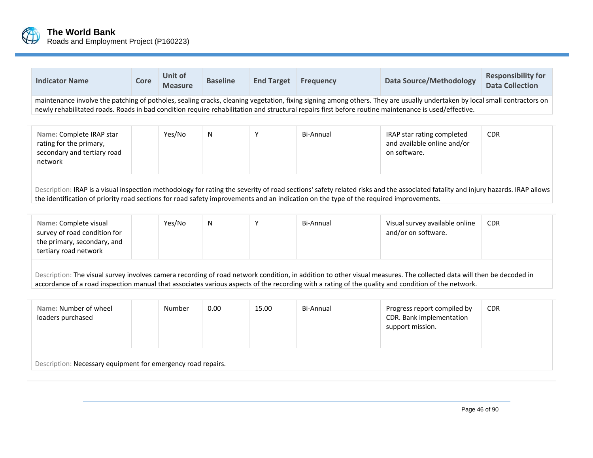

| <b>Indicator Name</b>                                                                                                                                                                                                                                                                                                            | Core | Unit of<br><b>Measure</b> | <b>Baseline</b> | <b>End Target</b> | <b>Frequency</b> | <b>Data Source/Methodology</b>                                            | <b>Responsibility for</b><br><b>Data Collection</b> |  |  |
|----------------------------------------------------------------------------------------------------------------------------------------------------------------------------------------------------------------------------------------------------------------------------------------------------------------------------------|------|---------------------------|-----------------|-------------------|------------------|---------------------------------------------------------------------------|-----------------------------------------------------|--|--|
| maintenance involve the patching of potholes, sealing cracks, cleaning vegetation, fixing signing among others. They are usually undertaken by local small contractors on<br>newly rehabilitated roads. Roads in bad condition require rehabilitation and structural repairs first before routine maintenance is used/effective. |      |                           |                 |                   |                  |                                                                           |                                                     |  |  |
| Name: Complete IRAP star<br>rating for the primary,<br>secondary and tertiary road<br>network                                                                                                                                                                                                                                    |      | Yes/No                    | N               |                   | Bi-Annual        | IRAP star rating completed<br>and available online and/or<br>on software. | <b>CDR</b>                                          |  |  |
| Description: IRAP is a visual inspection methodology for rating the severity of road sections' safety related risks and the associated fatality and injury hazards. IRAP allows                                                                                                                                                  |      |                           |                 |                   |                  |                                                                           |                                                     |  |  |

the identification of priority road sections for road safety improvements and an indication on the type of the required improvements.

| Name: Complete visual<br>survey of road condition for<br>the primary, secondary, and<br>tertiary road network                                                        | Yes/No | N | $\mathbf{v}$ | Bi-Annual | Visual survey available online<br>and/or on software. | <b>CDR</b> |
|----------------------------------------------------------------------------------------------------------------------------------------------------------------------|--------|---|--------------|-----------|-------------------------------------------------------|------------|
| Description: The visual survey involves camera recording of road network condition, in addition to other visual measures. The collected data will then be decoded in |        |   |              |           |                                                       |            |

accordance of <sup>a</sup> road inspection manual that associates various aspects of the recording with <sup>a</sup> rating of the quality and condition of the network.

| Name: Number of wheel<br>loaders purchased                   | Number | 0.00 | 15.00 | Bi-Annual | Progress report compiled by<br>CDR. Bank implementation<br>support mission. | <b>CDR</b> |
|--------------------------------------------------------------|--------|------|-------|-----------|-----------------------------------------------------------------------------|------------|
| Description: Necessary equipment for emergency road repairs. |        |      |       |           |                                                                             |            |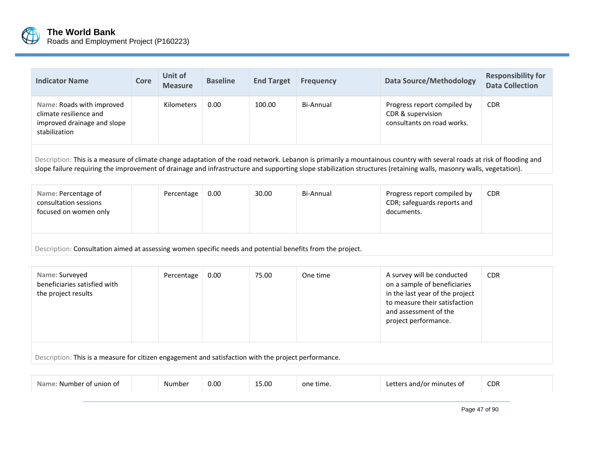

| <b>Indicator Name</b>                                                                                                                                                  | Core | Unit of<br><b>Measure</b> | <b>Baseline</b> | <b>End Target</b> | <b>Frequency</b> | <b>Data Source/Methodology</b>                                                 | <b>Responsibility for</b><br><b>Data Collection</b> |  |
|------------------------------------------------------------------------------------------------------------------------------------------------------------------------|------|---------------------------|-----------------|-------------------|------------------|--------------------------------------------------------------------------------|-----------------------------------------------------|--|
| Name: Roads with improved<br>climate resilience and<br>improved drainage and slope<br>stabilization                                                                    |      | <b>Kilometers</b>         | 0.00            | 100.00            | Bi-Annual        | Progress report compiled by<br>CDR & supervision<br>consultants on road works. | <b>CDR</b>                                          |  |
| Description: This is a measure of climate change adaptation of the road network. Lebanon is primarily a mountainous country with several roads at risk of flooding and |      |                           |                 |                   |                  |                                                                                |                                                     |  |

slope failure requiring the improvement of drainage and infrastructure and supporting slope stabilization structures (retaining walls, masonry walls, vegetation).

| Name: Percentage of<br>consultation sessions<br>focused on women only                                      |  | Percentage | 0.00 | 30.00 | Bi-Annual | Progress report compiled by<br>CDR; safeguards reports and<br>documents. | <b>CDR</b> |
|------------------------------------------------------------------------------------------------------------|--|------------|------|-------|-----------|--------------------------------------------------------------------------|------------|
| Description: Consultation aimed at assessing women specific needs and potential benefits from the project. |  |            |      |       |           |                                                                          |            |

| Name: Surveyed<br>beneficiaries satisfied with<br>the project results                                | Percentage | 0.00 | 75.00 | One time | A survey will be conducted<br>on a sample of beneficiaries<br>in the last year of the project<br>to measure their satisfaction<br>and assessment of the<br>project performance. | <b>CDR</b> |  |
|------------------------------------------------------------------------------------------------------|------------|------|-------|----------|---------------------------------------------------------------------------------------------------------------------------------------------------------------------------------|------------|--|
| Description: This is a measure for citizen engagement and satisfaction with the project performance. |            |      |       |          |                                                                                                                                                                                 |            |  |

| union of | Numbe <sup>-</sup> | 0.00 | 15.00<br>___ | one time.<br>. | ነገር ብቱ<br>nr | CDR |
|----------|--------------------|------|--------------|----------------|--------------|-----|
|          |                    |      |              |                |              |     |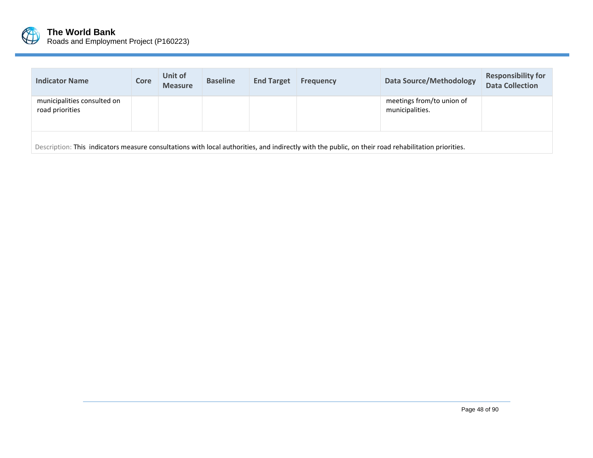

| <b>Indicator Name</b>                                                                                                                               | Core | Unit of<br><b>Measure</b> | <b>Baseline</b> | <b>End Target</b> | <b>Frequency</b> | <b>Data Source/Methodology</b>               | <b>Responsibility for</b><br><b>Data Collection</b> |  |
|-----------------------------------------------------------------------------------------------------------------------------------------------------|------|---------------------------|-----------------|-------------------|------------------|----------------------------------------------|-----------------------------------------------------|--|
| municipalities consulted on<br>road priorities                                                                                                      |      |                           |                 |                   |                  | meetings from/to union of<br>municipalities. |                                                     |  |
| Description: This indicators measure consultations with local authorities, and indirectly with the public, on their road rehabilitation priorities. |      |                           |                 |                   |                  |                                              |                                                     |  |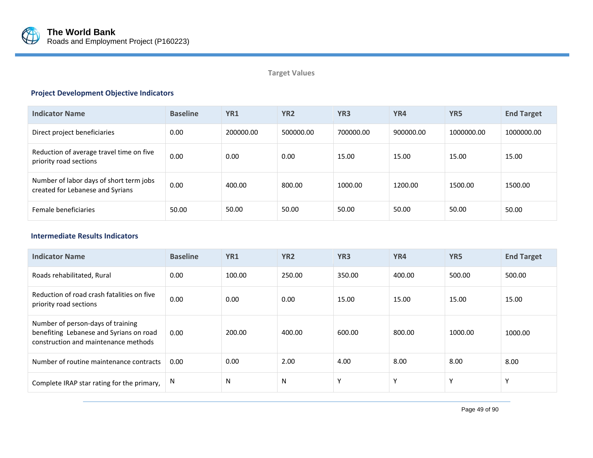

# **Target Values**

# **Project Development Objective Indicators**

| <b>Indicator Name</b>                                                       | <b>Baseline</b> | YR <sub>1</sub> | YR <sub>2</sub> | YR <sub>3</sub> | YR4       | YR <sub>5</sub> | <b>End Target</b> |
|-----------------------------------------------------------------------------|-----------------|-----------------|-----------------|-----------------|-----------|-----------------|-------------------|
| Direct project beneficiaries                                                | 0.00            | 200000.00       | 500000.00       | 700000.00       | 900000.00 | 1000000.00      | 1000000.00        |
| Reduction of average travel time on five<br>priority road sections          | 0.00            | 0.00            | 0.00            | 15.00           | 15.00     | 15.00           | 15.00             |
| Number of labor days of short term jobs<br>created for Lebanese and Syrians | 0.00            | 400.00          | 800.00          | 1000.00         | 1200.00   | 1500.00         | 1500.00           |
| Female beneficiaries                                                        | 50.00           | 50.00           | 50.00           | 50.00           | 50.00     | 50.00           | 50.00             |

### **Intermediate Results Indicators FY**

| <b>Indicator Name</b>                                                                                                | <b>Baseline</b> | YR <sub>1</sub> | YR <sub>2</sub> | YR <sub>3</sub> | YR4         | YR <sub>5</sub> | <b>End Target</b> |
|----------------------------------------------------------------------------------------------------------------------|-----------------|-----------------|-----------------|-----------------|-------------|-----------------|-------------------|
| Roads rehabilitated, Rural                                                                                           | 0.00            | 100.00          | 250.00          | 350.00          | 400.00      | 500.00          | 500.00            |
| Reduction of road crash fatalities on five<br>priority road sections                                                 | 0.00            | 0.00            | 0.00            | 15.00           | 15.00       | 15.00           | 15.00             |
| Number of person-days of training<br>benefiting Lebanese and Syrians on road<br>construction and maintenance methods | 0.00            | 200.00          | 400.00          | 600.00          | 800.00      | 1000.00         | 1000.00           |
| Number of routine maintenance contracts                                                                              | 0.00            | 0.00            | 2.00            | 4.00            | 8.00        | 8.00            | 8.00              |
| Complete IRAP star rating for the primary,                                                                           | N               | N               | N               | $\mathbf v$     | $\mathbf v$ | Y               | $\checkmark$      |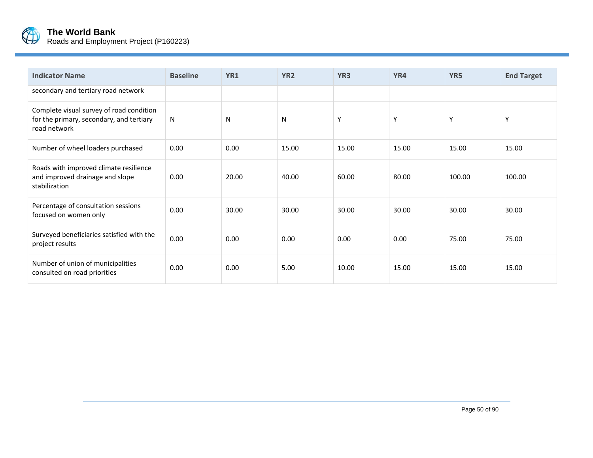

| <b>Indicator Name</b>                                                                                | <b>Baseline</b> | YR1   | YR <sub>2</sub> | YR <sub>3</sub> | YR4   | YR5    | <b>End Target</b> |
|------------------------------------------------------------------------------------------------------|-----------------|-------|-----------------|-----------------|-------|--------|-------------------|
| secondary and tertiary road network                                                                  |                 |       |                 |                 |       |        |                   |
| Complete visual survey of road condition<br>for the primary, secondary, and tertiary<br>road network | N               | N     | N               | Y               | Y     | Y      | Y                 |
| Number of wheel loaders purchased                                                                    | 0.00            | 0.00  | 15.00           | 15.00           | 15.00 | 15.00  | 15.00             |
| Roads with improved climate resilience<br>and improved drainage and slope<br>stabilization           | 0.00            | 20.00 | 40.00           | 60.00           | 80.00 | 100.00 | 100.00            |
| Percentage of consultation sessions<br>focused on women only                                         | 0.00            | 30.00 | 30.00           | 30.00           | 30.00 | 30.00  | 30.00             |
| Surveyed beneficiaries satisfied with the<br>project results                                         | 0.00            | 0.00  | 0.00            | 0.00            | 0.00  | 75.00  | 75.00             |
| Number of union of municipalities<br>consulted on road priorities                                    | 0.00            | 0.00  | 5.00            | 10.00           | 15.00 | 15.00  | 15.00             |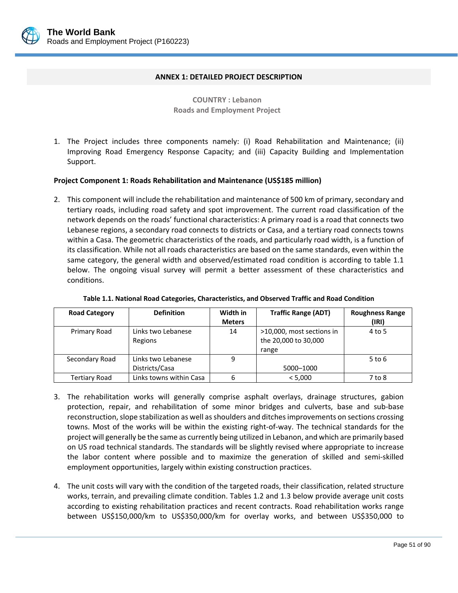

### **ANNEX 1: DETAILED PROJECT DESCRIPTION**

**COUNTRY : Lebanon Roads and Employment Project** 

1. The Project includes three components namely: (i) Road Rehabilitation and Maintenance; (ii) Improving Road Emergency Response Capacity; and (iii) Capacity Building and Implementation Support.

### **Project Component 1: Roads Rehabilitation and Maintenance (US\$185 million)**

2. This component will include the rehabilitation and maintenance of 500 km of primary, secondary and tertiary roads, including road safety and spot improvement. The current road classification of the network depends on the roads' functional characteristics: A primary road is a road that connects two Lebanese regions, a secondary road connects to districts or Casa, and a tertiary road connects towns within a Casa. The geometric characteristics of the roads, and particularly road width, is a function of its classification. While not all roads characteristics are based on the same standards, even within the same category, the general width and observed/estimated road condition is according to table 1.1 below. The ongoing visual survey will permit a better assessment of these characteristics and conditions.

| <b>Road Category</b> | <b>Definition</b>                    | Width in<br><b>Meters</b> | <b>Traffic Range (ADT)</b>                                 | <b>Roughness Range</b><br>(IRI) |
|----------------------|--------------------------------------|---------------------------|------------------------------------------------------------|---------------------------------|
| Primary Road         | Links two Lebanese<br>Regions        | 14                        | >10,000, most sections in<br>the 20,000 to 30,000<br>range | 4 to 5                          |
| Secondary Road       | Links two Lebanese<br>Districts/Casa | 9                         | 5000-1000                                                  | $5$ to 6                        |
| Tertiary Road        | Links towns within Casa              | 6                         | < 5,000                                                    | 7 to 8                          |

### **Table 1.1. National Road Categories, Characteristics, and Observed Traffic and Road Condition**

- 3. The rehabilitation works will generally comprise asphalt overlays, drainage structures, gabion protection, repair, and rehabilitation of some minor bridges and culverts, base and sub‐base reconstruction, slope stabilization as well as shoulders and ditches improvements on sections crossing towns. Most of the works will be within the existing right‐of‐way. The technical standards for the project will generally be the same as currently being utilized in Lebanon, and which are primarily based on US road technical standards. The standards will be slightly revised where appropriate to increase the labor content where possible and to maximize the generation of skilled and semi‐skilled employment opportunities, largely within existing construction practices.
- 4. The unit costs will vary with the condition of the targeted roads, their classification, related structure works, terrain, and prevailing climate condition. Tables 1.2 and 1.3 below provide average unit costs according to existing rehabilitation practices and recent contracts. Road rehabilitation works range between US\$150,000/km to US\$350,000/km for overlay works, and between US\$350,000 to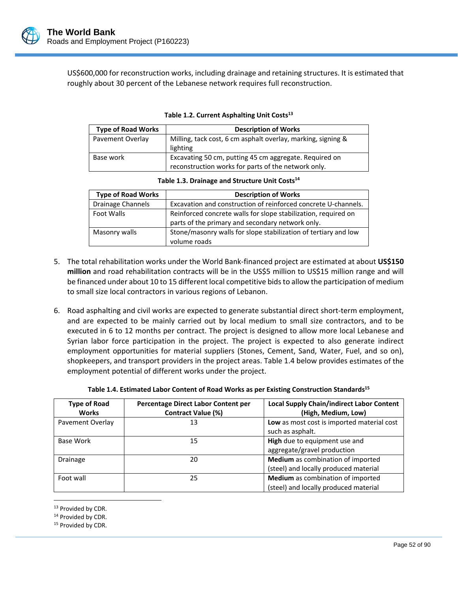

US\$600,000 for reconstruction works, including drainage and retaining structures. It is estimated that roughly about 30 percent of the Lebanese network requires full reconstruction.

| <b>Type of Road Works</b> | <b>Description of Works</b>                                                                                   |
|---------------------------|---------------------------------------------------------------------------------------------------------------|
| Pavement Overlay          | Milling, tack cost, 6 cm asphalt overlay, marking, signing &<br>lighting                                      |
| Base work                 | Excavating 50 cm, putting 45 cm aggregate. Required on<br>reconstruction works for parts of the network only. |

|  | Table 1.2. Current Asphalting Unit Costs <sup>13</sup> |  |
|--|--------------------------------------------------------|--|
|--|--------------------------------------------------------|--|

| Table 1.3. Drainage and Structure Unit Costs <sup>14</sup> |  |  |
|------------------------------------------------------------|--|--|
|------------------------------------------------------------|--|--|

| <b>Type of Road Works</b> | <b>Description of Works</b>                                                                                        |
|---------------------------|--------------------------------------------------------------------------------------------------------------------|
| Drainage Channels         | Excavation and construction of reinforced concrete U-channels.                                                     |
| Foot Walls                | Reinforced concrete walls for slope stabilization, required on<br>parts of the primary and secondary network only. |
| Masonry walls             | Stone/masonry walls for slope stabilization of tertiary and low<br>volume roads                                    |

- 5. The total rehabilitation works under the World Bank‐financed project are estimated at about **US\$150 million** and road rehabilitation contracts will be in the US\$5 million to US\$15 million range and will be financed under about 10 to 15 different local competitive bids to allow the participation of medium to small size local contractors in various regions of Lebanon.
- 6. Road asphalting and civil works are expected to generate substantial direct short‐term employment, and are expected to be mainly carried out by local medium to small size contractors, and to be executed in 6 to 12 months per contract. The project is designed to allow more local Lebanese and Syrian labor force participation in the project. The project is expected to also generate indirect employment opportunities for material suppliers (Stones, Cement, Sand, Water, Fuel, and so on), shopkeepers, and transport providers in the project areas. Table 1.4 below provides estimates of the employment potential of different works under the project.

| <b>Type of Road</b><br><b>Works</b> | Percentage Direct Labor Content per<br><b>Contract Value (%)</b> | <b>Local Supply Chain/indirect Labor Content</b><br>(High, Medium, Low)    |
|-------------------------------------|------------------------------------------------------------------|----------------------------------------------------------------------------|
| Pavement Overlay                    | 13                                                               | Low as most cost is imported material cost<br>such as asphalt.             |
| Base Work                           | 15                                                               | High due to equipment use and<br>aggregate/gravel production               |
| <b>Drainage</b>                     | 20                                                               | Medium as combination of imported<br>(steel) and locally produced material |
| Foot wall                           | 25                                                               | Medium as combination of imported<br>(steel) and locally produced material |

L

**Table 1.4. Estimated Labor Content of Road Works as per Existing Construction Standards15**

 $\overline{a}$ 

<sup>14</sup> Provided by CDR.

<sup>15</sup> Provided by CDR.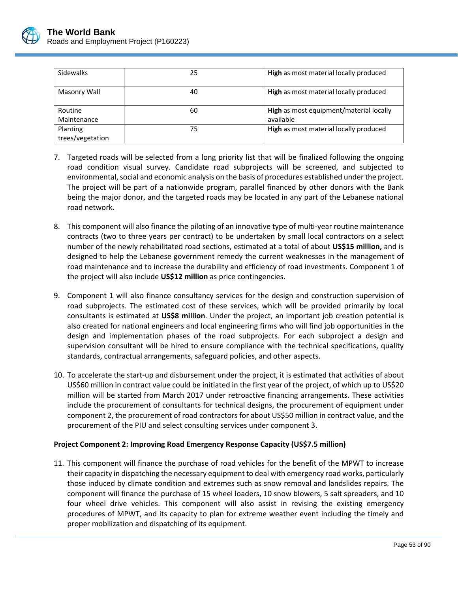

| <b>Sidewalks</b> | 25 | High as most material locally produced         |
|------------------|----|------------------------------------------------|
| Masonry Wall     | 40 | <b>High</b> as most material locally produced  |
| Routine          | 60 | <b>High</b> as most equipment/material locally |
| Maintenance      |    | available                                      |
| Planting         | 75 | High as most material locally produced         |
| trees/vegetation |    |                                                |

- 7. Targeted roads will be selected from a long priority list that will be finalized following the ongoing road condition visual survey. Candidate road subprojects will be screened, and subjected to environmental, social and economic analysis on the basis of procedures established under the project. The project will be part of a nationwide program, parallel financed by other donors with the Bank being the major donor, and the targeted roads may be located in any part of the Lebanese national road network.
- 8. This component will also finance the piloting of an innovative type of multi-year routine maintenance contracts (two to three years per contract) to be undertaken by small local contractors on a select number of the newly rehabilitated road sections, estimated at a total of about **US\$15 million,** and is designed to help the Lebanese government remedy the current weaknesses in the management of road maintenance and to increase the durability and efficiency of road investments. Component 1 of the project will also include **US\$12 million** as price contingencies.
- 9. Component 1 will also finance consultancy services for the design and construction supervision of road subprojects. The estimated cost of these services, which will be provided primarily by local consultants is estimated at **US\$8 million**. Under the project, an important job creation potential is also created for national engineers and local engineering firms who will find job opportunities in the design and implementation phases of the road subprojects. For each subproject a design and supervision consultant will be hired to ensure compliance with the technical specifications, quality standards, contractual arrangements, safeguard policies, and other aspects.
- 10. To accelerate the start‐up and disbursement under the project, it is estimated that activities of about US\$60 million in contract value could be initiated in the first year of the project, of which up to US\$20 million will be started from March 2017 under retroactive financing arrangements. These activities include the procurement of consultants for technical designs, the procurement of equipment under component 2, the procurement of road contractors for about US\$50 million in contract value, and the procurement of the PIU and select consulting services under component 3.

# **Project Component 2: Improving Road Emergency Response Capacity (US\$7.5 million)**

11. This component will finance the purchase of road vehicles for the benefit of the MPWT to increase their capacity in dispatching the necessary equipment to deal with emergency road works, particularly those induced by climate condition and extremes such as snow removal and landslides repairs. The component will finance the purchase of 15 wheel loaders, 10 snow blowers, 5 salt spreaders, and 10 four wheel drive vehicles. This component will also assist in revising the existing emergency procedures of MPWT, and its capacity to plan for extreme weather event including the timely and proper mobilization and dispatching of its equipment.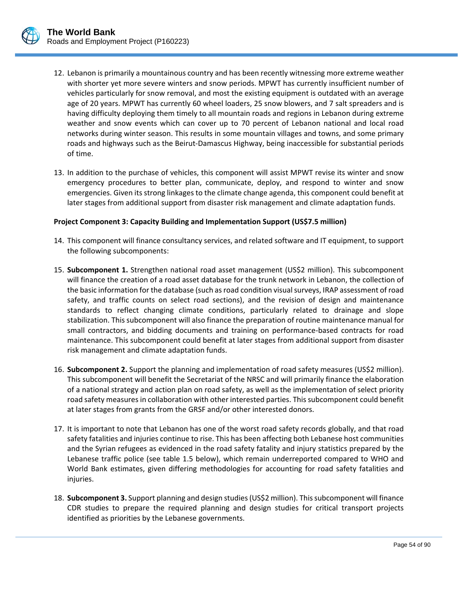

- 12. Lebanon is primarily a mountainous country and has been recently witnessing more extreme weather with shorter yet more severe winters and snow periods. MPWT has currently insufficient number of vehicles particularly for snow removal, and most the existing equipment is outdated with an average age of 20 years. MPWT has currently 60 wheel loaders, 25 snow blowers, and 7 salt spreaders and is having difficulty deploying them timely to all mountain roads and regions in Lebanon during extreme weather and snow events which can cover up to 70 percent of Lebanon national and local road networks during winter season. This results in some mountain villages and towns, and some primary roads and highways such as the Beirut‐Damascus Highway, being inaccessible for substantial periods of time.
- 13. In addition to the purchase of vehicles, this component will assist MPWT revise its winter and snow emergency procedures to better plan, communicate, deploy, and respond to winter and snow emergencies. Given its strong linkages to the climate change agenda, this component could benefit at later stages from additional support from disaster risk management and climate adaptation funds.

### **Project Component 3: Capacity Building and Implementation Support (US\$7.5 million)**

- 14. This component will finance consultancy services, and related software and IT equipment, to support the following subcomponents:
- 15. **Subcomponent 1.** Strengthen national road asset management (US\$2 million). This subcomponent will finance the creation of a road asset database for the trunk network in Lebanon, the collection of the basic information for the database (such as road condition visual surveys, IRAP assessment of road safety, and traffic counts on select road sections), and the revision of design and maintenance standards to reflect changing climate conditions, particularly related to drainage and slope stabilization. This subcomponent will also finance the preparation of routine maintenance manual for small contractors, and bidding documents and training on performance-based contracts for road maintenance. This subcomponent could benefit at later stages from additional support from disaster risk management and climate adaptation funds.
- 16. **Subcomponent 2.** Support the planning and implementation of road safety measures (US\$2 million). This subcomponent will benefit the Secretariat of the NRSC and will primarily finance the elaboration of a national strategy and action plan on road safety, as well as the implementation of select priority road safety measures in collaboration with other interested parties. This subcomponent could benefit at later stages from grants from the GRSF and/or other interested donors.
- 17. It is important to note that Lebanon has one of the worst road safety records globally, and that road safety fatalities and injuries continue to rise. This has been affecting both Lebanese host communities and the Syrian refugees as evidenced in the road safety fatality and injury statistics prepared by the Lebanese traffic police (see table 1.5 below), which remain underreported compared to WHO and World Bank estimates, given differing methodologies for accounting for road safety fatalities and injuries.
- 18. **Subcomponent 3.** Support planning and design studies(US\$2 million). Thissubcomponent will finance CDR studies to prepare the required planning and design studies for critical transport projects identified as priorities by the Lebanese governments.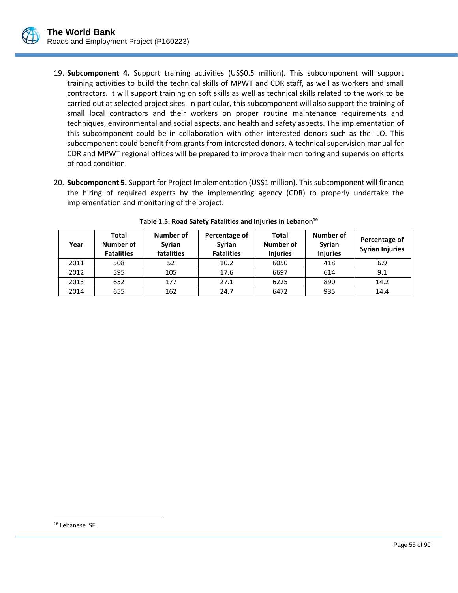

- 19. **Subcomponent 4.** Support training activities (US\$0.5 million). This subcomponent will support training activities to build the technical skills of MPWT and CDR staff, as well as workers and small contractors. It will support training on soft skills as well as technical skills related to the work to be carried out at selected project sites. In particular, this subcomponent will also support the training of small local contractors and their workers on proper routine maintenance requirements and techniques, environmental and social aspects, and health and safety aspects. The implementation of this subcomponent could be in collaboration with other interested donors such as the ILO. This subcomponent could benefit from grants from interested donors. A technical supervision manual for CDR and MPWT regional offices will be prepared to improve their monitoring and supervision efforts of road condition.
- 20. **Subcomponent 5.** Support for Project Implementation (US\$1 million). Thissubcomponent will finance the hiring of required experts by the implementing agency (CDR) to properly undertake the implementation and monitoring of the project.

| Year | Total<br>Number of<br><b>Fatalities</b> | Number of<br><b>Syrian</b><br>fatalities | Percentage of<br>Syrian<br><b>Fatalities</b> | Total<br>Number of<br><b>Injuries</b> | Number of<br><b>Syrian</b><br><b>Injuries</b> | Percentage of<br><b>Syrian Injuries</b> |
|------|-----------------------------------------|------------------------------------------|----------------------------------------------|---------------------------------------|-----------------------------------------------|-----------------------------------------|
| 2011 | 508                                     | 52                                       | 10.2                                         | 6050                                  | 418                                           | 6.9                                     |
| 2012 | 595                                     | 105                                      | 17.6                                         | 6697                                  | 614                                           | 9.1                                     |
| 2013 | 652                                     | 177                                      | 27.1                                         | 6225                                  | 890                                           | 14.2                                    |
| 2014 | 655                                     | 162                                      | 24.7                                         | 6472                                  | 935                                           | 14.4                                    |

|  |  | Table 1.5. Road Safety Fatalities and Injuries in Lebanon <sup>16</sup> |  |  |
|--|--|-------------------------------------------------------------------------|--|--|
|--|--|-------------------------------------------------------------------------|--|--|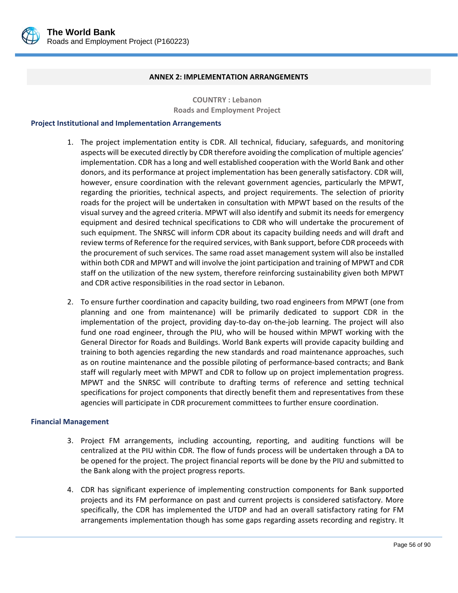

#### **ANNEX 2: IMPLEMENTATION ARRANGEMENTS**

**COUNTRY : Lebanon Roads and Employment Project**

### **Project Institutional and Implementation Arrangements**

- 1. The project implementation entity is CDR. All technical, fiduciary, safeguards, and monitoring aspects will be executed directly by CDR therefore avoiding the complication of multiple agencies' implementation. CDR has a long and well established cooperation with the World Bank and other donors, and its performance at project implementation has been generally satisfactory. CDR will, however, ensure coordination with the relevant government agencies, particularly the MPWT, regarding the priorities, technical aspects, and project requirements. The selection of priority roads for the project will be undertaken in consultation with MPWT based on the results of the visual survey and the agreed criteria. MPWT will also identify and submit its needs for emergency equipment and desired technical specifications to CDR who will undertake the procurement of such equipment. The SNRSC will inform CDR about its capacity building needs and will draft and review terms of Reference for the required services, with Bank support, before CDR proceeds with the procurement of such services. The same road asset management system will also be installed within both CDR and MPWT and will involve the joint participation and training of MPWT and CDR staff on the utilization of the new system, therefore reinforcing sustainability given both MPWT and CDR active responsibilities in the road sector in Lebanon.
- 2. To ensure further coordination and capacity building, two road engineers from MPWT (one from planning and one from maintenance) will be primarily dedicated to support CDR in the implementation of the project, providing day‐to‐day on‐the‐job learning. The project will also fund one road engineer, through the PIU, who will be housed within MPWT working with the General Director for Roads and Buildings. World Bank experts will provide capacity building and training to both agencies regarding the new standards and road maintenance approaches, such as on routine maintenance and the possible piloting of performance-based contracts; and Bank staff will regularly meet with MPWT and CDR to follow up on project implementation progress. MPWT and the SNRSC will contribute to drafting terms of reference and setting technical specifications for project components that directly benefit them and representatives from these agencies will participate in CDR procurement committees to further ensure coordination.

### **Financial Management**

- 3. Project FM arrangements, including accounting, reporting, and auditing functions will be centralized at the PIU within CDR. The flow of funds process will be undertaken through a DA to be opened for the project. The project financial reports will be done by the PIU and submitted to the Bank along with the project progress reports.
- 4. CDR has significant experience of implementing construction components for Bank supported projects and its FM performance on past and current projects is considered satisfactory. More specifically, the CDR has implemented the UTDP and had an overall satisfactory rating for FM arrangements implementation though has some gaps regarding assets recording and registry. It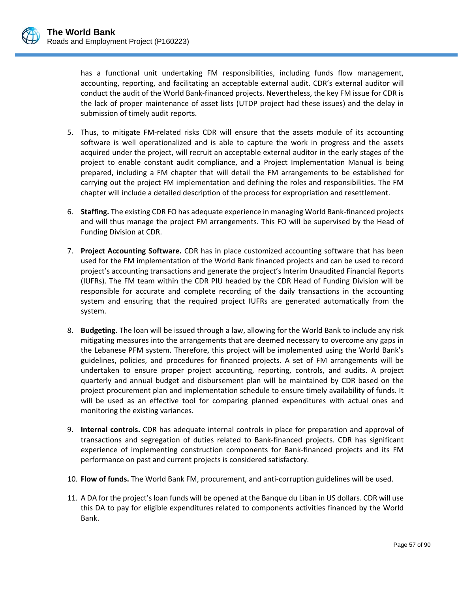has a functional unit undertaking FM responsibilities, including funds flow management, accounting, reporting, and facilitating an acceptable external audit. CDR's external auditor will conduct the audit of the World Bank‐financed projects. Nevertheless, the key FM issue for CDR is the lack of proper maintenance of asset lists (UTDP project had these issues) and the delay in submission of timely audit reports.

- 5. Thus, to mitigate FM-related risks CDR will ensure that the assets module of its accounting software is well operationalized and is able to capture the work in progress and the assets acquired under the project, will recruit an acceptable external auditor in the early stages of the project to enable constant audit compliance, and a Project Implementation Manual is being prepared, including a FM chapter that will detail the FM arrangements to be established for carrying out the project FM implementation and defining the roles and responsibilities. The FM chapter will include a detailed description of the process for expropriation and resettlement.
- 6. **Staffing.** The existing CDR FO has adequate experience in managing World Bank‐financed projects and will thus manage the project FM arrangements. This FO will be supervised by the Head of Funding Division at CDR.
- 7. **Project Accounting Software.** CDR has in place customized accounting software that has been used for the FM implementation of the World Bank financed projects and can be used to record project's accounting transactions and generate the project's Interim Unaudited Financial Reports (IUFRs). The FM team within the CDR PIU headed by the CDR Head of Funding Division will be responsible for accurate and complete recording of the daily transactions in the accounting system and ensuring that the required project IUFRs are generated automatically from the system.
- 8. **Budgeting.** The loan will be issued through a law, allowing for the World Bank to include any risk mitigating measures into the arrangements that are deemed necessary to overcome any gaps in the Lebanese PFM system. Therefore, this project will be implemented using the World Bank's guidelines, policies, and procedures for financed projects. A set of FM arrangements will be undertaken to ensure proper project accounting, reporting, controls, and audits. A project quarterly and annual budget and disbursement plan will be maintained by CDR based on the project procurement plan and implementation schedule to ensure timely availability of funds. It will be used as an effective tool for comparing planned expenditures with actual ones and monitoring the existing variances.
- 9. **Internal controls.** CDR has adequate internal controls in place for preparation and approval of transactions and segregation of duties related to Bank‐financed projects. CDR has significant experience of implementing construction components for Bank‐financed projects and its FM performance on past and current projects is considered satisfactory.
- 10. **Flow of funds.** The World Bank FM, procurement, and anti‐corruption guidelines will be used.
- 11. A DA for the project's loan funds will be opened at the Banque du Liban in US dollars. CDR will use this DA to pay for eligible expenditures related to components activities financed by the World Bank.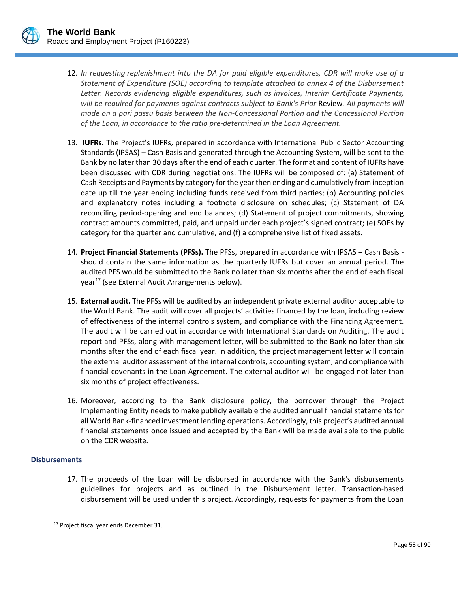

- 12. *In requesting replenishment into the DA for paid eligible expenditures, CDR will make use of a Statement of Expenditure (SOE) according to template attached to annex 4 of the Disbursement Letter. Records evidencing eligible expenditures, such as invoices, Interim Certificate Payments, will be required for payments against contracts subject to Bank's Prior* Review*. All payments will made on a pari passu basis between the Non‐Concessional Portion and the Concessional Portion of the Loan, in accordance to the ratio pre‐determined in the Loan Agreement.*
- 13. **IUFRs.** The Project's IUFRs, prepared in accordance with International Public Sector Accounting Standards (IPSAS) – Cash Basis and generated through the Accounting System, will be sent to the Bank by no later than 30 days after the end of each quarter. The format and content of IUFRs have been discussed with CDR during negotiations. The IUFRs will be composed of: (a) Statement of Cash Receipts and Payments by category forthe yearthen ending and cumulatively from inception date up till the year ending including funds received from third parties; (b) Accounting policies and explanatory notes including a footnote disclosure on schedules; (c) Statement of DA reconciling period‐opening and end balances; (d) Statement of project commitments, showing contract amounts committed, paid, and unpaid under each project's signed contract; (e) SOEs by category for the quarter and cumulative, and (f) a comprehensive list of fixed assets.
- 14. **Project Financial Statements (PFSs).** The PFSs, prepared in accordance with IPSAS Cash Basis ‐ should contain the same information as the quarterly IUFRs but cover an annual period. The audited PFS would be submitted to the Bank no later than six months after the end of each fiscal year17 (see External Audit Arrangements below).
- 15. **External audit.** The PFSs will be audited by an independent private external auditor acceptable to the World Bank. The audit will cover all projects' activities financed by the loan, including review of effectiveness of the internal controls system, and compliance with the Financing Agreement. The audit will be carried out in accordance with International Standards on Auditing. The audit report and PFSs, along with management letter, will be submitted to the Bank no later than six months after the end of each fiscal year. In addition, the project management letter will contain the external auditor assessment of the internal controls, accounting system, and compliance with financial covenants in the Loan Agreement. The external auditor will be engaged not later than six months of project effectiveness.
- 16. Moreover, according to the Bank disclosure policy, the borrower through the Project Implementing Entity needs to make publicly available the audited annual financial statements for all World Bank‐financed investment lending operations. Accordingly, this project's audited annual financial statements once issued and accepted by the Bank will be made available to the public on the CDR website.

### **Disbursements**

 $\overline{a}$ 

17. The proceeds of the Loan will be disbursed in accordance with the Bank's disbursements guidelines for projects and as outlined in the Disbursement letter. Transaction‐based disbursement will be used under this project. Accordingly, requests for payments from the Loan

<sup>&</sup>lt;sup>17</sup> Project fiscal year ends December 31.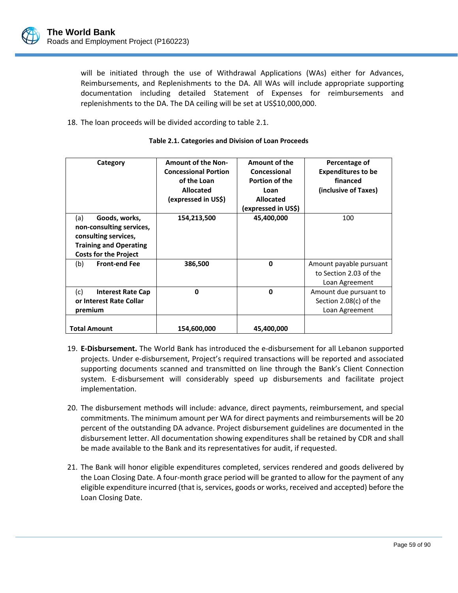will be initiated through the use of Withdrawal Applications (WAs) either for Advances, Reimbursements, and Replenishments to the DA. All WAs will include appropriate supporting documentation including detailed Statement of Expenses for reimbursements and replenishments to the DA. The DA ceiling will be set at US\$10,000,000.

18. The loan proceeds will be divided according to table 2.1.

| Category                                                                                                                                  | <b>Amount of the Non-</b><br><b>Concessional Portion</b><br>of the Loan<br>Allocated<br>(expressed in US\$) | Amount of the<br>Concessional<br>Portion of the<br>Loan<br><b>Allocated</b> | Percentage of<br><b>Expenditures to be</b><br>financed<br>(inclusive of Taxes) |
|-------------------------------------------------------------------------------------------------------------------------------------------|-------------------------------------------------------------------------------------------------------------|-----------------------------------------------------------------------------|--------------------------------------------------------------------------------|
|                                                                                                                                           |                                                                                                             | (expressed in US\$)                                                         |                                                                                |
| Goods, works,<br>(a)<br>non-consulting services,<br>consulting services,<br><b>Training and Operating</b><br><b>Costs for the Project</b> | 154,213,500                                                                                                 | 45,400,000                                                                  | 100                                                                            |
| (b)<br><b>Front-end Fee</b>                                                                                                               | 386,500                                                                                                     | $\mathbf{0}$                                                                | Amount payable pursuant<br>to Section 2.03 of the<br>Loan Agreement            |
| (c)<br><b>Interest Rate Cap</b><br>or Interest Rate Collar<br>premium                                                                     | $\Omega$                                                                                                    | $\mathbf{0}$                                                                | Amount due pursuant to<br>Section 2.08(c) of the<br>Loan Agreement             |
| <b>Total Amount</b>                                                                                                                       | 154,600,000                                                                                                 | 45,400,000                                                                  |                                                                                |

#### **Table 2.1. Categories and Division of Loan Proceeds**

- 19. **E‐Disbursement.** The World Bank has introduced the e‐disbursement for all Lebanon supported projects. Under e‐disbursement, Project's required transactions will be reported and associated supporting documents scanned and transmitted on line through the Bank's Client Connection system. E‐disbursement will considerably speed up disbursements and facilitate project implementation.
- 20. The disbursement methods will include: advance, direct payments, reimbursement, and special commitments. The minimum amount per WA for direct payments and reimbursements will be 20 percent of the outstanding DA advance. Project disbursement guidelines are documented in the disbursement letter. All documentation showing expenditures shall be retained by CDR and shall be made available to the Bank and its representatives for audit, if requested.
- 21. The Bank will honor eligible expenditures completed, services rendered and goods delivered by the Loan Closing Date. A four‐month grace period will be granted to allow for the payment of any eligible expenditure incurred (that is, services, goods or works, received and accepted) before the Loan Closing Date.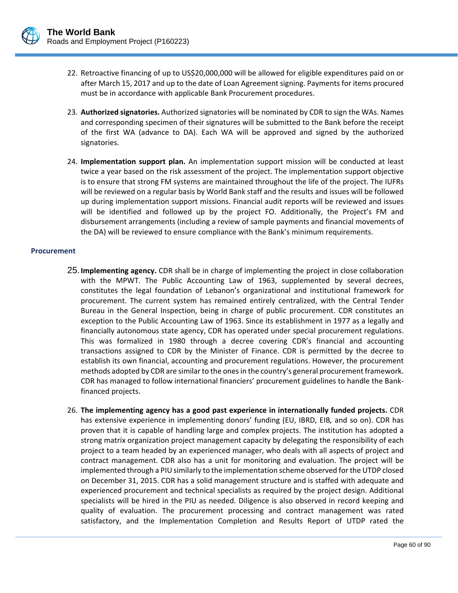

- 22. Retroactive financing of up to US\$20,000,000 will be allowed for eligible expenditures paid on or after March 15, 2017 and up to the date of Loan Agreement signing. Payments for items procured must be in accordance with applicable Bank Procurement procedures.
- 23. **Authorized signatories.** Authorized signatories will be nominated by CDR to sign the WAs. Names and corresponding specimen of their signatures will be submitted to the Bank before the receipt of the first WA (advance to DA). Each WA will be approved and signed by the authorized signatories.
- 24. **Implementation support plan.** An implementation support mission will be conducted at least twice a year based on the risk assessment of the project. The implementation support objective is to ensure that strong FM systems are maintained throughout the life of the project. The IUFRs will be reviewed on a regular basis by World Bank staff and the results and issues will be followed up during implementation support missions. Financial audit reports will be reviewed and issues will be identified and followed up by the project FO. Additionally, the Project's FM and disbursement arrangements (including a review of sample payments and financial movements of the DA) will be reviewed to ensure compliance with the Bank's minimum requirements.

#### **Procurement**

- 25. **Implementing agency.** CDR shall be in charge of implementing the project in close collaboration with the MPWT. The Public Accounting Law of 1963, supplemented by several decrees, constitutes the legal foundation of Lebanon's organizational and institutional framework for procurement. The current system has remained entirely centralized, with the Central Tender Bureau in the General Inspection, being in charge of public procurement. CDR constitutes an exception to the Public Accounting Law of 1963. Since its establishment in 1977 as a legally and financially autonomous state agency, CDR has operated under special procurement regulations. This was formalized in 1980 through a decree covering CDR's financial and accounting transactions assigned to CDR by the Minister of Finance. CDR is permitted by the decree to establish its own financial, accounting and procurement regulations. However, the procurement methods adopted by CDR are similar to the ones in the country's general procurement framework. CDR has managed to follow international financiers' procurement guidelines to handle the Bank‐ financed projects.
- 26. **The implementing agency has a good past experience in internationally funded projects.** CDR has extensive experience in implementing donors' funding (EU, IBRD, EIB*,* and so on). CDR has proven that it is capable of handling large and complex projects. The institution has adopted a strong matrix organization project management capacity by delegating the responsibility of each project to a team headed by an experienced manager, who deals with all aspects of project and contract management. CDR also has a unit for monitoring and evaluation. The project will be implemented through a PIU similarly to the implementation scheme observed forthe UTDP closed on December 31, 2015. CDR has a solid management structure and is staffed with adequate and experienced procurement and technical specialists as required by the project design. Additional specialists will be hired in the PIU as needed. Diligence is also observed in record keeping and quality of evaluation. The procurement processing and contract management was rated satisfactory, and the Implementation Completion and Results Report of UTDP rated the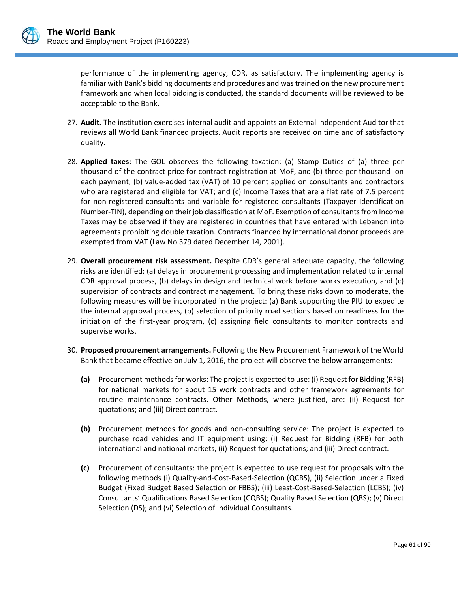performance of the implementing agency, CDR, as satisfactory. The implementing agency is familiar with Bank's bidding documents and procedures and was trained on the new procurement framework and when local bidding is conducted, the standard documents will be reviewed to be acceptable to the Bank.

- 27. **Audit.** The institution exercises internal audit and appoints an External Independent Auditor that reviews all World Bank financed projects. Audit reports are received on time and of satisfactory quality.
- 28. **Applied taxes:** The GOL observes the following taxation: (a) Stamp Duties of (a) three per thousand of the contract price for contract registration at MoF, and (b) three per thousand on each payment; (b) value‐added tax (VAT) of 10 percent applied on consultants and contractors who are registered and eligible for VAT; and (c) Income Taxes that are a flat rate of 7.5 percent for non-registered consultants and variable for registered consultants (Taxpayer Identification Number-TIN), depending on their job classification at MoF. Exemption of consultants from Income Taxes may be observed if they are registered in countries that have entered with Lebanon into agreements prohibiting double taxation. Contracts financed by international donor proceeds are exempted from VAT (Law No 379 dated December 14, 2001).
- 29. **Overall procurement risk assessment.** Despite CDR's general adequate capacity, the following risks are identified: (a) delays in procurement processing and implementation related to internal CDR approval process, (b) delays in design and technical work before works execution, and (c) supervision of contracts and contract management. To bring these risks down to moderate, the following measures will be incorporated in the project: (a) Bank supporting the PIU to expedite the internal approval process, (b) selection of priority road sections based on readiness for the initiation of the first-year program, (c) assigning field consultants to monitor contracts and supervise works.
- 30. **Proposed procurement arrangements.** Following the New Procurement Framework of the World Bank that became effective on July 1, 2016, the project will observe the below arrangements:
	- **(a)** Procurement methodsfor works: The project is expected to use: (i) Request for Bidding (RFB) for national markets for about 15 work contracts and other framework agreements for routine maintenance contracts. Other Methods, where justified, are: (ii) Request for quotations; and (iii) Direct contract.
	- **(b)** Procurement methods for goods and non‐consulting service: The project is expected to purchase road vehicles and IT equipment using: (i) Request for Bidding (RFB) for both international and national markets, (ii) Request for quotations; and (iii) Direct contract.
	- **(c)** Procurement of consultants: the project is expected to use request for proposals with the following methods (i) Quality‐and‐Cost‐Based‐Selection (QCBS), (ii) Selection under a Fixed Budget (Fixed Budget Based Selection or FBBS); (iii) Least-Cost-Based-Selection (LCBS); (iv) Consultants' Qualifications Based Selection (CQBS); Quality Based Selection (QBS); (v) Direct Selection (DS); and (vi) Selection of Individual Consultants.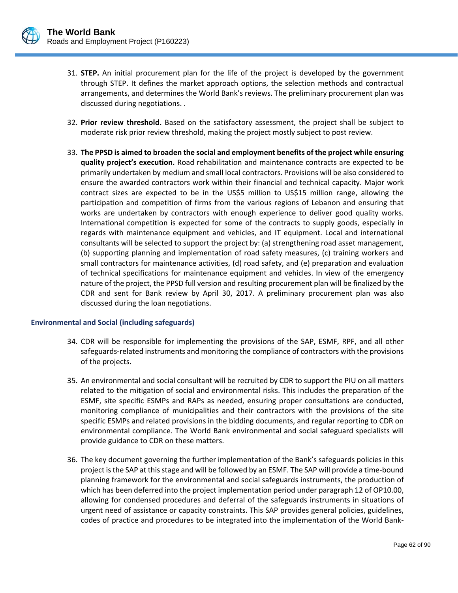

- 31. **STEP.** An initial procurement plan for the life of the project is developed by the government through STEP. It defines the market approach options, the selection methods and contractual arrangements, and determines the World Bank's reviews. The preliminary procurement plan was discussed during negotiations. .
- 32. **Prior review threshold.** Based on the satisfactory assessment, the project shall be subject to moderate risk prior review threshold, making the project mostly subject to post review.
- 33. **The PPSD is aimed to broaden the social and employment benefits of the project while ensuring quality project's execution.** Road rehabilitation and maintenance contracts are expected to be primarily undertaken by medium and small local contractors. Provisions will be also considered to ensure the awarded contractors work within their financial and technical capacity. Major work contract sizes are expected to be in the US\$5 million to US\$15 million range, allowing the participation and competition of firms from the various regions of Lebanon and ensuring that works are undertaken by contractors with enough experience to deliver good quality works. International competition is expected for some of the contracts to supply goods, especially in regards with maintenance equipment and vehicles, and IT equipment. Local and international consultants will be selected to support the project by: (a) strengthening road asset management, (b) supporting planning and implementation of road safety measures, (c) training workers and small contractors for maintenance activities, (d) road safety, and (e) preparation and evaluation of technical specifications for maintenance equipment and vehicles. In view of the emergency nature of the project, the PPSD full version and resulting procurement plan will be finalized by the CDR and sent for Bank review by April 30, 2017. A preliminary procurement plan was also discussed during the loan negotiations.

### **Environmental and Social (including safeguards)**

- 34. CDR will be responsible for implementing the provisions of the SAP, ESMF, RPF, and all other safeguards‐related instruments and monitoring the compliance of contractors with the provisions of the projects.
- 35. An environmental and social consultant will be recruited by CDR to support the PIU on all matters related to the mitigation of social and environmental risks. This includes the preparation of the ESMF, site specific ESMPs and RAPs as needed, ensuring proper consultations are conducted, monitoring compliance of municipalities and their contractors with the provisions of the site specific ESMPs and related provisions in the bidding documents, and regular reporting to CDR on environmental compliance. The World Bank environmental and social safeguard specialists will provide guidance to CDR on these matters.
- 36. The key document governing the further implementation of the Bank's safeguards policies in this project isthe SAP at thisstage and will be followed by an ESMF. The SAP will provide a time‐bound planning framework for the environmental and social safeguards instruments, the production of which has been deferred into the project implementation period under paragraph 12 of OP10.00, allowing for condensed procedures and deferral of the safeguards instruments in situations of urgent need of assistance or capacity constraints. This SAP provides general policies, guidelines, codes of practice and procedures to be integrated into the implementation of the World Bank‐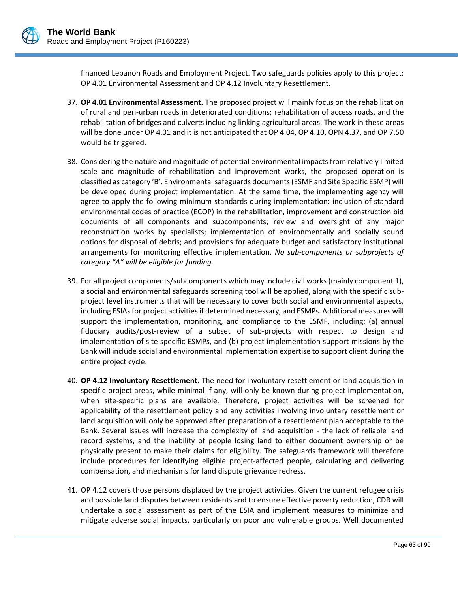

financed Lebanon Roads and Employment Project. Two safeguards policies apply to this project: OP 4.01 Environmental Assessment and OP 4.12 Involuntary Resettlement.

- 37. **OP 4.01 Environmental Assessment.** The proposed project will mainly focus on the rehabilitation of rural and peri‐urban roads in deteriorated conditions; rehabilitation of access roads, and the rehabilitation of bridges and culverts including linking agricultural areas. The work in these areas will be done under OP 4.01 and it is not anticipated that OP 4.04, OP 4.10, OPN 4.37, and OP 7.50 would be triggered.
- 38. Considering the nature and magnitude of potential environmental impacts from relatively limited scale and magnitude of rehabilitation and improvement works, the proposed operation is classified as category 'B'. Environmentalsafeguards documents(ESMF and Site Specific ESMP) will be developed during project implementation. At the same time, the implementing agency will agree to apply the following minimum standards during implementation: inclusion of standard environmental codes of practice (ECOP) in the rehabilitation, improvement and construction bid documents of all components and subcomponents; review and oversight of any major reconstruction works by specialists; implementation of environmentally and socially sound options for disposal of debris; and provisions for adequate budget and satisfactory institutional arrangements for monitoring effective implementation. *No sub‐components or subprojects of category "A" will be eligible for funding.*
- 39. For all project components/subcomponents which may include civil works (mainly component 1), a social and environmental safeguards screening tool will be applied, along with the specific sub‐ project level instruments that will be necessary to cover both social and environmental aspects, including ESIAs for project activities if determined necessary, and ESMPs. Additional measures will support the implementation, monitoring, and compliance to the ESMF, including; (a) annual fiduciary audits/post‐review of a subset of sub‐projects with respect to design and implementation of site specific ESMPs, and (b) project implementation support missions by the Bank will include social and environmental implementation expertise to support client during the entire project cycle.
- 40. **OP 4.12 Involuntary Resettlement.** The need for involuntary resettlement or land acquisition in specific project areas, while minimal if any, will only be known during project implementation, when site‐specific plans are available. Therefore, project activities will be screened for applicability of the resettlement policy and any activities involving involuntary resettlement or land acquisition will only be approved after preparation of a resettlement plan acceptable to the Bank. Several issues will increase the complexity of land acquisition ‐ the lack of reliable land record systems, and the inability of people losing land to either document ownership or be physically present to make their claims for eligibility. The safeguards framework will therefore include procedures for identifying eligible project-affected people, calculating and delivering compensation, and mechanisms for land dispute grievance redress.
- 41. OP 4.12 covers those persons displaced by the project activities. Given the current refugee crisis and possible land disputes between residents and to ensure effective poverty reduction, CDR will undertake a social assessment as part of the ESIA and implement measures to minimize and mitigate adverse social impacts, particularly on poor and vulnerable groups. Well documented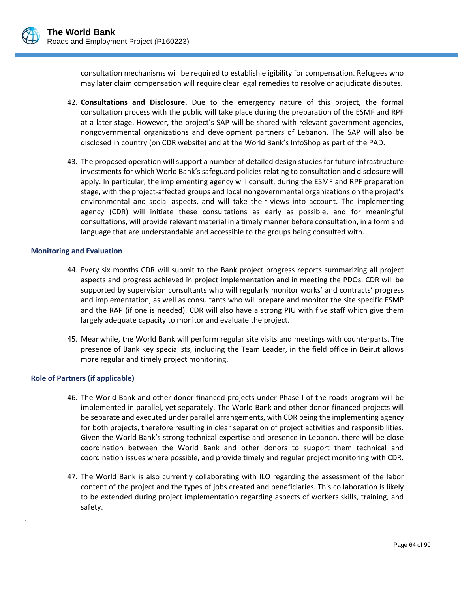

consultation mechanisms will be required to establish eligibility for compensation. Refugees who may later claim compensation will require clear legal remedies to resolve or adjudicate disputes.

- 42. **Consultations and Disclosure.** Due to the emergency nature of this project, the formal consultation process with the public will take place during the preparation of the ESMF and RPF at a later stage. However, the project's SAP will be shared with relevant government agencies, nongovernmental organizations and development partners of Lebanon. The SAP will also be disclosed in country (on CDR website) and at the World Bank's InfoShop as part of the PAD.
- 43. The proposed operation willsupport a number of detailed design studies for future infrastructure investments for which World Bank's safeguard policies relating to consultation and disclosure will apply. In particular, the implementing agency will consult, during the ESMF and RPF preparation stage, with the project‐affected groups and local nongovernmental organizations on the project's environmental and social aspects, and will take their views into account. The implementing agency (CDR) will initiate these consultations as early as possible, and for meaningful consultations, will provide relevant material in a timely manner before consultation, in a form and language that are understandable and accessible to the groups being consulted with.

#### **Monitoring and Evaluation**

- 44. Every six months CDR will submit to the Bank project progress reports summarizing all project aspects and progress achieved in project implementation and in meeting the PDOs. CDR will be supported by supervision consultants who will regularly monitor works' and contracts' progress and implementation, as well as consultants who will prepare and monitor the site specific ESMP and the RAP (if one is needed). CDR will also have a strong PIU with five staff which give them largely adequate capacity to monitor and evaluate the project.
- 45. Meanwhile, the World Bank will perform regular site visits and meetings with counterparts. The presence of Bank key specialists, including the Team Leader, in the field office in Beirut allows more regular and timely project monitoring.

### **Role of Partners (if applicable)**

.

- 46. The World Bank and other donor‐financed projects under Phase I of the roads program will be implemented in parallel, yet separately. The World Bank and other donor-financed projects will be separate and executed under parallel arrangements, with CDR being the implementing agency for both projects, therefore resulting in clear separation of project activities and responsibilities. Given the World Bank's strong technical expertise and presence in Lebanon, there will be close coordination between the World Bank and other donors to support them technical and coordination issues where possible, and provide timely and regular project monitoring with CDR.
- 47. The World Bank is also currently collaborating with ILO regarding the assessment of the labor content of the project and the types of jobs created and beneficiaries. This collaboration is likely to be extended during project implementation regarding aspects of workers skills, training, and safety.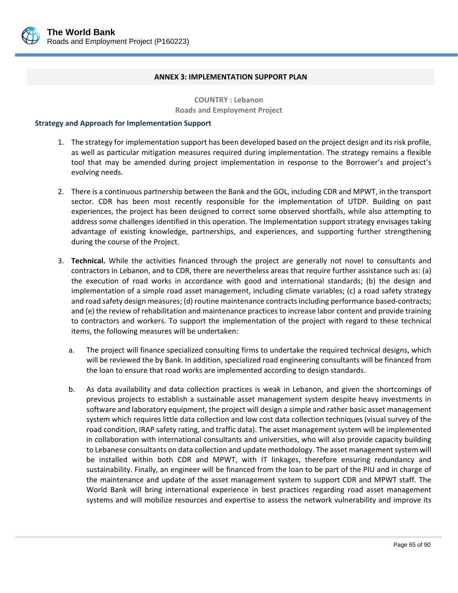

#### **ANNEX 3: IMPLEMENTATION SUPPORT PLAN**

**COUNTRY : Lebanon Roads and Employment Project**

#### **Strategy and Approach for Implementation Support**

- 1. The strategy for implementation support has been developed based on the project design and its risk profile, as well as particular mitigation measures required during implementation. The strategy remains a flexible tool that may be amended during project implementation in response to the Borrower's and project's evolving needs.
- 2. There is a continuous partnership between the Bank and the GOL, including CDR and MPWT, in the transport sector. CDR has been most recently responsible for the implementation of UTDP. Building on past experiences, the project has been designed to correct some observed shortfalls, while also attempting to address some challenges identified in this operation. The Implementation support strategy envisages taking advantage of existing knowledge, partnerships, and experiences, and supporting further strengthening during the course of the Project.
- 3. **Technical.** While the activities financed through the project are generally not novel to consultants and contractors in Lebanon, and to CDR, there are nevertheless areas that require further assistance such as: (a) the execution of road works in accordance with good and international standards; (b) the design and implementation of a simple road asset management, including climate variables; (c) a road safety strategy and road safety design measures; (d) routine maintenance contracts including performance based-contracts; and (e) the review of rehabilitation and maintenance practicesto increase labor content and provide training to contractors and workers. To support the implementation of the project with regard to these technical items, the following measures will be undertaken:
	- a. The project will finance specialized consulting firms to undertake the required technical designs, which will be reviewed the by Bank. In addition, specialized road engineering consultants will be financed from the loan to ensure that road works are implemented according to design standards.
	- b. As data availability and data collection practices is weak in Lebanon, and given the shortcomings of previous projects to establish a sustainable asset management system despite heavy investments in software and laboratory equipment, the project will design a simple and rather basic asset management system which requires little data collection and low cost data collection techniques (visual survey of the road condition, IRAP safety rating, and traffic data). The asset management system will be implemented in collaboration with international consultants and universities, who will also provide capacity building to Lebanese consultants on data collection and update methodology. The asset management system will be installed within both CDR and MPWT, with IT linkages, therefore ensuring redundancy and sustainability. Finally, an engineer will be financed from the loan to be part of the PIU and in charge of the maintenance and update of the asset management system to support CDR and MPWT staff. The World Bank will bring international experience in best practices regarding road asset management systems and will mobilize resources and expertise to assess the network vulnerability and improve its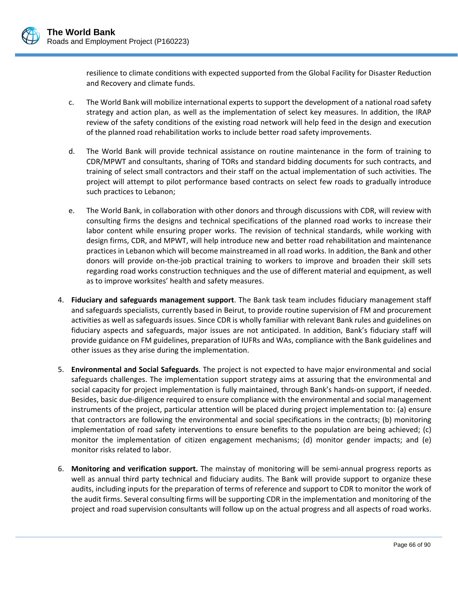

resilience to climate conditions with expected supported from the Global Facility for Disaster Reduction and Recovery and climate funds.

- c. The World Bank will mobilize international experts to support the development of a national road safety strategy and action plan, as well as the implementation of select key measures. In addition, the IRAP review of the safety conditions of the existing road network will help feed in the design and execution of the planned road rehabilitation works to include better road safety improvements.
- d. The World Bank will provide technical assistance on routine maintenance in the form of training to CDR/MPWT and consultants, sharing of TORs and standard bidding documents for such contracts, and training of select small contractors and their staff on the actual implementation of such activities. The project will attempt to pilot performance based contracts on select few roads to gradually introduce such practices to Lebanon;
- e. The World Bank, in collaboration with other donors and through discussions with CDR, will review with consulting firms the designs and technical specifications of the planned road works to increase their labor content while ensuring proper works. The revision of technical standards, while working with design firms, CDR, and MPWT, will help introduce new and better road rehabilitation and maintenance practices in Lebanon which will become mainstreamed in all road works. In addition, the Bank and other donors will provide on‐the‐job practical training to workers to improve and broaden their skill sets regarding road works construction techniques and the use of different material and equipment, as well as to improve worksites' health and safety measures.
- 4. **Fiduciary and safeguards management support**. The Bank task team includes fiduciary management staff and safeguards specialists, currently based in Beirut, to provide routine supervision of FM and procurement activities as well as safeguards issues. Since CDR is wholly familiar with relevant Bank rules and guidelines on fiduciary aspects and safeguards, major issues are not anticipated. In addition, Bank's fiduciary staff will provide guidance on FM guidelines, preparation of IUFRs and WAs, compliance with the Bank guidelines and other issues as they arise during the implementation.
- 5. **Environmental and Social Safeguards**. The project is not expected to have major environmental and social safeguards challenges. The implementation support strategy aims at assuring that the environmental and social capacity for project implementation is fully maintained, through Bank's hands‐on support, if needed. Besides, basic due‐diligence required to ensure compliance with the environmental and social management instruments of the project, particular attention will be placed during project implementation to: (a) ensure that contractors are following the environmental and social specifications in the contracts; (b) monitoring implementation of road safety interventions to ensure benefits to the population are being achieved; (c) monitor the implementation of citizen engagement mechanisms; (d) monitor gender impacts; and (e) monitor risks related to labor.
- 6. **Monitoring and verification support.** The mainstay of monitoring will be semi‐annual progress reports as well as annual third party technical and fiduciary audits. The Bank will provide support to organize these audits, including inputs for the preparation of terms of reference and support to CDR to monitor the work of the audit firms. Several consulting firms will be supporting CDR in the implementation and monitoring of the project and road supervision consultants will follow up on the actual progress and all aspects of road works.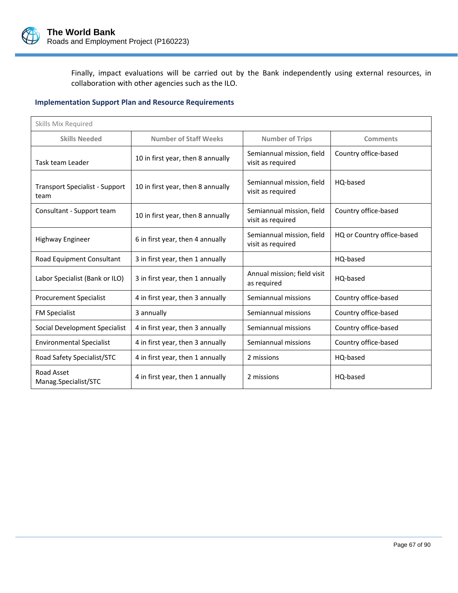

Finally, impact evaluations will be carried out by the Bank independently using external resources, in collaboration with other agencies such as the ILO.

# **Implementation Support Plan and Resource Requirements**

| Skills Mix Required                           |                                   |                                                |                            |
|-----------------------------------------------|-----------------------------------|------------------------------------------------|----------------------------|
| <b>Skills Needed</b>                          | <b>Number of Staff Weeks</b>      | <b>Number of Trips</b>                         | <b>Comments</b>            |
| Task team Leader                              | 10 in first year, then 8 annually | Semiannual mission, field<br>visit as required | Country office-based       |
| <b>Transport Specialist - Support</b><br>team | 10 in first year, then 8 annually | Semiannual mission, field<br>visit as required | HQ-based                   |
| Consultant - Support team                     | 10 in first year, then 8 annually | Semiannual mission, field<br>visit as required | Country office-based       |
| Highway Engineer                              | 6 in first year, then 4 annually  | Semiannual mission, field<br>visit as required | HQ or Country office-based |
| Road Equipment Consultant                     | 3 in first year, then 1 annually  |                                                | HQ-based                   |
| Labor Specialist (Bank or ILO)                | 3 in first year, then 1 annually  | Annual mission; field visit<br>as required     | HO-based                   |
| <b>Procurement Specialist</b>                 | 4 in first year, then 3 annually  | Semiannual missions                            | Country office-based       |
| <b>FM Specialist</b>                          | 3 annually                        | Semiannual missions                            | Country office-based       |
| Social Development Specialist                 | 4 in first year, then 3 annually  | Semiannual missions                            | Country office-based       |
| <b>Environmental Specialist</b>               | 4 in first year, then 3 annually  | Semiannual missions                            | Country office-based       |
| Road Safety Specialist/STC                    | 4 in first year, then 1 annually  | 2 missions                                     | HQ-based                   |
| Road Asset<br>Manag.Specialist/STC            | 4 in first year, then 1 annually  | 2 missions                                     | HQ-based                   |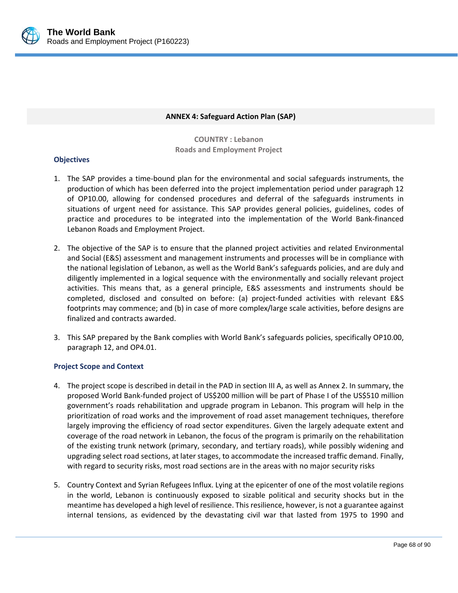

#### **ANNEX 4: Safeguard Action Plan (SAP)**

**COUNTRY : Lebanon Roads and Employment Project**

### **Objectives**

- 1. The SAP provides a time‐bound plan for the environmental and social safeguards instruments, the production of which has been deferred into the project implementation period under paragraph 12 of OP10.00, allowing for condensed procedures and deferral of the safeguards instruments in situations of urgent need for assistance. This SAP provides general policies, guidelines, codes of practice and procedures to be integrated into the implementation of the World Bank‐financed Lebanon Roads and Employment Project.
- 2. The objective of the SAP is to ensure that the planned project activities and related Environmental and Social (E&S) assessment and management instruments and processes will be in compliance with the national legislation of Lebanon, as well as the World Bank's safeguards policies, and are duly and diligently implemented in a logical sequence with the environmentally and socially relevant project activities. This means that, as a general principle, E&S assessments and instruments should be completed, disclosed and consulted on before: (a) project-funded activities with relevant E&S footprints may commence; and (b) in case of more complex/large scale activities, before designs are finalized and contracts awarded.
- 3. This SAP prepared by the Bank complies with World Bank's safeguards policies, specifically OP10.00, paragraph 12, and OP4.01.

### **Project Scope and Context**

- 4. The project scope is described in detail in the PAD in section III A, as well as Annex 2. In summary, the proposed World Bank‐funded project of US\$200 million will be part of Phase I of the US\$510 million government's roads rehabilitation and upgrade program in Lebanon. This program will help in the prioritization of road works and the improvement of road asset management techniques, therefore largely improving the efficiency of road sector expenditures. Given the largely adequate extent and coverage of the road network in Lebanon, the focus of the program is primarily on the rehabilitation of the existing trunk network (primary, secondary, and tertiary roads), while possibly widening and upgrading select road sections, at later stages, to accommodate the increased traffic demand. Finally, with regard to security risks, most road sections are in the areas with no major security risks
- 5. Country Context and Syrian Refugees Influx. Lying at the epicenter of one of the most volatile regions in the world, Lebanon is continuously exposed to sizable political and security shocks but in the meantime has developed a high level of resilience. Thisresilience, however, is not a guarantee against internal tensions, as evidenced by the devastating civil war that lasted from 1975 to 1990 and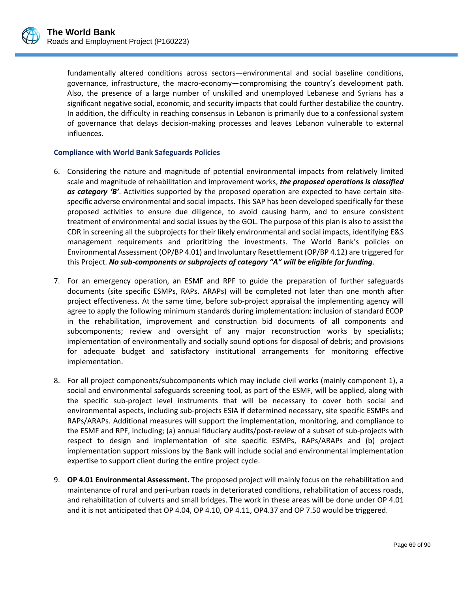

fundamentally altered conditions across sectors—environmental and social baseline conditions, governance, infrastructure, the macro‐economy—compromising the country's development path. Also, the presence of a large number of unskilled and unemployed Lebanese and Syrians has a significant negative social, economic, and security impacts that could further destabilize the country. In addition, the difficulty in reaching consensus in Lebanon is primarily due to a confessional system of governance that delays decision‐making processes and leaves Lebanon vulnerable to external influences.

## **Compliance with World Bank Safeguards Policies**

- 6. Considering the nature and magnitude of potential environmental impacts from relatively limited scale and magnitude of rehabilitation and improvement works, *the proposed operations is classified as category 'B'*. Activities supported by the proposed operation are expected to have certain site‐ specific adverse environmental and social impacts. This SAP has been developed specifically for these proposed activities to ensure due diligence, to avoid causing harm, and to ensure consistent treatment of environmental and social issues by the GOL. The purpose of this plan is also to assist the CDR in screening all the subprojects for their likely environmental and social impacts, identifying E&S management requirements and prioritizing the investments. The World Bank's policies on Environmental Assessment (OP/BP 4.01) and Involuntary Resettlement (OP/BP 4.12) are triggered for this Project. *No sub‐components or subprojects of category "A" will be eligible for funding*.
- 7. For an emergency operation, an ESMF and RPF to guide the preparation of further safeguards documents (site specific ESMPs, RAPs. ARAPs) will be completed not later than one month after project effectiveness. At the same time, before sub‐project appraisal the implementing agency will agree to apply the following minimum standards during implementation: inclusion of standard ECOP in the rehabilitation, improvement and construction bid documents of all components and subcomponents; review and oversight of any major reconstruction works by specialists; implementation of environmentally and socially sound options for disposal of debris; and provisions for adequate budget and satisfactory institutional arrangements for monitoring effective implementation.
- 8. For all project components/subcomponents which may include civil works (mainly component 1), a social and environmental safeguards screening tool, as part of the ESMF, will be applied, along with the specific sub‐project level instruments that will be necessary to cover both social and environmental aspects, including sub‐projects ESIA if determined necessary, site specific ESMPs and RAPs/ARAPs. Additional measures will support the implementation, monitoring, and compliance to the ESMF and RPF, including; (a) annual fiduciary audits/post‐review of a subset of sub‐projects with respect to design and implementation of site specific ESMPs, RAPs/ARAPs and (b) project implementation support missions by the Bank will include social and environmental implementation expertise to support client during the entire project cycle.
- 9. **OP 4.01 Environmental Assessment.** The proposed project will mainly focus on the rehabilitation and maintenance of rural and peri‐urban roads in deteriorated conditions, rehabilitation of access roads, and rehabilitation of culverts and small bridges. The work in these areas will be done under OP 4.01 and it is not anticipated that OP 4.04, OP 4.10, OP 4.11, OP4.37 and OP 7.50 would be triggered.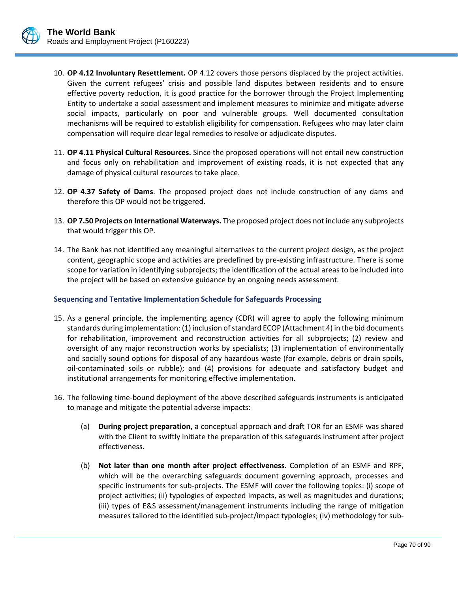

- 10. **OP 4.12 Involuntary Resettlement.** OP 4.12 covers those persons displaced by the project activities. Given the current refugees' crisis and possible land disputes between residents and to ensure effective poverty reduction, it is good practice for the borrower through the Project Implementing Entity to undertake a social assessment and implement measures to minimize and mitigate adverse social impacts, particularly on poor and vulnerable groups. Well documented consultation mechanisms will be required to establish eligibility for compensation. Refugees who may later claim compensation will require clear legal remedies to resolve or adjudicate disputes.
- 11. **OP 4.11 Physical Cultural Resources.** Since the proposed operations will not entail new construction and focus only on rehabilitation and improvement of existing roads, it is not expected that any damage of physical cultural resources to take place.
- 12. **OP 4.37 Safety of Dams**. The proposed project does not include construction of any dams and therefore this OP would not be triggered.
- 13. **OP 7.50 Projects on International Waterways.** The proposed project does not include any subprojects that would trigger this OP.
- 14. The Bank has not identified any meaningful alternatives to the current project design, as the project content, geographic scope and activities are predefined by pre‐existing infrastructure. There is some scope for variation in identifying subprojects; the identification of the actual areas to be included into the project will be based on extensive guidance by an ongoing needs assessment.

#### **Sequencing and Tentative Implementation Schedule for Safeguards Processing**

- 15. As a general principle, the implementing agency (CDR) will agree to apply the following minimum standards during implementation: (1) inclusion of standard ECOP (Attachment 4) in the bid documents for rehabilitation, improvement and reconstruction activities for all subprojects; (2) review and oversight of any major reconstruction works by specialists; (3) implementation of environmentally and socially sound options for disposal of any hazardous waste (for example, debris or drain spoils, oil‐contaminated soils or rubble); and (4) provisions for adequate and satisfactory budget and institutional arrangements for monitoring effective implementation.
- 16. The following time‐bound deployment of the above described safeguards instruments is anticipated to manage and mitigate the potential adverse impacts:
	- (a) **During project preparation,** a conceptual approach and draft TOR for an ESMF was shared with the Client to swiftly initiate the preparation of this safeguards instrument after project effectiveness.
	- (b) **Not later than one month after project effectiveness.** Completion of an ESMF and RPF, which will be the overarching safeguards document governing approach, processes and specific instruments for sub‐projects. The ESMF will cover the following topics: (i) scope of project activities; (ii) typologies of expected impacts, as well as magnitudes and durations; (iii) types of E&S assessment/management instruments including the range of mitigation measures tailored to the identified sub-project/impact typologies; (iv) methodology for sub-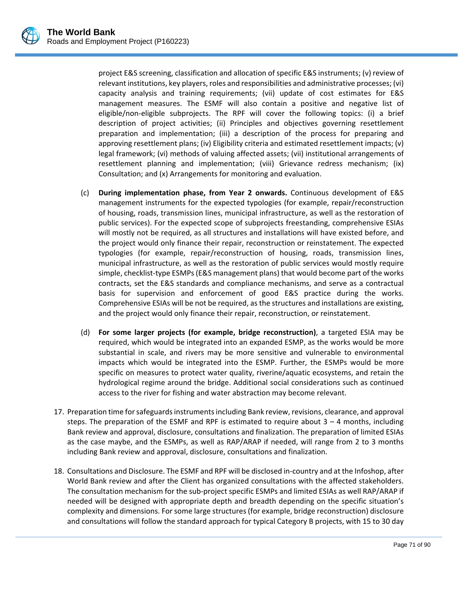project E&S screening, classification and allocation of specific E&S instruments; (v) review of relevant institutions, key players, roles and responsibilities and administrative processes; (vi) capacity analysis and training requirements; (vii) update of cost estimates for E&S management measures. The ESMF will also contain a positive and negative list of eligible/non‐eligible subprojects. The RPF will cover the following topics: (i) a brief description of project activities; (ii) Principles and objectives governing resettlement preparation and implementation; (iii) a description of the process for preparing and approving resettlement plans; (iv) Eligibility criteria and estimated resettlement impacts; (v) legal framework; (vi) methods of valuing affected assets; (vii) institutional arrangements of resettlement planning and implementation; (viii) Grievance redress mechanism; (ix) Consultation; and (x) Arrangements for monitoring and evaluation.

- (c) **During implementation phase, from Year 2 onwards.** Continuous development of E&S management instruments for the expected typologies (for example, repair/reconstruction of housing, roads, transmission lines, municipal infrastructure, as well as the restoration of public services). For the expected scope of subprojects freestanding, comprehensive ESIAs will mostly not be required, as all structures and installations will have existed before, and the project would only finance their repair, reconstruction or reinstatement. The expected typologies (for example, repair/reconstruction of housing, roads, transmission lines, municipal infrastructure, as well as the restoration of public services would mostly require simple, checklist-type ESMPs (E&S management plans) that would become part of the works contracts, set the E&S standards and compliance mechanisms, and serve as a contractual basis for supervision and enforcement of good E&S practice during the works. Comprehensive ESIAs will be not be required, as the structures and installations are existing, and the project would only finance their repair, reconstruction, or reinstatement.
- (d) **For some larger projects (for example, bridge reconstruction)**, a targeted ESIA may be required, which would be integrated into an expanded ESMP, as the works would be more substantial in scale, and rivers may be more sensitive and vulnerable to environmental impacts which would be integrated into the ESMP. Further, the ESMPs would be more specific on measures to protect water quality, riverine/aquatic ecosystems, and retain the hydrological regime around the bridge. Additional social considerations such as continued access to the river for fishing and water abstraction may become relevant.
- 17. Preparation time forsafeguardsinstrumentsincluding Bank review, revisions, clearance, and approval steps. The preparation of the ESMF and RPF is estimated to require about  $3 - 4$  months, including Bank review and approval, disclosure, consultations and finalization. The preparation of limited ESIAs as the case maybe, and the ESMPs, as well as RAP/ARAP if needed, will range from 2 to 3 months including Bank review and approval, disclosure, consultations and finalization.
- 18. Consultations and Disclosure. The ESMF and RPF will be disclosed in‐country and at the Infoshop, after World Bank review and after the Client has organized consultations with the affected stakeholders. The consultation mechanism for the sub‐project specific ESMPs and limited ESIAs as well RAP/ARAP if needed will be designed with appropriate depth and breadth depending on the specific situation's complexity and dimensions. For some large structures(for example, bridge reconstruction) disclosure and consultations will follow the standard approach for typical Category B projects, with 15 to 30 day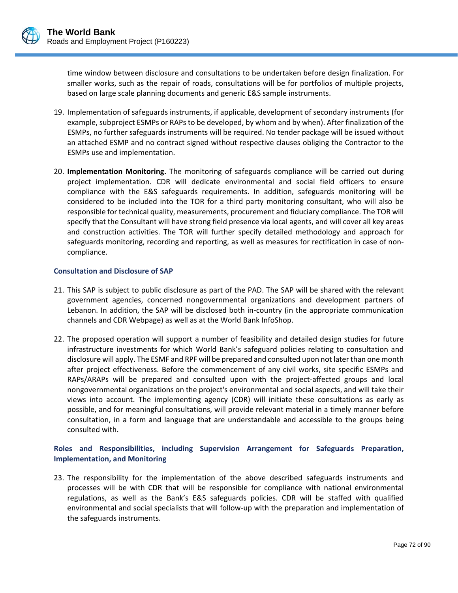

time window between disclosure and consultations to be undertaken before design finalization. For smaller works, such as the repair of roads, consultations will be for portfolios of multiple projects, based on large scale planning documents and generic E&S sample instruments.

- 19. Implementation of safeguards instruments, if applicable, development of secondary instruments (for example, subproject ESMPs or RAPs to be developed, by whom and by when). After finalization of the ESMPs, no further safeguards instruments will be required. No tender package will be issued without an attached ESMP and no contract signed without respective clauses obliging the Contractor to the ESMPs use and implementation.
- 20. **Implementation Monitoring.** The monitoring of safeguards compliance will be carried out during project implementation. CDR will dedicate environmental and social field officers to ensure compliance with the E&S safeguards requirements. In addition, safeguards monitoring will be considered to be included into the TOR for a third party monitoring consultant, who will also be responsible for technical quality, measurements, procurement and fiduciary compliance. The TOR will specify that the Consultant will have strong field presence via local agents, and will cover all key areas and construction activities. The TOR will further specify detailed methodology and approach for safeguards monitoring, recording and reporting, as well as measures for rectification in case of non‐ compliance.

#### **Consultation and Disclosure of SAP**

- 21. This SAP is subject to public disclosure as part of the PAD. The SAP will be shared with the relevant government agencies, concerned nongovernmental organizations and development partners of Lebanon. In addition, the SAP will be disclosed both in‐country (in the appropriate communication channels and CDR Webpage) as well as at the World Bank InfoShop.
- 22. The proposed operation will support a number of feasibility and detailed design studies for future infrastructure investments for which World Bank's safeguard policies relating to consultation and disclosure will apply. The ESMF and RPF will be prepared and consulted upon not later than one month after project effectiveness. Before the commencement of any civil works, site specific ESMPs and RAPs/ARAPs will be prepared and consulted upon with the project-affected groups and local nongovernmental organizations on the project's environmental and social aspects, and will take their views into account. The implementing agency (CDR) will initiate these consultations as early as possible, and for meaningful consultations, will provide relevant material in a timely manner before consultation, in a form and language that are understandable and accessible to the groups being consulted with.

## **Roles and Responsibilities, including Supervision Arrangement for Safeguards Preparation, Implementation, and Monitoring**

23. The responsibility for the implementation of the above described safeguards instruments and processes will be with CDR that will be responsible for compliance with national environmental regulations, as well as the Bank's E&S safeguards policies. CDR will be staffed with qualified environmental and social specialists that will follow‐up with the preparation and implementation of the safeguards instruments.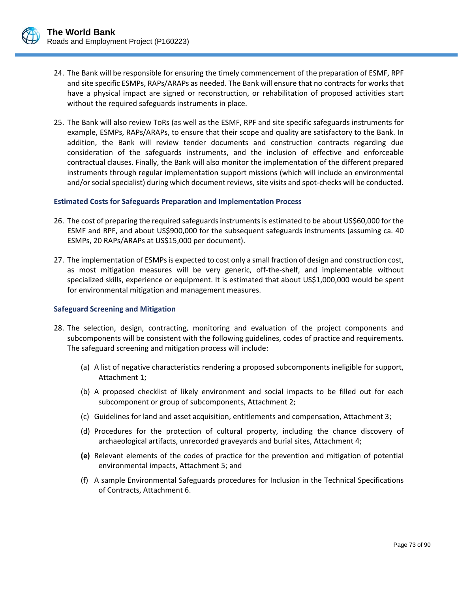- - 24. The Bank will be responsible for ensuring the timely commencement of the preparation of ESMF, RPF and site specific ESMPs, RAPs/ARAPs as needed. The Bank will ensure that no contracts for works that have a physical impact are signed or reconstruction, or rehabilitation of proposed activities start without the required safeguards instruments in place.
	- 25. The Bank will also review ToRs (as well as the ESMF, RPF and site specific safeguards instruments for example, ESMPs, RAPs/ARAPs, to ensure that their scope and quality are satisfactory to the Bank. In addition, the Bank will review tender documents and construction contracts regarding due consideration of the safeguards instruments, and the inclusion of effective and enforceable contractual clauses. Finally, the Bank will also monitor the implementation of the different prepared instruments through regular implementation support missions (which will include an environmental and/or social specialist) during which document reviews, site visits and spot-checks will be conducted.

# **Estimated Costs for Safeguards Preparation and Implementation Process**

- 26. The cost of preparing the required safeguards instruments is estimated to be about US\$60,000 for the ESMF and RPF, and about US\$900,000 for the subsequent safeguards instruments (assuming ca. 40 ESMPs, 20 RAPs/ARAPs at US\$15,000 per document).
- 27. The implementation of ESMPs is expected to cost only a small fraction of design and construction cost, as most mitigation measures will be very generic, off-the-shelf, and implementable without specialized skills, experience or equipment. It is estimated that about US\$1,000,000 would be spent for environmental mitigation and management measures.

# **Safeguard Screening and Mitigation**

- 28. The selection, design, contracting, monitoring and evaluation of the project components and subcomponents will be consistent with the following guidelines, codes of practice and requirements. The safeguard screening and mitigation process will include:
	- (a) A list of negative characteristics rendering a proposed subcomponents ineligible for support, Attachment 1;
	- (b) A proposed checklist of likely environment and social impacts to be filled out for each subcomponent or group of subcomponents, Attachment 2;
	- (c) Guidelines for land and asset acquisition, entitlements and compensation, Attachment 3;
	- (d) Procedures for the protection of cultural property, including the chance discovery of archaeological artifacts, unrecorded graveyards and burial sites, Attachment 4;
	- **(e)** Relevant elements of the codes of practice for the prevention and mitigation of potential environmental impacts, Attachment 5; and
	- (f) A sample Environmental Safeguards procedures for Inclusion in the Technical Specifications of Contracts, Attachment 6.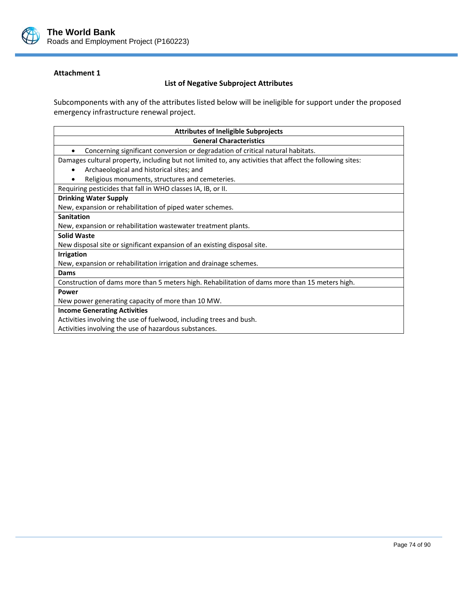

## **List of Negative Subproject Attributes**

Subcomponents with any of the attributes listed below will be ineligible for support under the proposed emergency infrastructure renewal project.

| <b>Attributes of Ineligible Subprojects</b>                                                              |  |  |
|----------------------------------------------------------------------------------------------------------|--|--|
| <b>General Characteristics</b>                                                                           |  |  |
| Concerning significant conversion or degradation of critical natural habitats.                           |  |  |
| Damages cultural property, including but not limited to, any activities that affect the following sites: |  |  |
| Archaeological and historical sites; and<br>٠                                                            |  |  |
| Religious monuments, structures and cemeteries.                                                          |  |  |
| Requiring pesticides that fall in WHO classes IA, IB, or II.                                             |  |  |
| <b>Drinking Water Supply</b>                                                                             |  |  |
| New, expansion or rehabilitation of piped water schemes.                                                 |  |  |
| <b>Sanitation</b>                                                                                        |  |  |
| New, expansion or rehabilitation wastewater treatment plants.                                            |  |  |
| <b>Solid Waste</b>                                                                                       |  |  |
| New disposal site or significant expansion of an existing disposal site.                                 |  |  |
| <b>Irrigation</b>                                                                                        |  |  |
| New, expansion or rehabilitation irrigation and drainage schemes.                                        |  |  |
| Dams                                                                                                     |  |  |
| Construction of dams more than 5 meters high. Rehabilitation of dams more than 15 meters high.           |  |  |
| <b>Power</b>                                                                                             |  |  |
| New power generating capacity of more than 10 MW.                                                        |  |  |
| <b>Income Generating Activities</b>                                                                      |  |  |
| Activities involving the use of fuelwood, including trees and bush.                                      |  |  |
| Activities involving the use of hazardous substances.                                                    |  |  |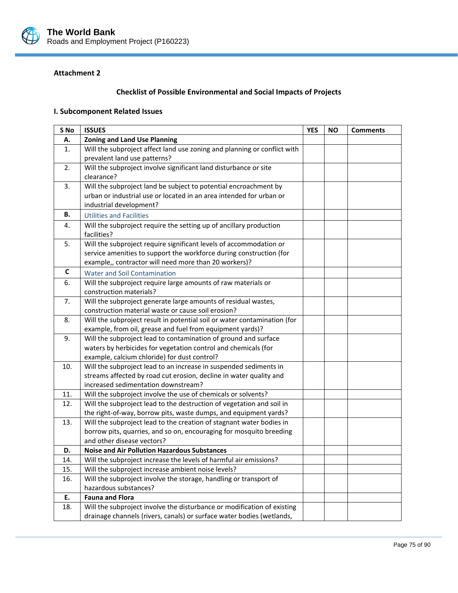

# **Checklist of Possible Environmental and Social Impacts of Projects**

## **I. Subcomponent Related Issues**

| S No | <b>ISSUES</b>                                                                                             | <b>YES</b> | <b>NO</b> | <b>Comments</b> |
|------|-----------------------------------------------------------------------------------------------------------|------------|-----------|-----------------|
| А.   | <b>Zoning and Land Use Planning</b>                                                                       |            |           |                 |
| 1.   | Will the subproject affect land use zoning and planning or conflict with                                  |            |           |                 |
|      | prevalent land use patterns?                                                                              |            |           |                 |
| 2.   | Will the subproject involve significant land disturbance or site                                          |            |           |                 |
|      | clearance?                                                                                                |            |           |                 |
| 3.   | Will the subproject land be subject to potential encroachment by                                          |            |           |                 |
|      | urban or industrial use or located in an area intended for urban or                                       |            |           |                 |
|      | industrial development?                                                                                   |            |           |                 |
| В.   | <b>Utilities and Facilities</b>                                                                           |            |           |                 |
| 4.   | Will the subproject require the setting up of ancillary production<br>facilities?                         |            |           |                 |
| 5.   | Will the subproject require significant levels of accommodation or                                        |            |           |                 |
|      | service amenities to support the workforce during construction (for                                       |            |           |                 |
|      | example,, contractor will need more than 20 workers)?                                                     |            |           |                 |
| C    | <b>Water and Soil Contamination</b>                                                                       |            |           |                 |
| 6.   | Will the subproject require large amounts of raw materials or                                             |            |           |                 |
|      | construction materials?                                                                                   |            |           |                 |
| 7.   | Will the subproject generate large amounts of residual wastes,                                            |            |           |                 |
|      | construction material waste or cause soil erosion?                                                        |            |           |                 |
| 8.   | Will the subproject result in potential soil or water contamination (for                                  |            |           |                 |
|      | example, from oil, grease and fuel from equipment yards)?                                                 |            |           |                 |
| 9.   | Will the subproject lead to contamination of ground and surface                                           |            |           |                 |
|      | waters by herbicides for vegetation control and chemicals (for                                            |            |           |                 |
|      | example, calcium chloride) for dust control?                                                              |            |           |                 |
| 10.  | Will the subproject lead to an increase in suspended sediments in                                         |            |           |                 |
|      | streams affected by road cut erosion, decline in water quality and<br>increased sedimentation downstream? |            |           |                 |
| 11.  | Will the subproject involve the use of chemicals or solvents?                                             |            |           |                 |
| 12.  | Will the subproject lead to the destruction of vegetation and soil in                                     |            |           |                 |
|      | the right-of-way, borrow pits, waste dumps, and equipment yards?                                          |            |           |                 |
| 13.  | Will the subproject lead to the creation of stagnant water bodies in                                      |            |           |                 |
|      | borrow pits, quarries, and so on, encouraging for mosquito breeding                                       |            |           |                 |
|      | and other disease vectors?                                                                                |            |           |                 |
| D.   | <b>Noise and Air Pollution Hazardous Substances</b>                                                       |            |           |                 |
| 14.  | Will the subproject increase the levels of harmful air emissions?                                         |            |           |                 |
| 15.  | Will the subproject increase ambient noise levels?                                                        |            |           |                 |
| 16.  | Will the subproject involve the storage, handling or transport of                                         |            |           |                 |
|      | hazardous substances?                                                                                     |            |           |                 |
| Ε.   | <b>Fauna and Flora</b>                                                                                    |            |           |                 |
| 18.  | Will the subproject involve the disturbance or modification of existing                                   |            |           |                 |
|      | drainage channels (rivers, canals) or surface water bodies (wetlands,                                     |            |           |                 |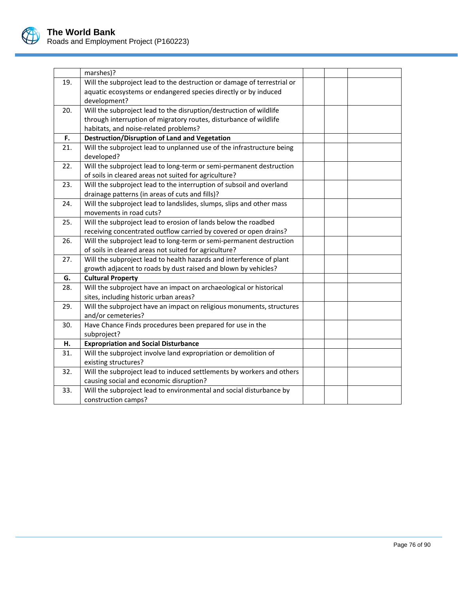

|     | marshes)?                                                               |  |  |  |
|-----|-------------------------------------------------------------------------|--|--|--|
| 19. | Will the subproject lead to the destruction or damage of terrestrial or |  |  |  |
|     | aquatic ecosystems or endangered species directly or by induced         |  |  |  |
|     | development?                                                            |  |  |  |
| 20. | Will the subproject lead to the disruption/destruction of wildlife      |  |  |  |
|     | through interruption of migratory routes, disturbance of wildlife       |  |  |  |
|     | habitats, and noise-related problems?                                   |  |  |  |
| F.  | <b>Destruction/Disruption of Land and Vegetation</b>                    |  |  |  |
| 21. | Will the subproject lead to unplanned use of the infrastructure being   |  |  |  |
|     | developed?                                                              |  |  |  |
| 22. | Will the subproject lead to long-term or semi-permanent destruction     |  |  |  |
|     | of soils in cleared areas not suited for agriculture?                   |  |  |  |
| 23. | Will the subproject lead to the interruption of subsoil and overland    |  |  |  |
|     | drainage patterns (in areas of cuts and fills)?                         |  |  |  |
| 24. | Will the subproject lead to landslides, slumps, slips and other mass    |  |  |  |
|     | movements in road cuts?                                                 |  |  |  |
| 25. | Will the subproject lead to erosion of lands below the roadbed          |  |  |  |
|     | receiving concentrated outflow carried by covered or open drains?       |  |  |  |
| 26. | Will the subproject lead to long-term or semi-permanent destruction     |  |  |  |
|     | of soils in cleared areas not suited for agriculture?                   |  |  |  |
| 27. | Will the subproject lead to health hazards and interference of plant    |  |  |  |
|     | growth adjacent to roads by dust raised and blown by vehicles?          |  |  |  |
| G.  | <b>Cultural Property</b>                                                |  |  |  |
| 28. | Will the subproject have an impact on archaeological or historical      |  |  |  |
|     | sites, including historic urban areas?                                  |  |  |  |
| 29. | Will the subproject have an impact on religious monuments, structures   |  |  |  |
|     | and/or cemeteries?                                                      |  |  |  |
| 30. | Have Chance Finds procedures been prepared for use in the               |  |  |  |
|     | subproject?                                                             |  |  |  |
| Н.  | <b>Expropriation and Social Disturbance</b>                             |  |  |  |
| 31. | Will the subproject involve land expropriation or demolition of         |  |  |  |
|     | existing structures?                                                    |  |  |  |
| 32. | Will the subproject lead to induced settlements by workers and others   |  |  |  |
|     | causing social and economic disruption?                                 |  |  |  |
| 33. | Will the subproject lead to environmental and social disturbance by     |  |  |  |
|     | construction camps?                                                     |  |  |  |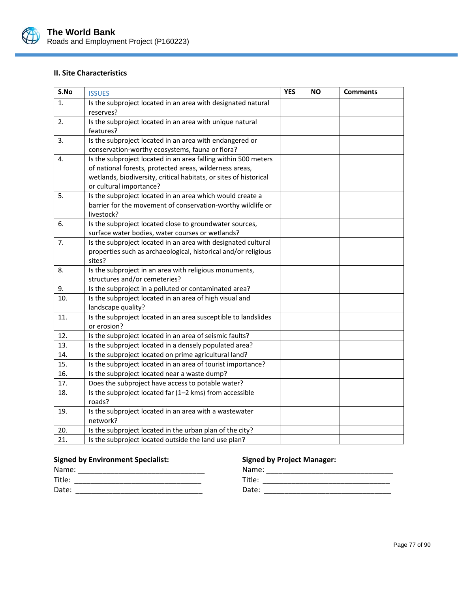

## **II. Site Characteristics**

| S.No | <b>ISSUES</b>                                                             | <b>YES</b> | <b>NO</b> | <b>Comments</b> |
|------|---------------------------------------------------------------------------|------------|-----------|-----------------|
| 1.   | Is the subproject located in an area with designated natural<br>reserves? |            |           |                 |
| 2.   | Is the subproject located in an area with unique natural                  |            |           |                 |
|      | features?                                                                 |            |           |                 |
| 3.   | Is the subproject located in an area with endangered or                   |            |           |                 |
|      | conservation-worthy ecosystems, fauna or flora?                           |            |           |                 |
| 4.   | Is the subproject located in an area falling within 500 meters            |            |           |                 |
|      | of national forests, protected areas, wilderness areas,                   |            |           |                 |
|      | wetlands, biodiversity, critical habitats, or sites of historical         |            |           |                 |
|      | or cultural importance?                                                   |            |           |                 |
| 5.   | Is the subproject located in an area which would create a                 |            |           |                 |
|      | barrier for the movement of conservation-worthy wildlife or<br>livestock? |            |           |                 |
| 6.   | Is the subproject located close to groundwater sources,                   |            |           |                 |
|      | surface water bodies, water courses or wetlands?                          |            |           |                 |
| 7.   | Is the subproject located in an area with designated cultural             |            |           |                 |
|      | properties such as archaeological, historical and/or religious            |            |           |                 |
|      | sites?                                                                    |            |           |                 |
| 8.   | Is the subproject in an area with religious monuments,                    |            |           |                 |
|      | structures and/or cemeteries?                                             |            |           |                 |
| 9.   | Is the subproject in a polluted or contaminated area?                     |            |           |                 |
| 10.  | Is the subproject located in an area of high visual and                   |            |           |                 |
|      | landscape quality?                                                        |            |           |                 |
| 11.  | Is the subproject located in an area susceptible to landslides            |            |           |                 |
|      | or erosion?                                                               |            |           |                 |
| 12.  | Is the subproject located in an area of seismic faults?                   |            |           |                 |
| 13.  | Is the subproject located in a densely populated area?                    |            |           |                 |
| 14.  | Is the subproject located on prime agricultural land?                     |            |           |                 |
| 15.  | Is the subproject located in an area of tourist importance?               |            |           |                 |
| 16.  | Is the subproject located near a waste dump?                              |            |           |                 |
| 17.  | Does the subproject have access to potable water?                         |            |           |                 |
| 18.  | Is the subproject located far (1-2 kms) from accessible                   |            |           |                 |
|      | roads?                                                                    |            |           |                 |
| 19.  | Is the subproject located in an area with a wastewater                    |            |           |                 |
|      | network?                                                                  |            |           |                 |
| 20.  | Is the subproject located in the urban plan of the city?                  |            |           |                 |
| 21.  | Is the subproject located outside the land use plan?                      |            |           |                 |

#### **Signed by Environment Specialist: Signed by Project Manager:**

| Nar         | Nama                    |
|-------------|-------------------------|
| Title:<br>_ | $T^*$<br>. ונוכ         |
| Date:       | $\mathsf{Out}$<br>vale. |

L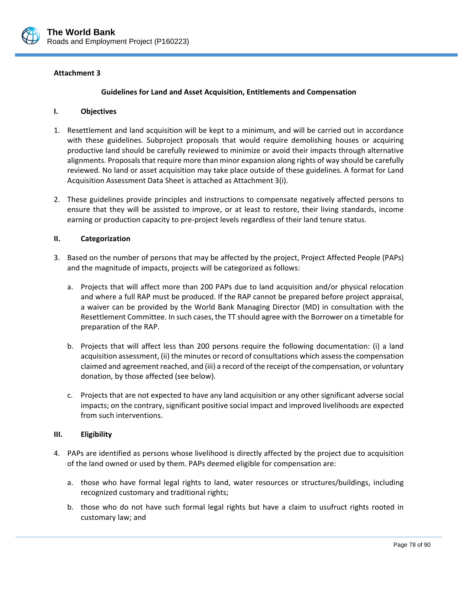

#### **Guidelines for Land and Asset Acquisition, Entitlements and Compensation**

#### **I. Objectives**

- 1. Resettlement and land acquisition will be kept to a minimum, and will be carried out in accordance with these guidelines. Subproject proposals that would require demolishing houses or acquiring productive land should be carefully reviewed to minimize or avoid their impacts through alternative alignments. Proposals that require more than minor expansion along rights of way should be carefully reviewed. No land or asset acquisition may take place outside of these guidelines. A format for Land Acquisition Assessment Data Sheet is attached as Attachment 3(i).
- 2. These guidelines provide principles and instructions to compensate negatively affected persons to ensure that they will be assisted to improve, or at least to restore, their living standards, income earning or production capacity to pre‐project levels regardless of their land tenure status.

#### **II. Categorization**

- 3. Based on the number of persons that may be affected by the project, Project Affected People (PAPs) and the magnitude of impacts, projects will be categorized as follows:
	- a. Projects that will affect more than 200 PAPs due to land acquisition and/or physical relocation and where a full RAP must be produced. If the RAP cannot be prepared before project appraisal, a waiver can be provided by the World Bank Managing Director (MD) in consultation with the Resettlement Committee. In such cases, the TT should agree with the Borrower on a timetable for preparation of the RAP.
	- b. Projects that will affect less than 200 persons require the following documentation: (i) a land acquisition assessment, (ii) the minutes or record of consultations which assessthe compensation claimed and agreement reached, and (iii) a record of the receipt of the compensation, or voluntary donation, by those affected (see below).
	- c. Projects that are not expected to have any land acquisition or any other significant adverse social impacts; on the contrary, significant positive social impact and improved livelihoods are expected from such interventions.

#### **III. Eligibility**

- 4. PAPs are identified as persons whose livelihood is directly affected by the project due to acquisition of the land owned or used by them. PAPs deemed eligible for compensation are:
	- a. those who have formal legal rights to land, water resources or structures/buildings, including recognized customary and traditional rights;
	- b. those who do not have such formal legal rights but have a claim to usufruct rights rooted in customary law; and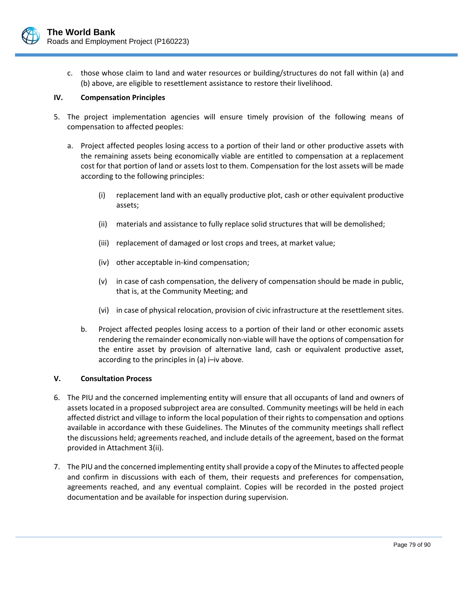

c. those whose claim to land and water resources or building/structures do not fall within (a) and (b) above, are eligible to resettlement assistance to restore their livelihood.

## **IV. Compensation Principles**

- 5. The project implementation agencies will ensure timely provision of the following means of compensation to affected peoples:
	- a. Project affected peoples losing access to a portion of their land or other productive assets with the remaining assets being economically viable are entitled to compensation at a replacement cost for that portion of land or assets lost to them. Compensation for the lost assets will be made according to the following principles:
		- (i) replacement land with an equally productive plot, cash or other equivalent productive assets;
		- (ii) materials and assistance to fully replace solid structures that will be demolished;
		- (iii) replacement of damaged or lost crops and trees, at market value;
		- (iv) other acceptable in‐kind compensation;
		- (v) in case of cash compensation, the delivery of compensation should be made in public, that is, at the Community Meeting; and
		- (vi) in case of physical relocation, provision of civic infrastructure at the resettlement sites.
		- b. Project affected peoples losing access to a portion of their land or other economic assets rendering the remainder economically non‐viable will have the options of compensation for the entire asset by provision of alternative land, cash or equivalent productive asset, according to the principles in (a) i–iv above.

#### **V. Consultation Process**

- 6. The PIU and the concerned implementing entity will ensure that all occupants of land and owners of assets located in a proposed subproject area are consulted. Community meetings will be held in each affected district and village to inform the local population of their rights to compensation and options available in accordance with these Guidelines. The Minutes of the community meetings shall reflect the discussions held; agreements reached, and include details of the agreement, based on the format provided in Attachment 3(ii).
- 7. The PIU and the concerned implementing entity shall provide a copy of the Minutesto affected people and confirm in discussions with each of them, their requests and preferences for compensation, agreements reached, and any eventual complaint. Copies will be recorded in the posted project documentation and be available for inspection during supervision.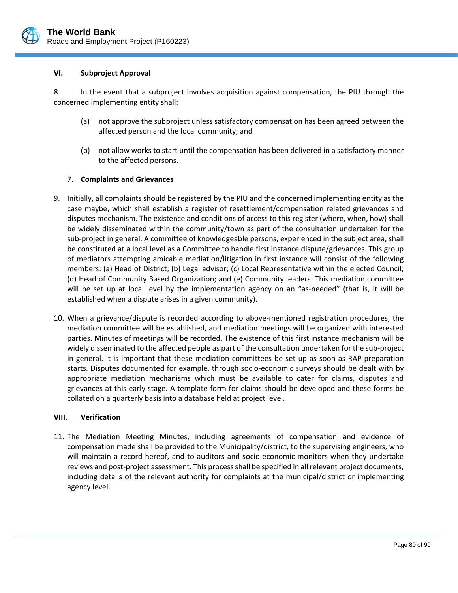

#### **VI. Subproject Approval**

8. In the event that a subproject involves acquisition against compensation, the PIU through the concerned implementing entity shall:

- (a) not approve the subproject unless satisfactory compensation has been agreed between the affected person and the local community; and
- (b) not allow works to start until the compensation has been delivered in a satisfactory manner to the affected persons.

## 7. **Complaints and Grievances**

- 9. Initially, all complaints should be registered by the PIU and the concerned implementing entity as the case maybe, which shall establish a register of resettlement/compensation related grievances and disputes mechanism. The existence and conditions of access to this register (where, when, how) shall be widely disseminated within the community/town as part of the consultation undertaken for the sub‐project in general. A committee of knowledgeable persons, experienced in the subject area, shall be constituted at a local level as a Committee to handle first instance dispute/grievances. This group of mediators attempting amicable mediation/litigation in first instance will consist of the following members: (a) Head of District; (b) Legal advisor; (c) Local Representative within the elected Council; (d) Head of Community Based Organization; and (e) Community leaders. This mediation committee will be set up at local level by the implementation agency on an "as-needed" (that is, it will be established when a dispute arises in a given community).
- 10. When a grievance/dispute is recorded according to above-mentioned registration procedures, the mediation committee will be established, and mediation meetings will be organized with interested parties. Minutes of meetings will be recorded. The existence of this first instance mechanism will be widely disseminated to the affected people as part of the consultation undertaken for the sub‐project in general. It is important that these mediation committees be set up as soon as RAP preparation starts. Disputes documented for example, through socio‐economic surveys should be dealt with by appropriate mediation mechanisms which must be available to cater for claims, disputes and grievances at this early stage. A template form for claims should be developed and these forms be collated on a quarterly basis into a database held at project level.

#### **VIII. Verification**

11. The Mediation Meeting Minutes, including agreements of compensation and evidence of compensation made shall be provided to the Municipality/district, to the supervising engineers, who will maintain a record hereof, and to auditors and socio-economic monitors when they undertake reviews and post-project assessment. This process shall be specified in all relevant project documents, including details of the relevant authority for complaints at the municipal/district or implementing agency level.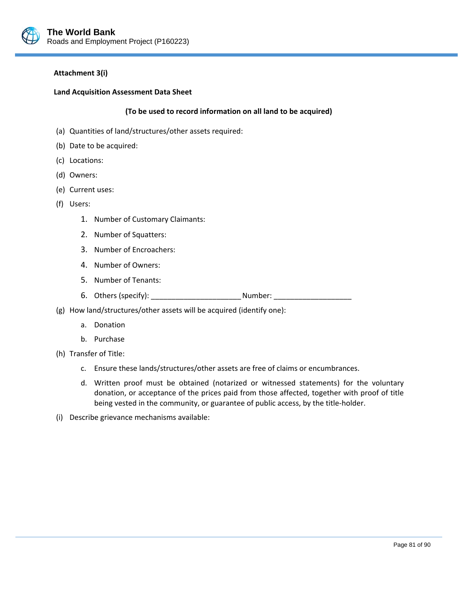

#### **Attachment 3(i)**

#### **Land Acquisition Assessment Data Sheet**

## **(To be used to record information on all land to be acquired)**

- (a) Quantities of land/structures/other assets required:
- (b) Date to be acquired:
- (c) Locations:
- (d) Owners:
- (e) Current uses:
- (f) Users:
	- 1. Number of Customary Claimants:
	- 2. Number of Squatters:
	- 3. Number of Encroachers:
	- 4. Number of Owners:
	- 5. Number of Tenants:
	- 6. Others (specify): \_\_\_\_\_\_\_\_\_\_\_\_\_\_\_\_\_\_\_\_\_\_Number: \_\_\_\_\_\_\_\_\_\_\_\_\_\_\_\_\_\_\_
- (g) How land/structures/other assets will be acquired (identify one):
	- a. Donation
	- b. Purchase
- (h) Transfer of Title:
	- c. Ensure these lands/structures/other assets are free of claims or encumbrances.
	- d. Written proof must be obtained (notarized or witnessed statements) for the voluntary donation, or acceptance of the prices paid from those affected, together with proof of title being vested in the community, or guarantee of public access, by the title-holder.

L

(i) Describe grievance mechanisms available: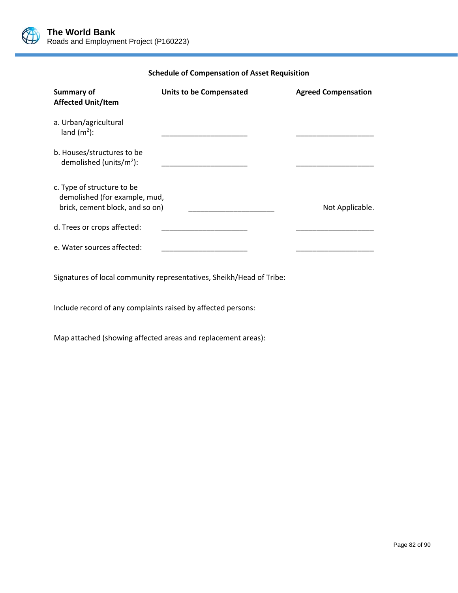

**Schedule of Compensation of Asset Requisition**

| <b>Summary of</b><br><b>Affected Unit/Item</b>                                                 | <b>Units to be Compensated</b> | <b>Agreed Compensation</b> |
|------------------------------------------------------------------------------------------------|--------------------------------|----------------------------|
| a. Urban/agricultural<br>land $(m2)$ :                                                         |                                |                            |
| b. Houses/structures to be<br>demolished (units/ $m^2$ ):                                      |                                |                            |
| c. Type of structure to be<br>demolished (for example, mud,<br>brick, cement block, and so on) |                                | Not Applicable.            |
| d. Trees or crops affected:                                                                    |                                |                            |
| e. Water sources affected:                                                                     |                                |                            |

L

Signatures of local community representatives, Sheikh/Head of Tribe:

Include record of any complaints raised by affected persons:

Map attached (showing affected areas and replacement areas):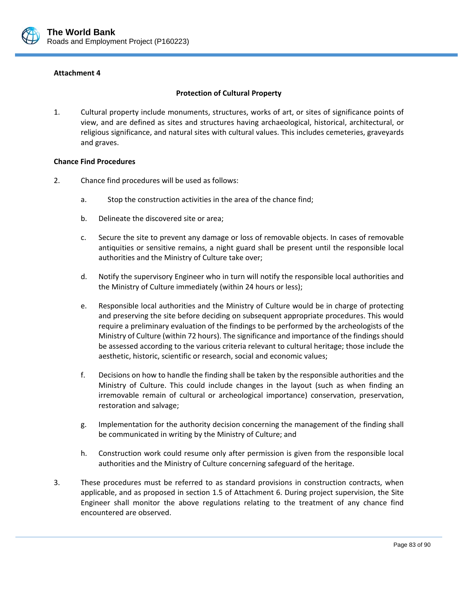

## **Protection of Cultural Property**

1. Cultural property include monuments, structures, works of art, or sites of significance points of view, and are defined as sites and structures having archaeological, historical, architectural, or religious significance, and natural sites with cultural values. This includes cemeteries, graveyards and graves.

#### **Chance Find Procedures**

- 2. Chance find procedures will be used as follows:
	- a. Stop the construction activities in the area of the chance find;
	- b. Delineate the discovered site or area;
	- c. Secure the site to prevent any damage or loss of removable objects. In cases of removable antiquities or sensitive remains, a night guard shall be present until the responsible local authorities and the Ministry of Culture take over;
	- d. Notify the supervisory Engineer who in turn will notify the responsible local authorities and the Ministry of Culture immediately (within 24 hours or less);
	- e. Responsible local authorities and the Ministry of Culture would be in charge of protecting and preserving the site before deciding on subsequent appropriate procedures. This would require a preliminary evaluation of the findings to be performed by the archeologists of the Ministry of Culture (within 72 hours). The significance and importance of the findings should be assessed according to the various criteria relevant to cultural heritage; those include the aesthetic, historic, scientific or research, social and economic values;
	- f. Decisions on how to handle the finding shall be taken by the responsible authorities and the Ministry of Culture. This could include changes in the layout (such as when finding an irremovable remain of cultural or archeological importance) conservation, preservation, restoration and salvage;
	- g. Implementation for the authority decision concerning the management of the finding shall be communicated in writing by the Ministry of Culture; and
	- h. Construction work could resume only after permission is given from the responsible local authorities and the Ministry of Culture concerning safeguard of the heritage.
- 3. These procedures must be referred to as standard provisions in construction contracts, when applicable, and as proposed in section 1.5 of Attachment 6. During project supervision, the Site Engineer shall monitor the above regulations relating to the treatment of any chance find encountered are observed.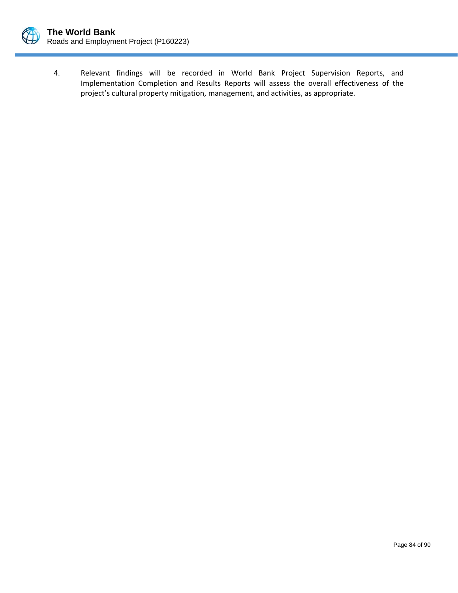

- 
- 4. Relevant findings will be recorded in World Bank Project Supervision Reports, and Implementation Completion and Results Reports will assess the overall effectiveness of the project's cultural property mitigation, management, and activities, as appropriate.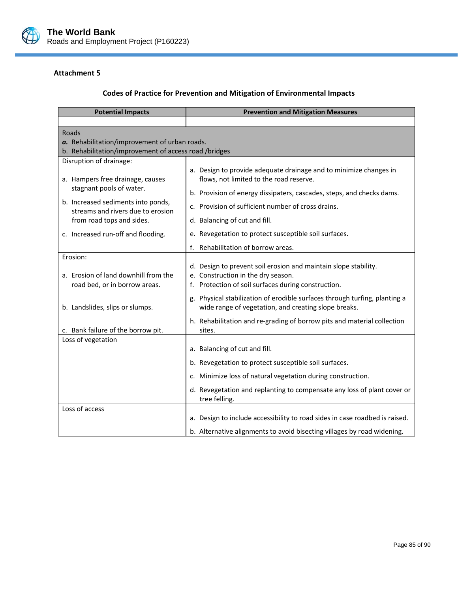

# **Codes of Practice for Prevention and Mitigation of Environmental Impacts**

| <b>Potential Impacts</b>                                     | <b>Prevention and Mitigation Measures</b>                                                |
|--------------------------------------------------------------|------------------------------------------------------------------------------------------|
|                                                              |                                                                                          |
| <b>Roads</b>                                                 |                                                                                          |
| a. Rehabilitation/improvement of urban roads.                |                                                                                          |
| b. Rehabilitation/improvement of access road/bridges         |                                                                                          |
| Disruption of drainage:                                      |                                                                                          |
|                                                              | a. Design to provide adequate drainage and to minimize changes in                        |
| a. Hampers free drainage, causes<br>stagnant pools of water. | flows, not limited to the road reserve.                                                  |
|                                                              | b. Provision of energy dissipaters, cascades, steps, and checks dams.                    |
| b. Increased sediments into ponds,                           | c. Provision of sufficient number of cross drains.                                       |
| streams and rivers due to erosion                            |                                                                                          |
| from road tops and sides.                                    | d. Balancing of cut and fill.                                                            |
| c. Increased run-off and flooding.                           | e. Revegetation to protect susceptible soil surfaces.                                    |
|                                                              | f. Rehabilitation of borrow areas.                                                       |
| Erosion:                                                     |                                                                                          |
|                                                              | d. Design to prevent soil erosion and maintain slope stability.                          |
| a. Erosion of land downhill from the                         | e. Construction in the dry season.                                                       |
| road bed, or in borrow areas.                                | f. Protection of soil surfaces during construction.                                      |
|                                                              | Physical stabilization of erodible surfaces through turfing, planting a<br>g.            |
| b. Landslides, slips or slumps.                              | wide range of vegetation, and creating slope breaks.                                     |
|                                                              | h. Rehabilitation and re-grading of borrow pits and material collection                  |
| c. Bank failure of the borrow pit.                           | sites.                                                                                   |
| Loss of vegetation                                           |                                                                                          |
|                                                              | a. Balancing of cut and fill.                                                            |
|                                                              | b. Revegetation to protect susceptible soil surfaces.                                    |
|                                                              | c. Minimize loss of natural vegetation during construction.                              |
|                                                              | d. Revegetation and replanting to compensate any loss of plant cover or<br>tree felling. |
| Loss of access                                               |                                                                                          |
|                                                              | a. Design to include accessibility to road sides in case roadbed is raised.              |
|                                                              | b. Alternative alignments to avoid bisecting villages by road widening.                  |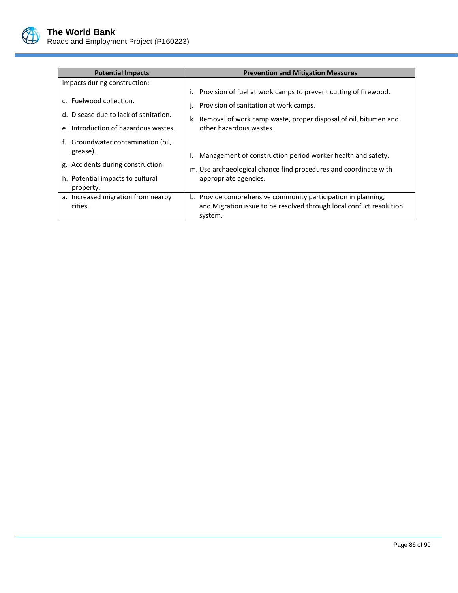

| <b>Potential Impacts</b>                                                                                                             | <b>Prevention and Mitigation Measures</b>                                                                                                                                                                  |
|--------------------------------------------------------------------------------------------------------------------------------------|------------------------------------------------------------------------------------------------------------------------------------------------------------------------------------------------------------|
| Impacts during construction:                                                                                                         |                                                                                                                                                                                                            |
| c. Fuelwood collection.<br>d. Disease due to lack of sanitation.<br>e. Introduction of hazardous wastes.                             | Provision of fuel at work camps to prevent cutting of firewood.<br>Provision of sanitation at work camps.<br>k. Removal of work camp waste, proper disposal of oil, bitumen and<br>other hazardous wastes. |
| f. Groundwater contamination (oil,<br>grease).<br>g. Accidents during construction.<br>h. Potential impacts to cultural<br>property. | Management of construction period worker health and safety.<br>m. Use archaeological chance find procedures and coordinate with<br>appropriate agencies.                                                   |
| a. Increased migration from nearby<br>cities.                                                                                        | b. Provide comprehensive community participation in planning,<br>and Migration issue to be resolved through local conflict resolution<br>system.                                                           |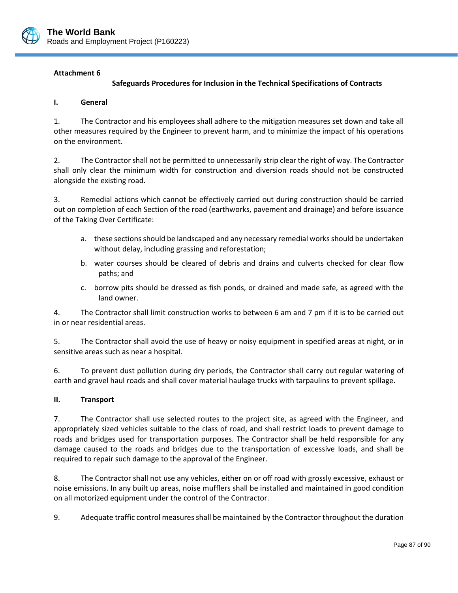

## **Safeguards Procedures for Inclusion in the Technical Specifications of Contracts**

#### **I. General**

1. The Contractor and his employees shall adhere to the mitigation measures set down and take all other measures required by the Engineer to prevent harm, and to minimize the impact of his operations on the environment.

2. The Contractor shall not be permitted to unnecessarily strip clear the right of way. The Contractor shall only clear the minimum width for construction and diversion roads should not be constructed alongside the existing road.

3. Remedial actions which cannot be effectively carried out during construction should be carried out on completion of each Section of the road (earthworks, pavement and drainage) and before issuance of the Taking Over Certificate:

- a. these sections should be landscaped and any necessary remedial works should be undertaken without delay, including grassing and reforestation;
- b. water courses should be cleared of debris and drains and culverts checked for clear flow paths; and
- c. borrow pits should be dressed as fish ponds, or drained and made safe, as agreed with the land owner.

4. The Contractor shall limit construction works to between 6 am and 7 pm if it is to be carried out in or near residential areas.

5. The Contractor shall avoid the use of heavy or noisy equipment in specified areas at night, or in sensitive areas such as near a hospital.

6. To prevent dust pollution during dry periods, the Contractor shall carry out regular watering of earth and gravel haul roads and shall cover material haulage trucks with tarpaulins to prevent spillage.

#### **II. Transport**

7. The Contractor shall use selected routes to the project site, as agreed with the Engineer, and appropriately sized vehicles suitable to the class of road, and shall restrict loads to prevent damage to roads and bridges used for transportation purposes. The Contractor shall be held responsible for any damage caused to the roads and bridges due to the transportation of excessive loads, and shall be required to repair such damage to the approval of the Engineer.

8. The Contractor shall not use any vehicles, either on or off road with grossly excessive, exhaust or noise emissions. In any built up areas, noise mufflers shall be installed and maintained in good condition on all motorized equipment under the control of the Contractor.

9. Adequate traffic control measures shall be maintained by the Contractor throughout the duration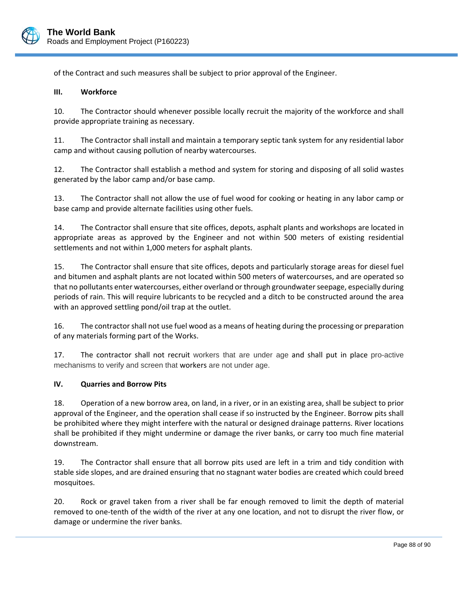

of the Contract and such measures shall be subject to prior approval of the Engineer.

#### **III. Workforce**

10. The Contractor should whenever possible locally recruit the majority of the workforce and shall provide appropriate training as necessary.

11. The Contractor shall install and maintain a temporary septic tank system for any residential labor camp and without causing pollution of nearby watercourses.

12. The Contractor shall establish a method and system for storing and disposing of all solid wastes generated by the labor camp and/or base camp.

13. The Contractor shall not allow the use of fuel wood for cooking or heating in any labor camp or base camp and provide alternate facilities using other fuels.

14. The Contractor shall ensure that site offices, depots, asphalt plants and workshops are located in appropriate areas as approved by the Engineer and not within 500 meters of existing residential settlements and not within 1,000 meters for asphalt plants.

15. The Contractor shall ensure that site offices, depots and particularly storage areas for diesel fuel and bitumen and asphalt plants are not located within 500 meters of watercourses, and are operated so that no pollutants enter watercourses, either overland or through groundwaterseepage, especially during periods of rain. This will require lubricants to be recycled and a ditch to be constructed around the area with an approved settling pond/oil trap at the outlet.

16. The contractorshall not use fuel wood as a means of heating during the processing or preparation of any materials forming part of the Works.

17. The contractor shall not recruit workers that are under age and shall put in place pro-active mechanisms to verify and screen that workers are not under age.

## **IV. Quarries and Borrow Pits**

18. Operation of a new borrow area, on land, in a river, or in an existing area, shall be subject to prior approval of the Engineer, and the operation shall cease if so instructed by the Engineer. Borrow pits shall be prohibited where they might interfere with the natural or designed drainage patterns. River locations shall be prohibited if they might undermine or damage the river banks, or carry too much fine material downstream.

19. The Contractor shall ensure that all borrow pits used are left in a trim and tidy condition with stable side slopes, and are drained ensuring that no stagnant water bodies are created which could breed mosquitoes.

20. Rock or gravel taken from a river shall be far enough removed to limit the depth of material removed to one‐tenth of the width of the river at any one location, and not to disrupt the river flow, or damage or undermine the river banks.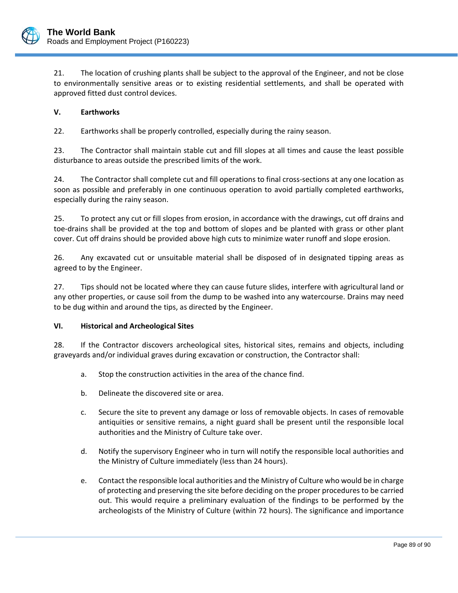

21. The location of crushing plants shall be subject to the approval of the Engineer, and not be close to environmentally sensitive areas or to existing residential settlements, and shall be operated with approved fitted dust control devices.

## **V. Earthworks**

22. Earthworks shall be properly controlled, especially during the rainy season.

23. The Contractor shall maintain stable cut and fill slopes at all times and cause the least possible disturbance to areas outside the prescribed limits of the work.

24. The Contractor shall complete cut and fill operations to final cross-sections at any one location as soon as possible and preferably in one continuous operation to avoid partially completed earthworks, especially during the rainy season.

25. To protect any cut or fill slopes from erosion, in accordance with the drawings, cut off drains and toe‐drains shall be provided at the top and bottom of slopes and be planted with grass or other plant cover. Cut off drains should be provided above high cuts to minimize water runoff and slope erosion.

26. Any excavated cut or unsuitable material shall be disposed of in designated tipping areas as agreed to by the Engineer.

27. Tips should not be located where they can cause future slides, interfere with agricultural land or any other properties, or cause soil from the dump to be washed into any watercourse. Drains may need to be dug within and around the tips, as directed by the Engineer.

## **VI. Historical and Archeological Sites**

28. If the Contractor discovers archeological sites, historical sites, remains and objects, including graveyards and/or individual graves during excavation or construction, the Contractor shall:

- a. Stop the construction activities in the area of the chance find.
- b. Delineate the discovered site or area.
- c. Secure the site to prevent any damage or loss of removable objects. In cases of removable antiquities or sensitive remains, a night guard shall be present until the responsible local authorities and the Ministry of Culture take over.
- d. Notify the supervisory Engineer who in turn will notify the responsible local authorities and the Ministry of Culture immediately (less than 24 hours).
- e. Contact the responsible local authorities and the Ministry of Culture who would be in charge of protecting and preserving the site before deciding on the proper procedures to be carried out. This would require a preliminary evaluation of the findings to be performed by the archeologists of the Ministry of Culture (within 72 hours). The significance and importance